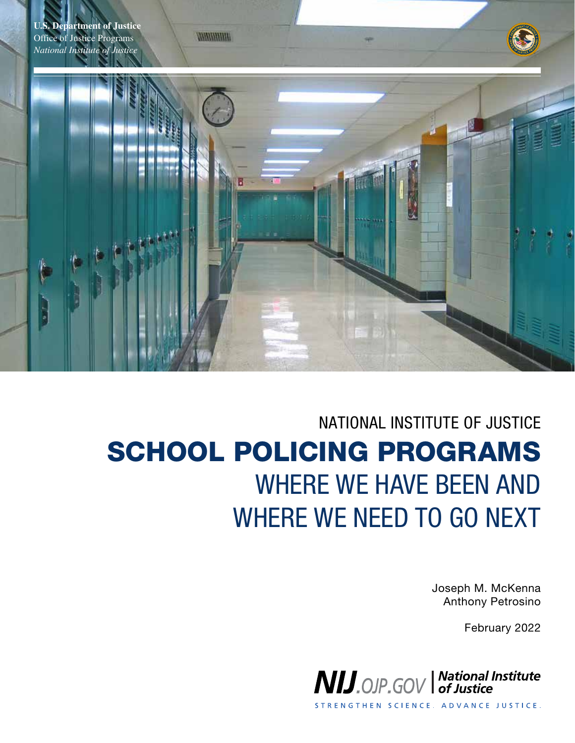

# NATIONAL INSTITUTE OF JUSTICE SCHOOL POLICING PROGRAMS WHERE WE HAVE BEEN AND WHERE WE NEED TO GO NEXT

Joseph M. McKenna Anthony Petrosino

February 2022



STRENGTHEN SCIENCE. ADVANCE JUSTICE.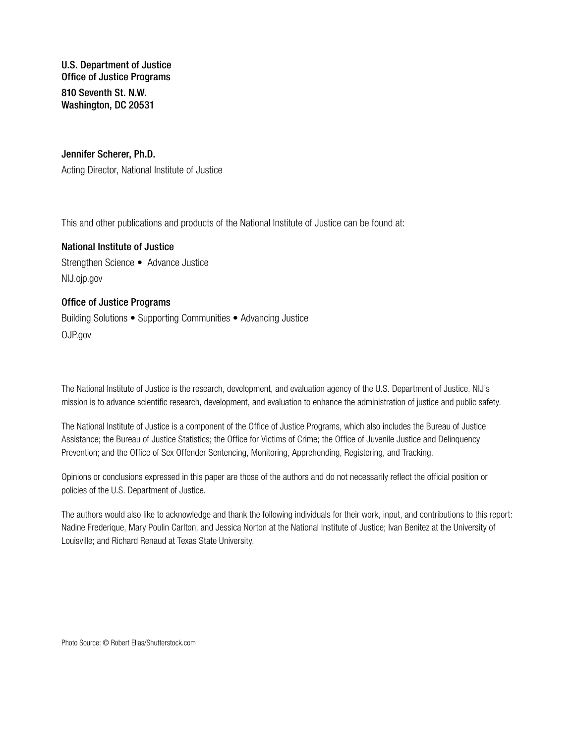U.S. Department of Justice Office of Justice Programs 810 Seventh St. N.W. Washington, DC 20531

#### Jennifer Scherer, Ph.D.

Acting Director, National Institute of Justice

This and other publications and products of the National Institute of Justice can be found at:

National Institute of Justice Strengthen Science • Advance Justice [NIJ.ojp.gov](http://NIJ.ojp.gov)

#### Office of Justice Programs

Building Solutions • Supporting Communities • Advancing Justice OJP.gov

The National Institute of Justice is the research, development, and evaluation agency of the U.S. Department of Justice. NIJ's mission is to advance scientific research, development, and evaluation to enhance the administration of justice and public safety.

The National Institute of Justice is a component of the Office of Justice Programs, which also includes the Bureau of Justice Assistance; the Bureau of Justice Statistics; the Office for Victims of Crime; the Office of Juvenile Justice and Delinquency Prevention; and the Office of Sex Offender Sentencing, Monitoring, Apprehending, Registering, and Tracking.

Opinions or conclusions expressed in this paper are those of the authors and do not necessarily reflect the official position or policies of the U.S. Department of Justice.

The authors would also like to acknowledge and thank the following individuals for their work, input, and contributions to this report: Nadine Frederique, Mary Poulin Carlton, and Jessica Norton at the National Institute of Justice; Ivan Benitez at the University of Louisville; and Richard Renaud at Texas State University.

Photo Source: © Robert Elias/Shutterstock.com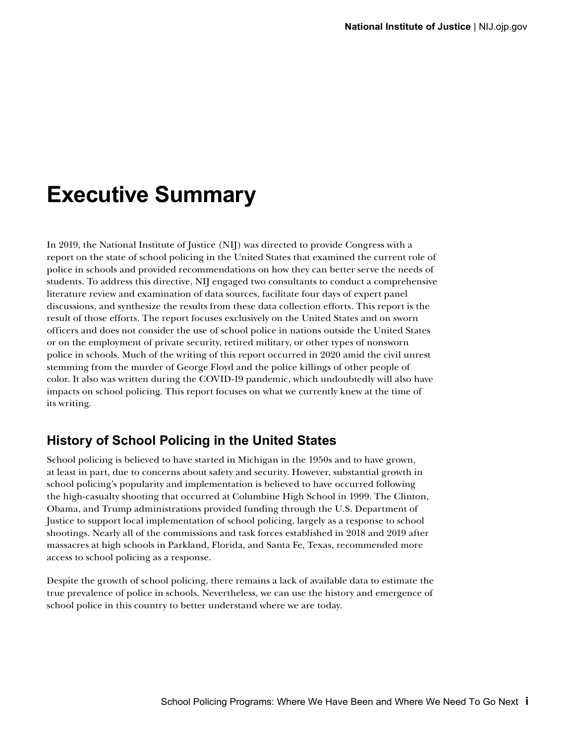## <span id="page-2-0"></span>**Executive Summary**

In 2019, the National Institute of Justice (NIJ) was directed to provide Congress with a report on the state of school policing in the United States that examined the current role of police in schools and provided recommendations on how they can better serve the needs of students. To address this directive, NIJ engaged two consultants to conduct a comprehensive literature review and examination of data sources, facilitate four days of expert panel discussions, and synthesize the results from these data collection efforts. This report is the result of those efforts. The report focuses exclusively on the United States and on sworn officers and does not consider the use of school police in nations outside the United States or on the employment of private security, retired military, or other types of nonsworn police in schools. Much of the writing of this report occurred in 2020 amid the civil unrest stemming from the murder of George Floyd and the police killings of other people of color. It also was written during the COVID-19 pandemic, which undoubtedly will also have impacts on school policing. This report focuses on what we currently knew at the time of its writing.

### **History of School Policing in the United States**

School policing is believed to have started in Michigan in the 1950s and to have grown, at least in part, due to concerns about safety and security. However, substantial growth in school policing's popularity and implementation is believed to have occurred following the high-casualty shooting that occurred at Columbine High School in 1999. The Clinton, Obama, and Trump administrations provided funding through the U.S. Department of Justice to support local implementation of school policing, largely as a response to school shootings. Nearly all of the commissions and task forces established in 2018 and 2019 after massacres at high schools in Parkland, Florida, and Santa Fe, Texas, recommended more access to school policing as a response.

Despite the growth of school policing, there remains a lack of available data to estimate the true prevalence of police in schools. Nevertheless, we can use the history and emergence of school police in this country to better understand where we are today.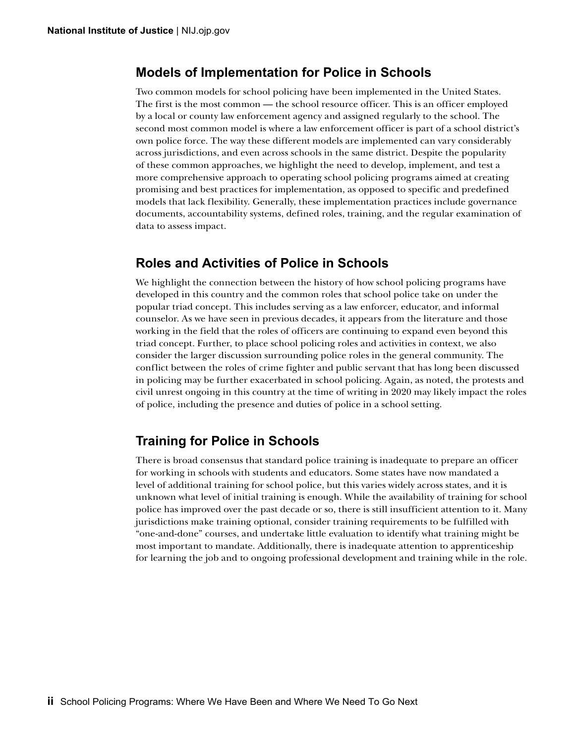### <span id="page-3-0"></span>**Models of Implementation for Police in Schools**

Two common models for school policing have been implemented in the United States. The first is the most common — the school resource officer. This is an officer employed by a local or county law enforcement agency and assigned regularly to the school. The second most common model is where a law enforcement officer is part of a school district's own police force. The way these different models are implemented can vary considerably across jurisdictions, and even across schools in the same district. Despite the popularity of these common approaches, we highlight the need to develop, implement, and test a more comprehensive approach to operating school policing programs aimed at creating promising and best practices for implementation, as opposed to specific and predefined models that lack flexibility. Generally, these implementation practices include governance documents, accountability systems, defined roles, training, and the regular examination of data to assess impact.

### **Roles and Activities of Police in Schools**

We highlight the connection between the history of how school policing programs have developed in this country and the common roles that school police take on under the popular triad concept. This includes serving as a law enforcer, educator, and informal counselor. As we have seen in previous decades, it appears from the literature and those working in the field that the roles of officers are continuing to expand even beyond this triad concept. Further, to place school policing roles and activities in context, we also consider the larger discussion surrounding police roles in the general community. The conflict between the roles of crime fighter and public servant that has long been discussed in policing may be further exacerbated in school policing. Again, as noted, the protests and civil unrest ongoing in this country at the time of writing in 2020 may likely impact the roles of police, including the presence and duties of police in a school setting.

### **Training for Police in Schools**

There is broad consensus that standard police training is inadequate to prepare an officer for working in schools with students and educators. Some states have now mandated a level of additional training for school police, but this varies widely across states, and it is unknown what level of initial training is enough. While the availability of training for school police has improved over the past decade or so, there is still insufficient attention to it. Many jurisdictions make training optional, consider training requirements to be fulfilled with "one-and-done" courses, and undertake little evaluation to identify what training might be most important to mandate. Additionally, there is inadequate attention to apprenticeship for learning the job and to ongoing professional development and training while in the role.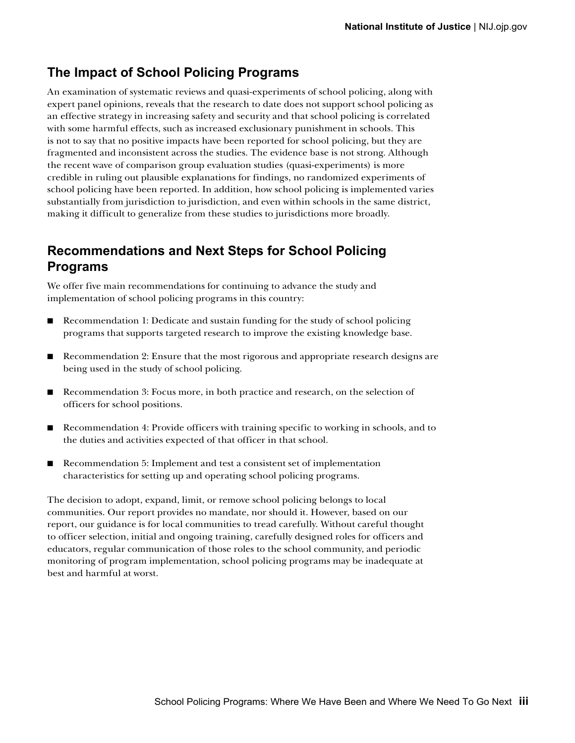### <span id="page-4-0"></span>**The Impact of School Policing Programs**

An examination of systematic reviews and quasi-experiments of school policing, along with expert panel opinions, reveals that the research to date does not support school policing as an effective strategy in increasing safety and security and that school policing is correlated with some harmful effects, such as increased exclusionary punishment in schools. This is not to say that no positive impacts have been reported for school policing, but they are fragmented and inconsistent across the studies. The evidence base is not strong. Although the recent wave of comparison group evaluation studies (quasi-experiments) is more credible in ruling out plausible explanations for findings, no randomized experiments of school policing have been reported. In addition, how school policing is implemented varies substantially from jurisdiction to jurisdiction, and even within schools in the same district, making it difficult to generalize from these studies to jurisdictions more broadly.

### **Recommendations and Next Steps for School Policing Programs**

We offer five main recommendations for continuing to advance the study and implementation of school policing programs in this country:

- Recommendation 1: Dedicate and sustain funding for the study of school policing programs that supports targeted research to improve the existing knowledge base.
- Recommendation 2: Ensure that the most rigorous and appropriate research designs are being used in the study of school policing.
- Recommendation 3: Focus more, in both practice and research, on the selection of officers for school positions.
- Recommendation 4: Provide officers with training specific to working in schools, and to the duties and activities expected of that officer in that school.
- Recommendation 5: Implement and test a consistent set of implementation characteristics for setting up and operating school policing programs.

The decision to adopt, expand, limit, or remove school policing belongs to local communities. Our report provides no mandate, nor should it. However, based on our report, our guidance is for local communities to tread carefully. Without careful thought to officer selection, initial and ongoing training, carefully designed roles for officers and educators, regular communication of those roles to the school community, and periodic monitoring of program implementation, school policing programs may be inadequate at best and harmful at worst.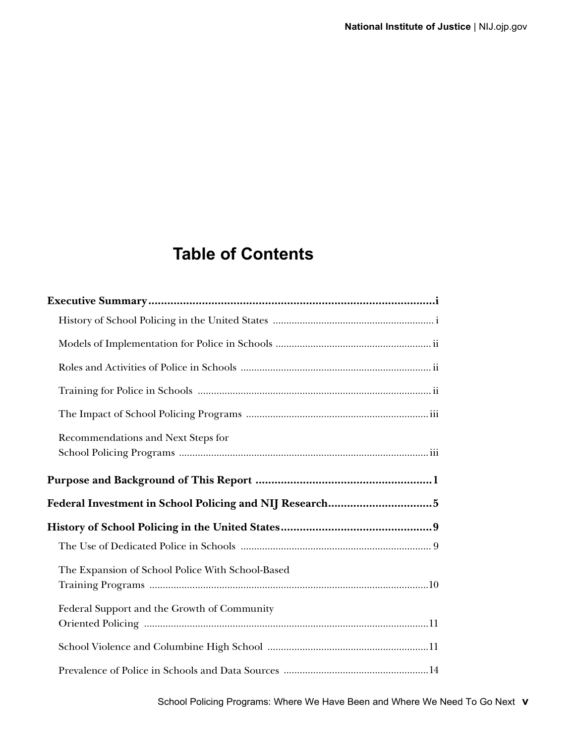### **Table of Contents**

| Recommendations and Next Steps for               |  |
|--------------------------------------------------|--|
|                                                  |  |
|                                                  |  |
|                                                  |  |
|                                                  |  |
|                                                  |  |
| The Expansion of School Police With School-Based |  |
| Federal Support and the Growth of Community      |  |
|                                                  |  |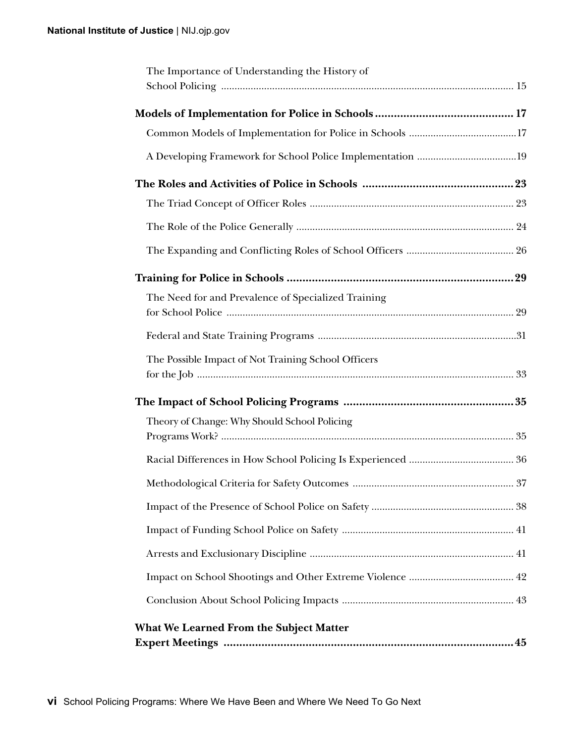| The Importance of Understanding the History of      |
|-----------------------------------------------------|
|                                                     |
|                                                     |
|                                                     |
|                                                     |
|                                                     |
|                                                     |
|                                                     |
|                                                     |
| The Need for and Prevalence of Specialized Training |
|                                                     |
| The Possible Impact of Not Training School Officers |
|                                                     |
| Theory of Change: Why Should School Policing        |
|                                                     |
| 37                                                  |
|                                                     |
|                                                     |
|                                                     |
|                                                     |
|                                                     |
| <b>What We Learned From the Subject Matter</b>      |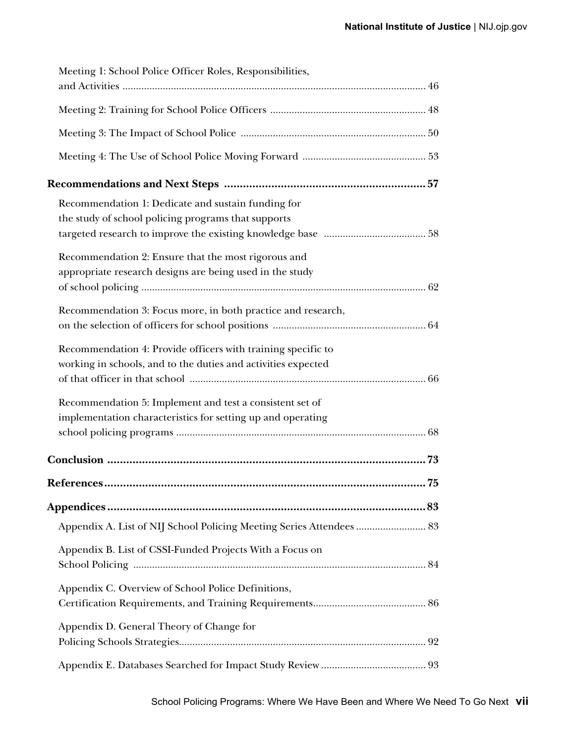| Meeting 1: School Police Officer Roles, Responsibilities,            |    |
|----------------------------------------------------------------------|----|
|                                                                      |    |
|                                                                      |    |
|                                                                      |    |
|                                                                      |    |
|                                                                      |    |
| Recommendation 1: Dedicate and sustain funding for                   |    |
| the study of school policing programs that supports                  |    |
|                                                                      |    |
| Recommendation 2: Ensure that the most rigorous and                  |    |
| appropriate research designs are being used in the study             |    |
|                                                                      |    |
| Recommendation 3: Focus more, in both practice and research,         |    |
|                                                                      |    |
| Recommendation 4: Provide officers with training specific to         |    |
| working in schools, and to the duties and activities expected        |    |
|                                                                      |    |
| Recommendation 5: Implement and test a consistent set of             |    |
| implementation characteristics for setting up and operating          |    |
|                                                                      |    |
|                                                                      |    |
|                                                                      |    |
| References                                                           | 75 |
|                                                                      |    |
| Appendix A. List of NIJ School Policing Meeting Series Attendees  83 |    |
| Appendix B. List of CSSI-Funded Projects With a Focus on             |    |
|                                                                      |    |
| Appendix C. Overview of School Police Definitions,                   |    |
|                                                                      |    |
| Appendix D. General Theory of Change for                             |    |
|                                                                      |    |
|                                                                      |    |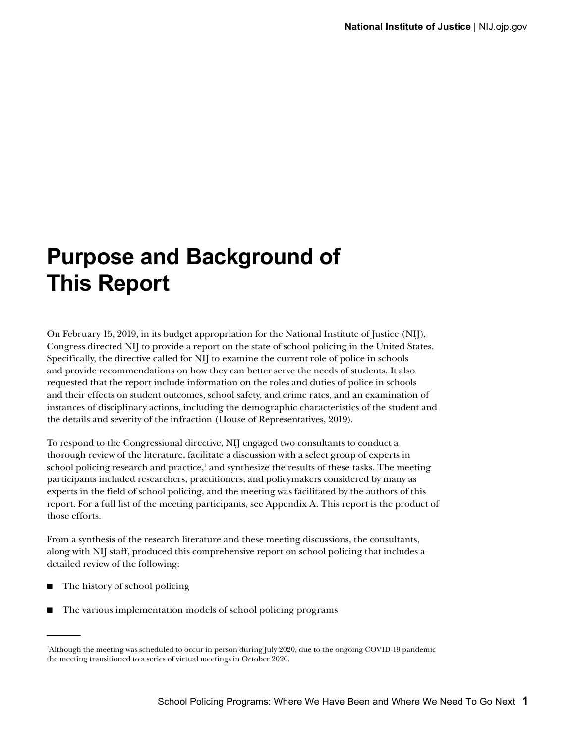## <span id="page-10-0"></span>**Purpose and Background of This Report**

On February 15, 2019, in its budget appropriation for the National Institute of Justice (NIJ), Congress directed NIJ to provide a report on the state of school policing in the United States. Specifically, the directive called for NIJ to examine the current role of police in schools and provide recommendations on how they can better serve the needs of students. It also requested that the report include information on the roles and duties of police in schools and their effects on student outcomes, school safety, and crime rates, and an examination of instances of disciplinary actions, including the demographic characteristics of the student and the details and severity of the infraction (House of Representatives, 2019).

To respond to the Congressional directive, NIJ engaged two consultants to conduct a thorough review of the literature, facilitate a discussion with a select group of experts in school policing research and practice,<sup>1</sup> and synthesize the results of these tasks. The meeting participants included researchers, practitioners, and policymakers considered by many as experts in the field of school policing, and the meeting was facilitated by the authors of this report. For a full list of the meeting participants, see Appendix A. This report is the product of those efforts.

From a synthesis of the research literature and these meeting discussions, the consultants, along with NIJ staff, produced this comprehensive report on school policing that includes a detailed review of the following:

- The history of school policing
- The various implementation models of school policing programs

<sup>1</sup> Although the meeting was scheduled to occur in person during July 2020, due to the ongoing COVID-19 pandemic the meeting transitioned to a series of virtual meetings in October 2020.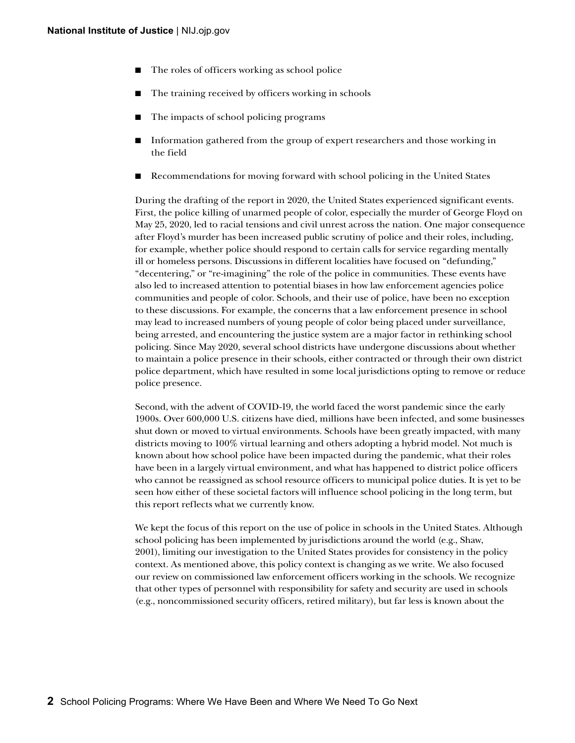- The roles of officers working as school police
- The training received by officers working in schools
- The impacts of school policing programs
- Information gathered from the group of expert researchers and those working in the field
- Recommendations for moving forward with school policing in the United States

During the drafting of the report in 2020, the United States experienced significant events. First, the police killing of unarmed people of color, especially the murder of George Floyd on May 25, 2020, led to racial tensions and civil unrest across the nation. One major consequence after Floyd's murder has been increased public scrutiny of police and their roles, including, for example, whether police should respond to certain calls for service regarding mentally ill or homeless persons. Discussions in different localities have focused on "defunding," "decentering," or "re-imagining" the role of the police in communities. These events have also led to increased attention to potential biases in how law enforcement agencies police communities and people of color. Schools, and their use of police, have been no exception to these discussions. For example, the concerns that a law enforcement presence in school may lead to increased numbers of young people of color being placed under surveillance, being arrested, and encountering the justice system are a major factor in rethinking school policing. Since May 2020, several school districts have undergone discussions about whether to maintain a police presence in their schools, either contracted or through their own district police department, which have resulted in some local jurisdictions opting to remove or reduce police presence.

Second, with the advent of COVID-19, the world faced the worst pandemic since the early 1900s. Over 600,000 U.S. citizens have died, millions have been infected, and some businesses shut down or moved to virtual environments. Schools have been greatly impacted, with many districts moving to 100% virtual learning and others adopting a hybrid model. Not much is known about how school police have been impacted during the pandemic, what their roles have been in a largely virtual environment, and what has happened to district police officers who cannot be reassigned as school resource officers to municipal police duties. It is yet to be seen how either of these societal factors will influence school policing in the long term, but this report reflects what we currently know.

We kept the focus of this report on the use of police in schools in the United States. Although school policing has been implemented by jurisdictions around the world (e.g., Shaw, 2001), limiting our investigation to the United States provides for consistency in the policy context. As mentioned above, this policy context is changing as we write. We also focused our review on commissioned law enforcement officers working in the schools. We recognize that other types of personnel with responsibility for safety and security are used in schools (e.g., noncommissioned security officers, retired military), but far less is known about the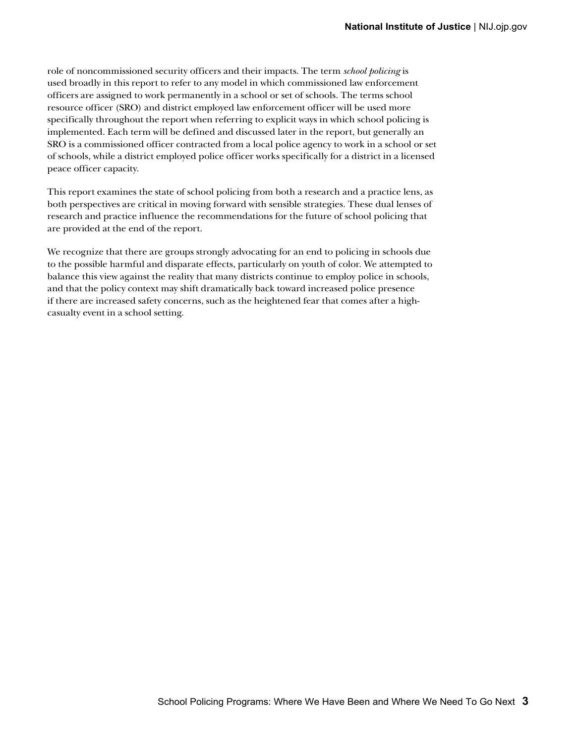role of noncommissioned security officers and their impacts. The term *school policing* is used broadly in this report to refer to any model in which commissioned law enforcement officers are assigned to work permanently in a school or set of schools. The terms school resource officer (SRO) and district employed law enforcement officer will be used more specifically throughout the report when referring to explicit ways in which school policing is implemented. Each term will be defined and discussed later in the report, but generally an SRO is a commissioned officer contracted from a local police agency to work in a school or set of schools, while a district employed police officer works specifically for a district in a licensed peace officer capacity.

This report examines the state of school policing from both a research and a practice lens, as both perspectives are critical in moving forward with sensible strategies. These dual lenses of research and practice influence the recommendations for the future of school policing that are provided at the end of the report.

We recognize that there are groups strongly advocating for an end to policing in schools due to the possible harmful and disparate effects, particularly on youth of color. We attempted to balance this view against the reality that many districts continue to employ police in schools, and that the policy context may shift dramatically back toward increased police presence if there are increased safety concerns, such as the heightened fear that comes after a highcasualty event in a school setting.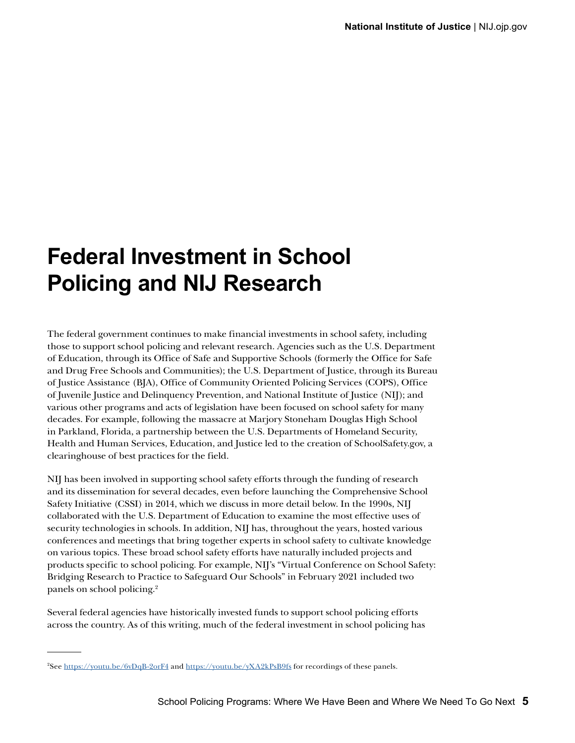## <span id="page-14-0"></span>**Federal Investment in School Policing and NIJ Research**

The federal government continues to make financial investments in school safety, including those to support school policing and relevant research. Agencies such as the U.S. Department of Education, through its Office of Safe and Supportive Schools (formerly the Office for Safe and Drug Free Schools and Communities); the U.S. Department of Justice, through its Bureau of Justice Assistance (BJA), Office of Community Oriented Policing Services (COPS), Office of Juvenile Justice and Delinquency Prevention, and National Institute of Justice (NIJ); and various other programs and acts of legislation have been focused on school safety for many decades. For example, following the massacre at Marjory Stoneham Douglas High School in Parkland, Florida, a partnership between the U.S. Departments of Homeland Security, Health and Human Services, Education, and Justice led to the creation of SchoolSafety.gov, a clearinghouse of best practices for the field.

NIJ has been involved in supporting school safety efforts through the funding of research and its dissemination for several decades, even before launching the Comprehensive School Safety Initiative (CSSI) in 2014, which we discuss in more detail below. In the 1990s, NIJ collaborated with the U.S. Department of Education to examine the most effective uses of security technologies in schools. In addition, NIJ has, throughout the years, hosted various conferences and meetings that bring together experts in school safety to cultivate knowledge on various topics. These broad school safety efforts have naturally included projects and products specific to school policing. For example, NIJ's "Virtual Conference on School Safety: Bridging Research to Practice to Safeguard Our Schools" in February 2021 included two panels on school policing.2

Several federal agencies have historically invested funds to support school policing efforts across the country. As of this writing, much of the federal investment in school policing has

<sup>2</sup> See<https://youtu.be/6vDqB-2orF4>and <https://youtu.be/yXA2kPsB9fs> for recordings of these panels.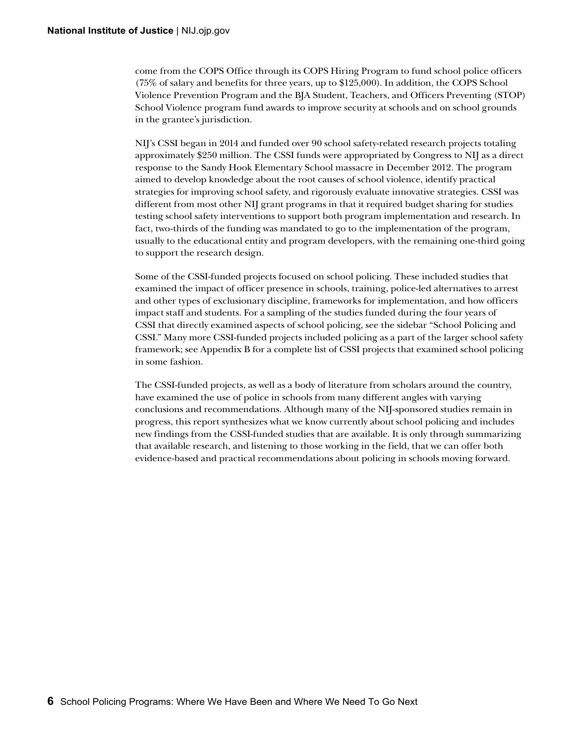come from the COPS Office through its COPS Hiring Program to fund school police officers (75% of salary and benefits for three years, up to \$125,000). In addition, the COPS School Violence Prevention Program and the BJA Student, Teachers, and Officers Preventing (STOP) School Violence program fund awards to improve security at schools and on school grounds in the grantee's jurisdiction.

NIJ's CSSI began in 2014 and funded over 90 school safety-related research projects totaling approximately \$250 million. The CSSI funds were appropriated by Congress to NIJ as a direct response to the Sandy Hook Elementary School massacre in December 2012. The program aimed to develop knowledge about the root causes of school violence, identify practical strategies for improving school safety, and rigorously evaluate innovative strategies. CSSI was different from most other NIJ grant programs in that it required budget sharing for studies testing school safety interventions to support both program implementation and research. In fact, two-thirds of the funding was mandated to go to the implementation of the program, usually to the educational entity and program developers, with the remaining one-third going to support the research design.

Some of the CSSI-funded projects focused on school policing. These included studies that examined the impact of officer presence in schools, training, police-led alternatives to arrest and other types of exclusionary discipline, frameworks for implementation, and how officers impact staff and students. For a sampling of the studies funded during the four years of CSSI that directly examined aspects of school policing, see the sidebar "School Policing and CSSI." Many more CSSI-funded projects included policing as a part of the larger school safety framework; see Appendix B for a complete list of CSSI projects that examined school policing in some fashion.

The CSSI-funded projects, as well as a body of literature from scholars around the country, have examined the use of police in schools from many different angles with varying conclusions and recommendations. Although many of the NIJ-sponsored studies remain in progress, this report synthesizes what we know currently about school policing and includes new findings from the CSSI-funded studies that are available. It is only through summarizing that available research, and listening to those working in the field, that we can offer both evidence-based and practical recommendations about policing in schools moving forward.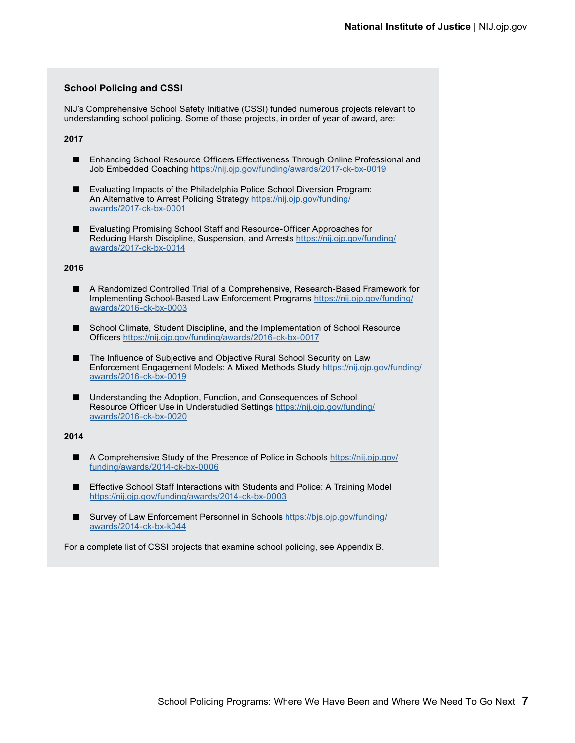#### **School Policing and CSSI**

NIJ's Comprehensive School Safety Initiative (CSSI) funded numerous projects relevant to understanding school policing. Some of those projects, in order of year of award, are:

#### **2017**

- Enhancing School Resource Officers Effectiveness Through Online Professional and Job Embedded Coaching<https://nij.ojp.gov/funding/awards/2017-ck-bx-0019>
- Evaluating Impacts of the Philadelphia Police School Diversion Program: An Alternative to Arrest Policing Strategy [https://nij.ojp.gov/funding/](https://nij.ojp.gov/funding/awards/2017-ck-bx-0001) [awards/2017-ck-bx-0001](https://nij.ojp.gov/funding/awards/2017-ck-bx-0001)
- Evaluating Promising School Staff and Resource-Officer Approaches for Reducing Harsh Discipline, Suspension, and Arrests [https://nij.ojp.gov/funding/](https://nij.ojp.gov/funding/awards/2017-ck-bx-0014) [awards/2017-ck-bx-0014](https://nij.ojp.gov/funding/awards/2017-ck-bx-0014)

#### **2016**

- A Randomized Controlled Trial of a Comprehensive, Research-Based Framework for Implementing School-Based Law Enforcement Programs [https://nij.ojp.gov/funding/](https://nij.ojp.gov/funding/awards/2016-ck-bx-0003) [awards/2016-ck-bx-0003](https://nij.ojp.gov/funding/awards/2016-ck-bx-0003)
- School Climate, Student Discipline, and the Implementation of School Resource Officers<https://nij.ojp.gov/funding/awards/2016-ck-bx-0017>
- The Influence of Subjective and Objective Rural School Security on Law Enforcement Engagement Models: A Mixed Methods Study [https://nij.ojp.gov/funding/](https://nij.ojp.gov/funding/awards/2016-ck-bx-0019) [awards/2016-ck-bx-0019](https://nij.ojp.gov/funding/awards/2016-ck-bx-0019)
- Understanding the Adoption, Function, and Consequences of School Resource Officer Use in Understudied Settings [https://nij.ojp.gov/funding/](https://nij.ojp.gov/funding/awards/2016-ck-bx-0020) [awards/2016-ck-bx-0020](https://nij.ojp.gov/funding/awards/2016-ck-bx-0020)

#### **2014**

- A Comprehensive Study of the Presence of Police in Schools [https://nij.ojp.gov/](https://nij.ojp.gov/funding/awards/2014-ck-bx-0006) [funding/awards/2014-ck-bx-0006](https://nij.ojp.gov/funding/awards/2014-ck-bx-0006)
- Effective School Staff Interactions with Students and Police: A Training Model <https://nij.ojp.gov/funding/awards/2014-ck-bx-0003>
- Survey of Law Enforcement Personnel in Schools [https://bjs.ojp.gov/funding/](https://bjs.ojp.gov/funding/awards/2014-ck-bx-k044) [awards/2014-ck-bx-k044](https://bjs.ojp.gov/funding/awards/2014-ck-bx-k044)

For a complete list of CSSI projects that examine school policing, see Appendix B.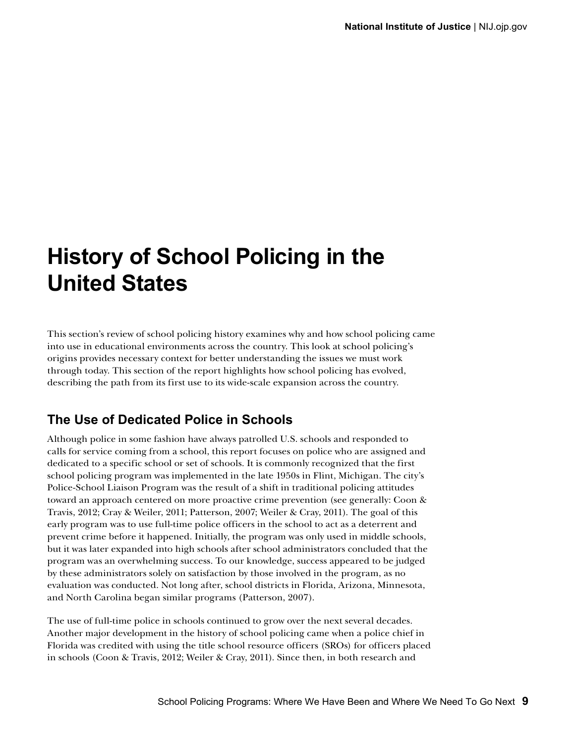## <span id="page-18-0"></span>**History of School Policing in the United States**

This section's review of school policing history examines why and how school policing came into use in educational environments across the country. This look at school policing's origins provides necessary context for better understanding the issues we must work through today. This section of the report highlights how school policing has evolved, describing the path from its first use to its wide-scale expansion across the country.

### **The Use of Dedicated Police in Schools**

Although police in some fashion have always patrolled U.S. schools and responded to calls for service coming from a school, this report focuses on police who are assigned and dedicated to a specific school or set of schools. It is commonly recognized that the first school policing program was implemented in the late 1950s in Flint, Michigan. The city's Police-School Liaison Program was the result of a shift in traditional policing attitudes toward an approach centered on more proactive crime prevention (see generally: Coon & Travis, 2012; Cray & Weiler, 2011; Patterson, 2007; Weiler & Cray, 2011). The goal of this early program was to use full-time police officers in the school to act as a deterrent and prevent crime before it happened. Initially, the program was only used in middle schools, but it was later expanded into high schools after school administrators concluded that the program was an overwhelming success. To our knowledge, success appeared to be judged by these administrators solely on satisfaction by those involved in the program, as no evaluation was conducted. Not long after, school districts in Florida, Arizona, Minnesota, and North Carolina began similar programs (Patterson, 2007).

The use of full-time police in schools continued to grow over the next several decades. Another major development in the history of school policing came when a police chief in Florida was credited with using the title school resource officers (SROs) for officers placed in schools (Coon & Travis, 2012; Weiler & Cray, 2011). Since then, in both research and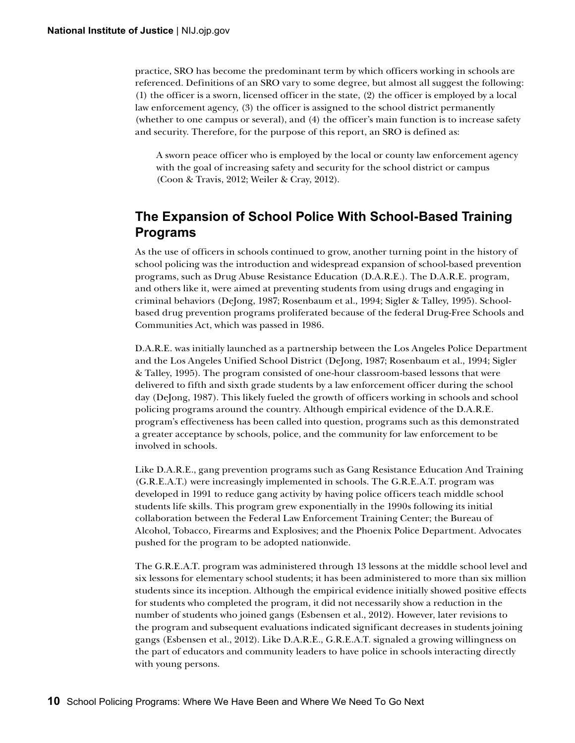<span id="page-19-0"></span>practice, SRO has become the predominant term by which officers working in schools are referenced. Definitions of an SRO vary to some degree, but almost all suggest the following: (1) the officer is a sworn, licensed officer in the state, (2) the officer is employed by a local law enforcement agency, (3) the officer is assigned to the school district permanently (whether to one campus or several), and (4) the officer's main function is to increase safety and security. Therefore, for the purpose of this report, an SRO is defined as:

A sworn peace officer who is employed by the local or county law enforcement agency with the goal of increasing safety and security for the school district or campus (Coon & Travis, 2012; Weiler & Cray, 2012).

### **The Expansion of School Police With School-Based Training Programs**

As the use of officers in schools continued to grow, another turning point in the history of school policing was the introduction and widespread expansion of school-based prevention programs, such as Drug Abuse Resistance Education (D.A.R.E.). The D.A.R.E. program, and others like it, were aimed at preventing students from using drugs and engaging in criminal behaviors (DeJong, 1987; Rosenbaum et al., 1994; Sigler & Talley, 1995). Schoolbased drug prevention programs proliferated because of the federal Drug-Free Schools and Communities Act, which was passed in 1986.

D.A.R.E. was initially launched as a partnership between the Los Angeles Police Department and the Los Angeles Unified School District (DeJong, 1987; Rosenbaum et al., 1994; Sigler & Talley, 1995). The program consisted of one-hour classroom-based lessons that were delivered to fifth and sixth grade students by a law enforcement officer during the school day (DeJong, 1987). This likely fueled the growth of officers working in schools and school policing programs around the country. Although empirical evidence of the D.A.R.E. program's effectiveness has been called into question, programs such as this demonstrated a greater acceptance by schools, police, and the community for law enforcement to be involved in schools.

Like D.A.R.E., gang prevention programs such as Gang Resistance Education And Training (G.R.E.A.T.) were increasingly implemented in schools. The G.R.E.A.T. program was developed in 1991 to reduce gang activity by having police officers teach middle school students life skills. This program grew exponentially in the 1990s following its initial collaboration between the Federal Law Enforcement Training Center; the Bureau of Alcohol, Tobacco, Firearms and Explosives; and the Phoenix Police Department. Advocates pushed for the program to be adopted nationwide.

The G.R.E.A.T. program was administered through 13 lessons at the middle school level and six lessons for elementary school students; it has been administered to more than six million students since its inception. Although the empirical evidence initially showed positive effects for students who completed the program, it did not necessarily show a reduction in the number of students who joined gangs (Esbensen et al., 2012). However, later revisions to the program and subsequent evaluations indicated significant decreases in students joining gangs (Esbensen et al., 2012). Like D.A.R.E., G.R.E.A.T. signaled a growing willingness on the part of educators and community leaders to have police in schools interacting directly with young persons.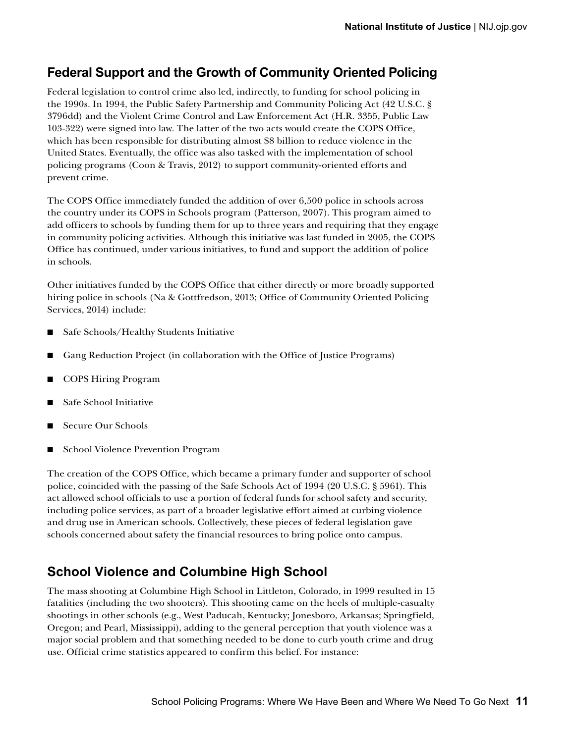### <span id="page-20-0"></span>**Federal Support and the Growth of Community Oriented Policing**

Federal legislation to control crime also led, indirectly, to funding for school policing in the 1990s. In 1994, the Public Safety Partnership and Community Policing Act (42 U.S.C. § 3796dd) and the Violent Crime Control and Law Enforcement Act (H.R. 3355, Public Law 103-322) were signed into law. The latter of the two acts would create the COPS Office, which has been responsible for distributing almost \$8 billion to reduce violence in the United States. Eventually, the office was also tasked with the implementation of school policing programs (Coon & Travis, 2012) to support community-oriented efforts and prevent crime.

The COPS Office immediately funded the addition of over 6,500 police in schools across the country under its COPS in Schools program (Patterson, 2007). This program aimed to add officers to schools by funding them for up to three years and requiring that they engage in community policing activities. Although this initiative was last funded in 2005, the COPS Office has continued, under various initiatives, to fund and support the addition of police in schools.

Other initiatives funded by the COPS Office that either directly or more broadly supported hiring police in schools (Na & Gottfredson, 2013; Office of Community Oriented Policing Services, 2014) include:

- Safe Schools/Healthy Students Initiative
- Gang Reduction Project (in collaboration with the Office of Justice Programs)
- COPS Hiring Program
- Safe School Initiative
- Secure Our Schools
- School Violence Prevention Program

The creation of the COPS Office, which became a primary funder and supporter of school police, coincided with the passing of the Safe Schools Act of 1994 (20 U.S.C. § 5961). This act allowed school officials to use a portion of federal funds for school safety and security, including police services, as part of a broader legislative effort aimed at curbing violence and drug use in American schools. Collectively, these pieces of federal legislation gave schools concerned about safety the financial resources to bring police onto campus.

### **School Violence and Columbine High School**

The mass shooting at Columbine High School in Littleton, Colorado, in 1999 resulted in 15 fatalities (including the two shooters). This shooting came on the heels of multiple-casualty shootings in other schools (e.g., West Paducah, Kentucky; Jonesboro, Arkansas; Springfield, Oregon; and Pearl, Mississippi), adding to the general perception that youth violence was a major social problem and that something needed to be done to curb youth crime and drug use. Official crime statistics appeared to confirm this belief. For instance: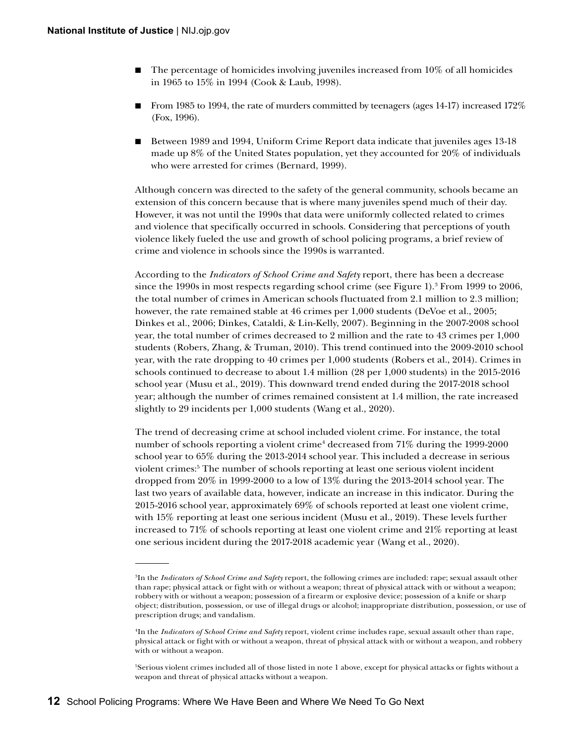- The percentage of homicides involving juveniles increased from  $10\%$  of all homicides in 1965 to 15% in 1994 (Cook & Laub, 1998).
- From 1985 to 1994, the rate of murders committed by teenagers (ages 14-17) increased 172% (Fox, 1996).
- Between 1989 and 1994, Uniform Crime Report data indicate that juveniles ages 13-18 made up 8% of the United States population, yet they accounted for 20% of individuals who were arrested for crimes (Bernard, 1999).

Although concern was directed to the safety of the general community, schools became an extension of this concern because that is where many juveniles spend much of their day. However, it was not until the 1990s that data were uniformly collected related to crimes and violence that specifically occurred in schools. Considering that perceptions of youth violence likely fueled the use and growth of school policing programs, a brief review of crime and violence in schools since the 1990s is warranted.

According to the *Indicators of School Crime and Safety* report, there has been a decrease since the 1990s in most respects regarding school crime (see Figure 1).<sup>3</sup> From 1999 to 2006, the total number of crimes in American schools fluctuated from 2.1 million to 2.3 million; however, the rate remained stable at 46 crimes per 1,000 students (DeVoe et al., 2005; Dinkes et al., 2006; Dinkes, Cataldi, & Lin-Kelly, 2007). Beginning in the 2007-2008 school year, the total number of crimes decreased to 2 million and the rate to 43 crimes per 1,000 students (Robers, Zhang, & Truman, 2010). This trend continued into the 2009-2010 school year, with the rate dropping to 40 crimes per 1,000 students (Robers et al., 2014). Crimes in schools continued to decrease to about 1.4 million (28 per 1,000 students) in the 2015-2016 school year (Musu et al., 2019). This downward trend ended during the 2017-2018 school year; although the number of crimes remained consistent at 1.4 million, the rate increased slightly to 29 incidents per 1,000 students (Wang et al., 2020).

The trend of decreasing crime at school included violent crime. For instance, the total number of schools reporting a violent crime<sup>4</sup> decreased from 71% during the 1999-2000 school year to 65% during the 2013-2014 school year. This included a decrease in serious violent crimes:5 The number of schools reporting at least one serious violent incident dropped from 20% in 1999-2000 to a low of 13% during the 2013-2014 school year. The last two years of available data, however, indicate an increase in this indicator. During the 2015-2016 school year, approximately 69% of schools reported at least one violent crime, with 15% reporting at least one serious incident (Musu et al., 2019). These levels further increased to 71% of schools reporting at least one violent crime and 21% reporting at least one serious incident during the 2017-2018 academic year (Wang et al., 2020).

<sup>3</sup> In the *Indicators of School Crime and Safety* report, the following crimes are included: rape; sexual assault other than rape; physical attack or fight with or without a weapon; threat of physical attack with or without a weapon; robbery with or without a weapon; possession of a firearm or explosive device; possession of a knife or sharp object; distribution, possession, or use of illegal drugs or alcohol; inappropriate distribution, possession, or use of prescription drugs; and vandalism.

<sup>4</sup> In the *Indicators of School Crime and Safety* report, violent crime includes rape, sexual assault other than rape, physical attack or fight with or without a weapon, threat of physical attack with or without a weapon, and robbery with or without a weapon.

<sup>5</sup> Serious violent crimes included all of those listed in note 1 above, except for physical attacks or fights without a weapon and threat of physical attacks without a weapon.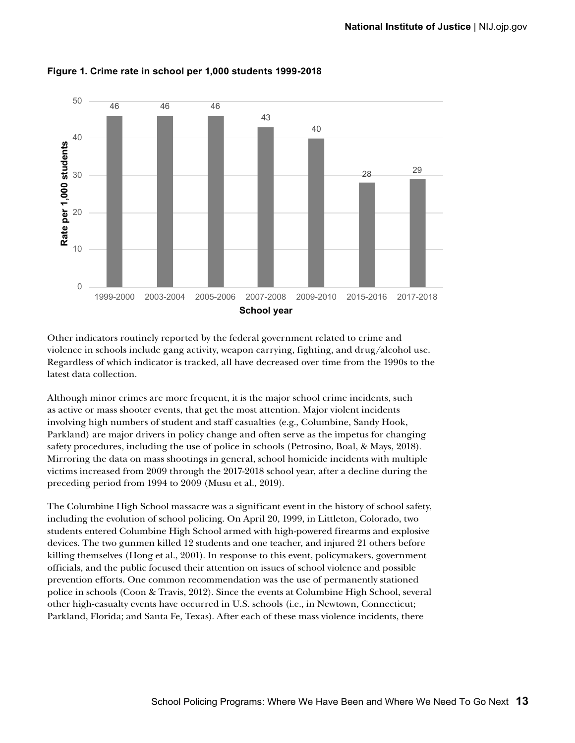

**Figure 1. Crime rate in school per 1,000 students 1999-2018**

Other indicators routinely reported by the federal government related to crime and violence in schools include gang activity, weapon carrying, fighting, and drug/alcohol use. Regardless of which indicator is tracked, all have decreased over time from the 1990s to the latest data collection.

Although minor crimes are more frequent, it is the major school crime incidents, such as active or mass shooter events, that get the most attention. Major violent incidents involving high numbers of student and staff casualties (e.g., Columbine, Sandy Hook, Parkland) are major drivers in policy change and often serve as the impetus for changing safety procedures, including the use of police in schools (Petrosino, Boal, & Mays, 2018). Mirroring the data on mass shootings in general, school homicide incidents with multiple victims increased from 2009 through the 2017-2018 school year, after a decline during the preceding period from 1994 to 2009 (Musu et al., 2019).

The Columbine High School massacre was a significant event in the history of school safety, including the evolution of school policing. On April 20, 1999, in Littleton, Colorado, two students entered Columbine High School armed with high-powered firearms and explosive devices. The two gunmen killed 12 students and one teacher, and injured 21 others before killing themselves (Hong et al., 2001). In response to this event, policymakers, government officials, and the public focused their attention on issues of school violence and possible prevention efforts. One common recommendation was the use of permanently stationed police in schools (Coon & Travis, 2012). Since the events at Columbine High School, several other high-casualty events have occurred in U.S. schools (i.e., in Newtown, Connecticut; Parkland, Florida; and Santa Fe, Texas). After each of these mass violence incidents, there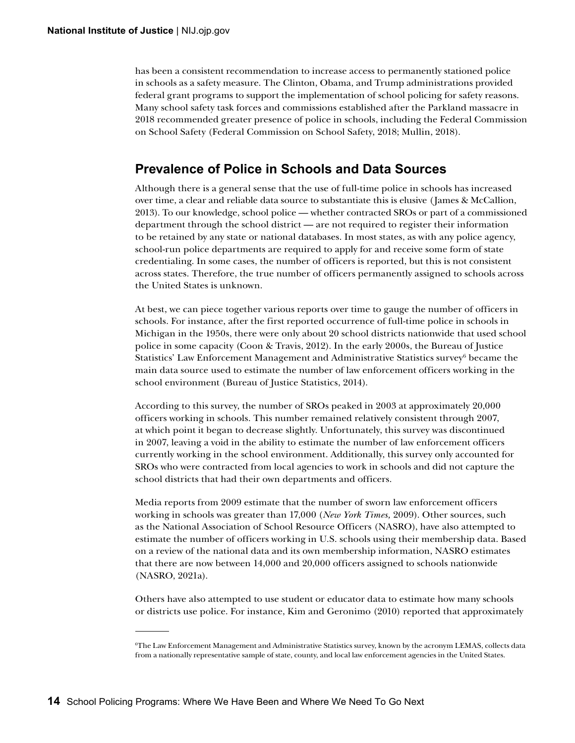<span id="page-23-0"></span>has been a consistent recommendation to increase access to permanently stationed police in schools as a safety measure. The Clinton, Obama, and Trump administrations provided federal grant programs to support the implementation of school policing for safety reasons. Many school safety task forces and commissions established after the Parkland massacre in 2018 recommended greater presence of police in schools, including the Federal Commission on School Safety (Federal Commission on School Safety, 2018; Mullin, 2018).

### **Prevalence of Police in Schools and Data Sources**

Although there is a general sense that the use of full-time police in schools has increased over time, a clear and reliable data source to substantiate this is elusive (James & McCallion, 2013). To our knowledge, school police — whether contracted SROs or part of a commissioned department through the school district — are not required to register their information to be retained by any state or national databases. In most states, as with any police agency, school-run police departments are required to apply for and receive some form of state credentialing. In some cases, the number of officers is reported, but this is not consistent across states. Therefore, the true number of officers permanently assigned to schools across the United States is unknown.

At best, we can piece together various reports over time to gauge the number of officers in schools. For instance, after the first reported occurrence of full-time police in schools in Michigan in the 1950s, there were only about 20 school districts nationwide that used school police in some capacity (Coon & Travis, 2012). In the early 2000s, the Bureau of Justice Statistics' Law Enforcement Management and Administrative Statistics survey<sup>6</sup> became the main data source used to estimate the number of law enforcement officers working in the school environment (Bureau of Justice Statistics, 2014).

According to this survey, the number of SROs peaked in 2003 at approximately 20,000 officers working in schools. This number remained relatively consistent through 2007, at which point it began to decrease slightly. Unfortunately, this survey was discontinued in 2007, leaving a void in the ability to estimate the number of law enforcement officers currently working in the school environment. Additionally, this survey only accounted for SROs who were contracted from local agencies to work in schools and did not capture the school districts that had their own departments and officers.

Media reports from 2009 estimate that the number of sworn law enforcement officers working in schools was greater than 17,000 (*New York Times,* 2009). Other sources, such as the National Association of School Resource Officers (NASRO), have also attempted to estimate the number of officers working in U.S. schools using their membership data. Based on a review of the national data and its own membership information, NASRO estimates that there are now between 14,000 and 20,000 officers assigned to schools nationwide (NASRO, 2021a).

Others have also attempted to use student or educator data to estimate how many schools or districts use police. For instance, Kim and Geronimo (2010) reported that approximately

<sup>6</sup> The Law Enforcement Management and Administrative Statistics survey, known by the acronym LEMAS, collects data from a nationally representative sample of state, county, and local law enforcement agencies in the United States.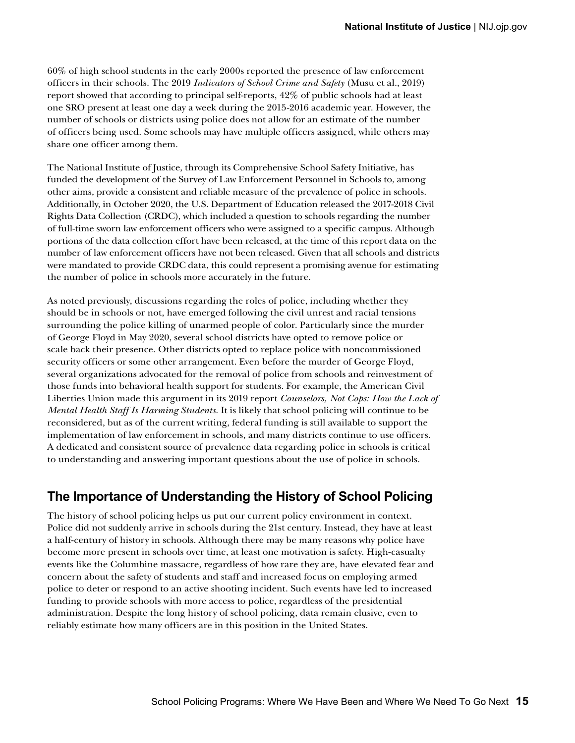<span id="page-24-0"></span>60% of high school students in the early 2000s reported the presence of law enforcement officers in their schools. The 2019 *Indicators of School Crime and Safety* (Musu et al., 2019) report showed that according to principal self-reports, 42% of public schools had at least one SRO present at least one day a week during the 2015-2016 academic year. However, the number of schools or districts using police does not allow for an estimate of the number of officers being used. Some schools may have multiple officers assigned, while others may share one officer among them.

The National Institute of Justice, through its Comprehensive School Safety Initiative, has funded the development of the Survey of Law Enforcement Personnel in Schools to, among other aims, provide a consistent and reliable measure of the prevalence of police in schools. Additionally, in October 2020, the U.S. Department of Education released the 2017-2018 Civil Rights Data Collection (CRDC), which included a question to schools regarding the number of full-time sworn law enforcement officers who were assigned to a specific campus. Although portions of the data collection effort have been released, at the time of this report data on the number of law enforcement officers have not been released. Given that all schools and districts were mandated to provide CRDC data, this could represent a promising avenue for estimating the number of police in schools more accurately in the future.

As noted previously, discussions regarding the roles of police, including whether they should be in schools or not, have emerged following the civil unrest and racial tensions surrounding the police killing of unarmed people of color. Particularly since the murder of George Floyd in May 2020, several school districts have opted to remove police or scale back their presence. Other districts opted to replace police with noncommissioned security officers or some other arrangement. Even before the murder of George Floyd, several organizations advocated for the removal of police from schools and reinvestment of those funds into behavioral health support for students. For example, the American Civil Liberties Union made this argument in its 2019 report *Counselors, Not Cops: How the Lack of Mental Health Staff Is Harming Students*. It is likely that school policing will continue to be reconsidered, but as of the current writing, federal funding is still available to support the implementation of law enforcement in schools, and many districts continue to use officers. A dedicated and consistent source of prevalence data regarding police in schools is critical to understanding and answering important questions about the use of police in schools.

### **The Importance of Understanding the History of School Policing**

The history of school policing helps us put our current policy environment in context. Police did not suddenly arrive in schools during the 21st century. Instead, they have at least a half-century of history in schools. Although there may be many reasons why police have become more present in schools over time, at least one motivation is safety. High-casualty events like the Columbine massacre, regardless of how rare they are, have elevated fear and concern about the safety of students and staff and increased focus on employing armed police to deter or respond to an active shooting incident. Such events have led to increased funding to provide schools with more access to police, regardless of the presidential administration. Despite the long history of school policing, data remain elusive, even to reliably estimate how many officers are in this position in the United States.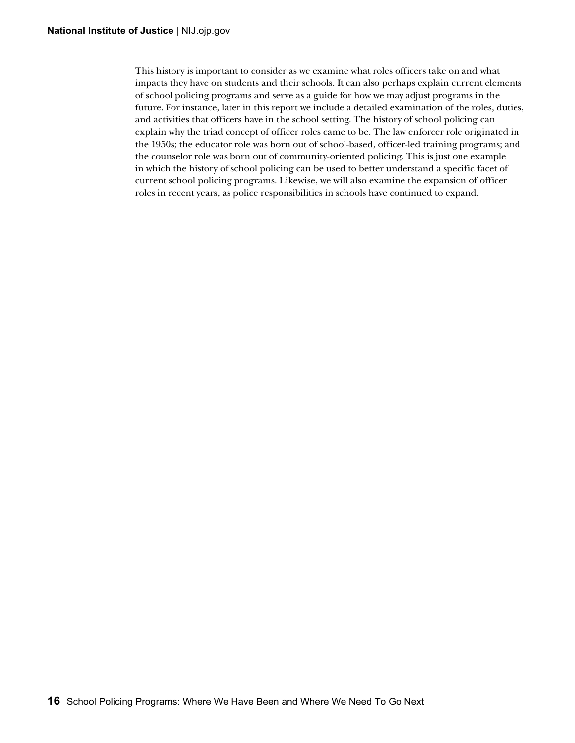This history is important to consider as we examine what roles officers take on and what impacts they have on students and their schools. It can also perhaps explain current elements of school policing programs and serve as a guide for how we may adjust programs in the future. For instance, later in this report we include a detailed examination of the roles, duties, and activities that officers have in the school setting. The history of school policing can explain why the triad concept of officer roles came to be. The law enforcer role originated in the 1950s; the educator role was born out of school-based, officer-led training programs; and the counselor role was born out of community-oriented policing. This is just one example in which the history of school policing can be used to better understand a specific facet of current school policing programs. Likewise, we will also examine the expansion of officer roles in recent years, as police responsibilities in schools have continued to expand.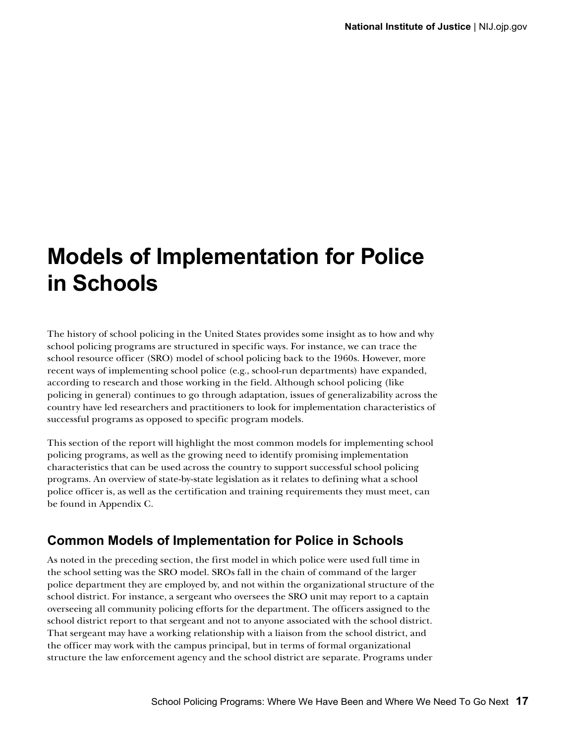## <span id="page-26-0"></span>**Models of Implementation for Police in Schools**

The history of school policing in the United States provides some insight as to how and why school policing programs are structured in specific ways. For instance, we can trace the school resource officer (SRO) model of school policing back to the 1960s. However, more recent ways of implementing school police (e.g., school-run departments) have expanded, according to research and those working in the field. Although school policing (like policing in general) continues to go through adaptation, issues of generalizability across the country have led researchers and practitioners to look for implementation characteristics of successful programs as opposed to specific program models.

This section of the report will highlight the most common models for implementing school policing programs, as well as the growing need to identify promising implementation characteristics that can be used across the country to support successful school policing programs. An overview of state-by-state legislation as it relates to defining what a school police officer is, as well as the certification and training requirements they must meet, can be found in Appendix C.

### **Common Models of Implementation for Police in Schools**

As noted in the preceding section, the first model in which police were used full time in the school setting was the SRO model. SROs fall in the chain of command of the larger police department they are employed by, and not within the organizational structure of the school district. For instance, a sergeant who oversees the SRO unit may report to a captain overseeing all community policing efforts for the department. The officers assigned to the school district report to that sergeant and not to anyone associated with the school district. That sergeant may have a working relationship with a liaison from the school district, and the officer may work with the campus principal, but in terms of formal organizational structure the law enforcement agency and the school district are separate. Programs under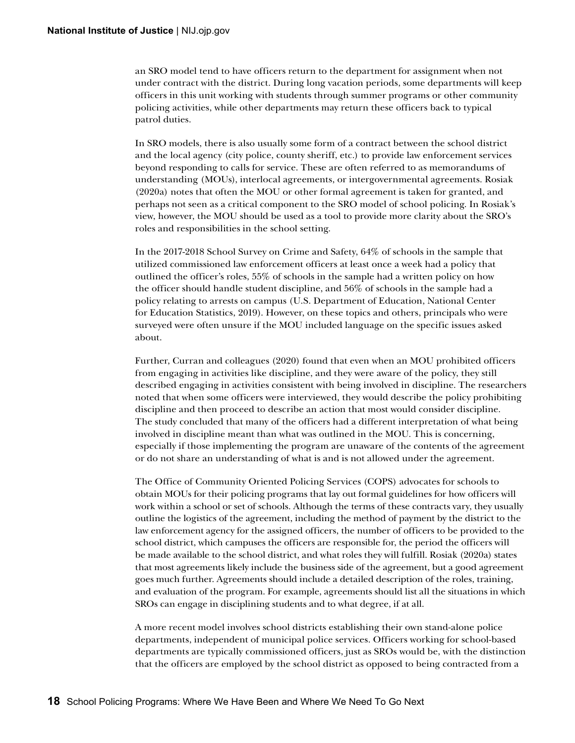an SRO model tend to have officers return to the department for assignment when not under contract with the district. During long vacation periods, some departments will keep officers in this unit working with students through summer programs or other community policing activities, while other departments may return these officers back to typical patrol duties.

In SRO models, there is also usually some form of a contract between the school district and the local agency (city police, county sheriff, etc.) to provide law enforcement services beyond responding to calls for service. These are often referred to as memorandums of understanding (MOUs), interlocal agreements, or intergovernmental agreements. Rosiak (2020a) notes that often the MOU or other formal agreement is taken for granted, and perhaps not seen as a critical component to the SRO model of school policing. In Rosiak's view, however, the MOU should be used as a tool to provide more clarity about the SRO's roles and responsibilities in the school setting.

In the 2017-2018 School Survey on Crime and Safety, 64% of schools in the sample that utilized commissioned law enforcement officers at least once a week had a policy that outlined the officer's roles, 55% of schools in the sample had a written policy on how the officer should handle student discipline, and 56% of schools in the sample had a policy relating to arrests on campus (U.S. Department of Education, National Center for Education Statistics, 2019). However, on these topics and others, principals who were surveyed were often unsure if the MOU included language on the specific issues asked about.

Further, Curran and colleagues (2020) found that even when an MOU prohibited officers from engaging in activities like discipline, and they were aware of the policy, they still described engaging in activities consistent with being involved in discipline. The researchers noted that when some officers were interviewed, they would describe the policy prohibiting discipline and then proceed to describe an action that most would consider discipline. The study concluded that many of the officers had a different interpretation of what being involved in discipline meant than what was outlined in the MOU. This is concerning, especially if those implementing the program are unaware of the contents of the agreement or do not share an understanding of what is and is not allowed under the agreement.

The Office of Community Oriented Policing Services (COPS) advocates for schools to obtain MOUs for their policing programs that lay out formal guidelines for how officers will work within a school or set of schools. Although the terms of these contracts vary, they usually outline the logistics of the agreement, including the method of payment by the district to the law enforcement agency for the assigned officers, the number of officers to be provided to the school district, which campuses the officers are responsible for, the period the officers will be made available to the school district, and what roles they will fulfill. Rosiak (2020a) states that most agreements likely include the business side of the agreement, but a good agreement goes much further. Agreements should include a detailed description of the roles, training, and evaluation of the program. For example, agreements should list all the situations in which SROs can engage in disciplining students and to what degree, if at all.

A more recent model involves school districts establishing their own stand-alone police departments, independent of municipal police services. Officers working for school-based departments are typically commissioned officers, just as SROs would be, with the distinction that the officers are employed by the school district as opposed to being contracted from a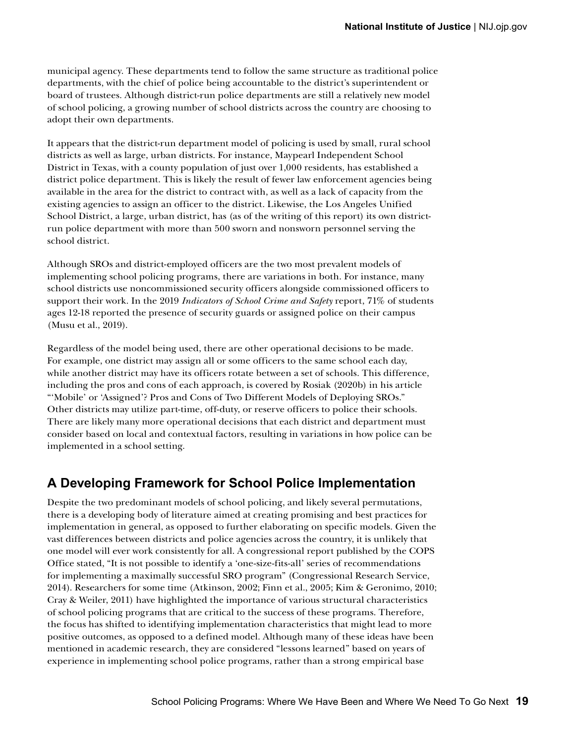<span id="page-28-0"></span>municipal agency. These departments tend to follow the same structure as traditional police departments, with the chief of police being accountable to the district's superintendent or board of trustees. Although district-run police departments are still a relatively new model of school policing, a growing number of school districts across the country are choosing to adopt their own departments.

It appears that the district-run department model of policing is used by small, rural school districts as well as large, urban districts. For instance, Maypearl Independent School District in Texas, with a county population of just over 1,000 residents, has established a district police department. This is likely the result of fewer law enforcement agencies being available in the area for the district to contract with, as well as a lack of capacity from the existing agencies to assign an officer to the district. Likewise, the Los Angeles Unified School District, a large, urban district, has (as of the writing of this report) its own districtrun police department with more than 500 sworn and nonsworn personnel serving the school district.

Although SROs and district-employed officers are the two most prevalent models of implementing school policing programs, there are variations in both. For instance, many school districts use noncommissioned security officers alongside commissioned officers to support their work. In the 2019 *Indicators of School Crime and Safety* report, 71% of students ages 12-18 reported the presence of security guards or assigned police on their campus (Musu et al., 2019).

Regardless of the model being used, there are other operational decisions to be made. For example, one district may assign all or some officers to the same school each day, while another district may have its officers rotate between a set of schools. This difference, including the pros and cons of each approach, is covered by Rosiak (2020b) in his article "'Mobile' or 'Assigned'? Pros and Cons of Two Different Models of Deploying SROs." Other districts may utilize part-time, off-duty, or reserve officers to police their schools. There are likely many more operational decisions that each district and department must consider based on local and contextual factors, resulting in variations in how police can be implemented in a school setting.

### **A Developing Framework for School Police Implementation**

Despite the two predominant models of school policing, and likely several permutations, there is a developing body of literature aimed at creating promising and best practices for implementation in general, as opposed to further elaborating on specific models. Given the vast differences between districts and police agencies across the country, it is unlikely that one model will ever work consistently for all. A congressional report published by the COPS Office stated, "It is not possible to identify a 'one-size-fits-all' series of recommendations for implementing a maximally successful SRO program" (Congressional Research Service, 2014). Researchers for some time (Atkinson, 2002; Finn et al., 2005; Kim & Geronimo, 2010; Cray & Weiler, 2011) have highlighted the importance of various structural characteristics of school policing programs that are critical to the success of these programs. Therefore, the focus has shifted to identifying implementation characteristics that might lead to more positive outcomes, as opposed to a defined model. Although many of these ideas have been mentioned in academic research, they are considered "lessons learned" based on years of experience in implementing school police programs, rather than a strong empirical base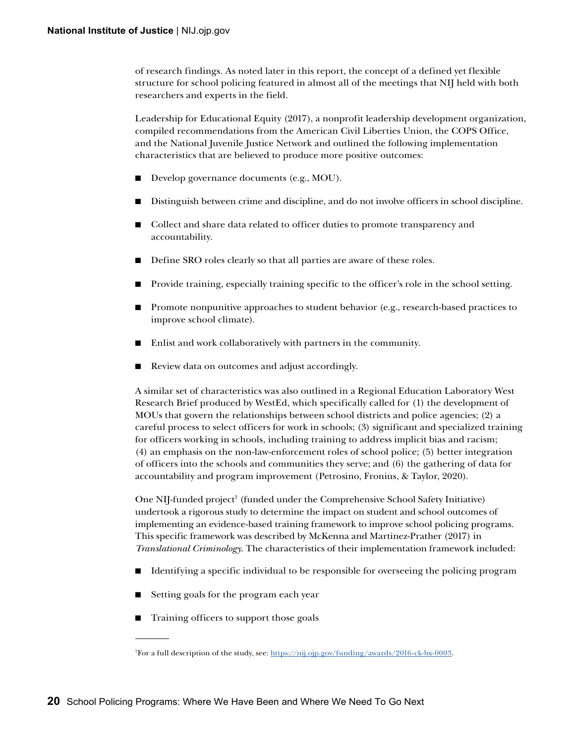of research findings. As noted later in this report, the concept of a defined yet flexible structure for school policing featured in almost all of the meetings that NIJ held with both researchers and experts in the field.

Leadership for Educational Equity (2017), a nonprofit leadership development organization, compiled recommendations from the American Civil Liberties Union, the COPS Office, and the National Juvenile Justice Network and outlined the following implementation characteristics that are believed to produce more positive outcomes:

- Develop governance documents (e.g., MOU).
- Distinguish between crime and discipline, and do not involve officers in school discipline.
- Collect and share data related to officer duties to promote transparency and accountability.
- Define SRO roles clearly so that all parties are aware of these roles.
- Provide training, especially training specific to the officer's role in the school setting.
- Promote nonpunitive approaches to student behavior (e.g., research-based practices to improve school climate).
- Enlist and work collaboratively with partners in the community.
- Review data on outcomes and adjust accordingly.

A similar set of characteristics was also outlined in a Regional Education Laboratory West Research Brief produced by WestEd, which specifically called for (1) the development of MOUs that govern the relationships between school districts and police agencies; (2) a careful process to select officers for work in schools; (3) significant and specialized training for officers working in schools, including training to address implicit bias and racism; (4) an emphasis on the non-law-enforcement roles of school police; (5) better integration of officers into the schools and communities they serve; and (6) the gathering of data for accountability and program improvement (Petrosino, Fronius, & Taylor, 2020).

One NIJ-funded project<sup>7</sup> (funded under the Comprehensive School Safety Initiative) undertook a rigorous study to determine the impact on student and school outcomes of implementing an evidence-based training framework to improve school policing programs. This specific framework was described by McKenna and Martinez-Prather (2017) in *Translational Criminology*. The characteristics of their implementation framework included:

- Identifying a specific individual to be responsible for overseeing the policing program
- Setting goals for the program each year
- Training officers to support those goals

<sup>7</sup> For a full description of the study, see: [https://nij.ojp.gov/funding/awards/2016-ck-bx-0003.](https://nij.ojp.gov/funding/awards/2016-ck-bx-0003)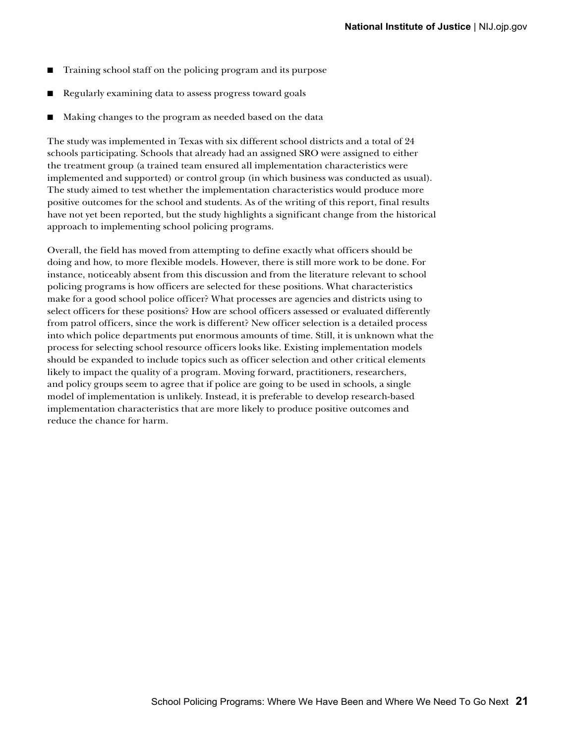- Training school staff on the policing program and its purpose
- Regularly examining data to assess progress toward goals
- Making changes to the program as needed based on the data

The study was implemented in Texas with six different school districts and a total of 24 schools participating. Schools that already had an assigned SRO were assigned to either the treatment group (a trained team ensured all implementation characteristics were implemented and supported) or control group (in which business was conducted as usual). The study aimed to test whether the implementation characteristics would produce more positive outcomes for the school and students. As of the writing of this report, final results have not yet been reported, but the study highlights a significant change from the historical approach to implementing school policing programs.

Overall, the field has moved from attempting to define exactly what officers should be doing and how, to more flexible models. However, there is still more work to be done. For instance, noticeably absent from this discussion and from the literature relevant to school policing programs is how officers are selected for these positions. What characteristics make for a good school police officer? What processes are agencies and districts using to select officers for these positions? How are school officers assessed or evaluated differently from patrol officers, since the work is different? New officer selection is a detailed process into which police departments put enormous amounts of time. Still, it is unknown what the process for selecting school resource officers looks like. Existing implementation models should be expanded to include topics such as officer selection and other critical elements likely to impact the quality of a program. Moving forward, practitioners, researchers, and policy groups seem to agree that if police are going to be used in schools, a single model of implementation is unlikely. Instead, it is preferable to develop research-based implementation characteristics that are more likely to produce positive outcomes and reduce the chance for harm.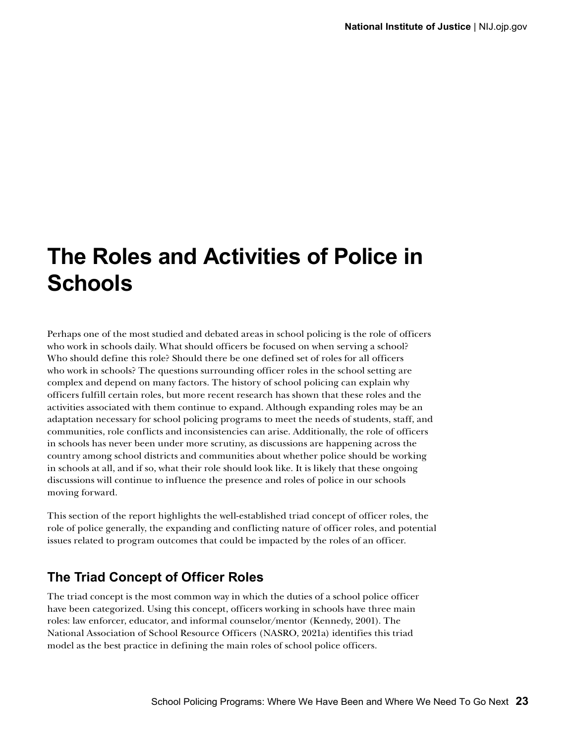## <span id="page-32-0"></span>**The Roles and Activities of Police in Schools**

Perhaps one of the most studied and debated areas in school policing is the role of officers who work in schools daily. What should officers be focused on when serving a school? Who should define this role? Should there be one defined set of roles for all officers who work in schools? The questions surrounding officer roles in the school setting are complex and depend on many factors. The history of school policing can explain why officers fulfill certain roles, but more recent research has shown that these roles and the activities associated with them continue to expand. Although expanding roles may be an adaptation necessary for school policing programs to meet the needs of students, staff, and communities, role conflicts and inconsistencies can arise. Additionally, the role of officers in schools has never been under more scrutiny, as discussions are happening across the country among school districts and communities about whether police should be working in schools at all, and if so, what their role should look like. It is likely that these ongoing discussions will continue to influence the presence and roles of police in our schools moving forward.

This section of the report highlights the well-established triad concept of officer roles, the role of police generally, the expanding and conflicting nature of officer roles, and potential issues related to program outcomes that could be impacted by the roles of an officer.

### **The Triad Concept of Officer Roles**

The triad concept is the most common way in which the duties of a school police officer have been categorized. Using this concept, officers working in schools have three main roles: law enforcer, educator, and informal counselor/mentor (Kennedy, 2001). The National Association of School Resource Officers (NASRO, 2021a) identifies this triad model as the best practice in defining the main roles of school police officers.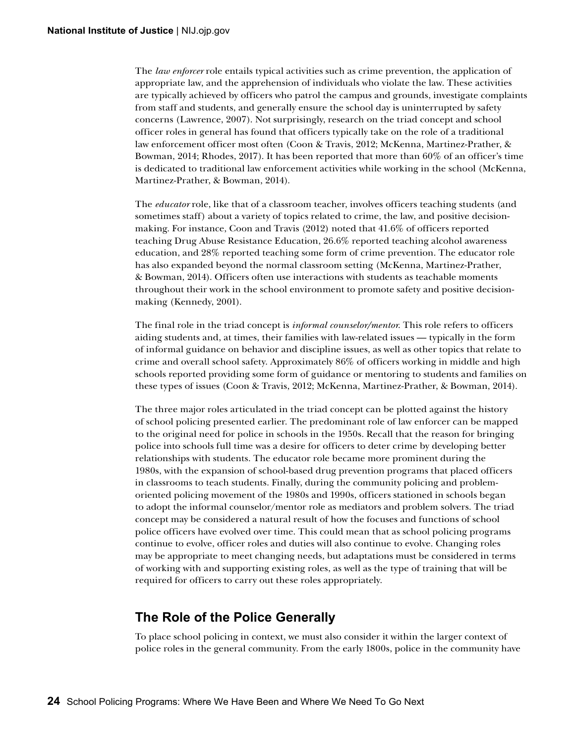<span id="page-33-0"></span>The *law enforcer* role entails typical activities such as crime prevention, the application of appropriate law, and the apprehension of individuals who violate the law. These activities are typically achieved by officers who patrol the campus and grounds, investigate complaints from staff and students, and generally ensure the school day is uninterrupted by safety concerns (Lawrence, 2007). Not surprisingly, research on the triad concept and school officer roles in general has found that officers typically take on the role of a traditional law enforcement officer most often (Coon & Travis, 2012; McKenna, Martinez-Prather, & Bowman, 2014; Rhodes, 2017). It has been reported that more than 60% of an officer's time is dedicated to traditional law enforcement activities while working in the school (McKenna, Martinez-Prather, & Bowman, 2014).

The *educator* role, like that of a classroom teacher, involves officers teaching students (and sometimes staff) about a variety of topics related to crime, the law, and positive decisionmaking. For instance, Coon and Travis (2012) noted that 41.6% of officers reported teaching Drug Abuse Resistance Education, 26.6% reported teaching alcohol awareness education, and 28% reported teaching some form of crime prevention. The educator role has also expanded beyond the normal classroom setting (McKenna, Martinez-Prather, & Bowman, 2014). Officers often use interactions with students as teachable moments throughout their work in the school environment to promote safety and positive decisionmaking (Kennedy, 2001).

The final role in the triad concept is *informal counselor/mentor*. This role refers to officers aiding students and, at times, their families with law-related issues — typically in the form of informal guidance on behavior and discipline issues, as well as other topics that relate to crime and overall school safety. Approximately 86% of officers working in middle and high schools reported providing some form of guidance or mentoring to students and families on these types of issues (Coon & Travis, 2012; McKenna, Martinez-Prather, & Bowman, 2014).

The three major roles articulated in the triad concept can be plotted against the history of school policing presented earlier. The predominant role of law enforcer can be mapped to the original need for police in schools in the 1950s. Recall that the reason for bringing police into schools full time was a desire for officers to deter crime by developing better relationships with students. The educator role became more prominent during the 1980s, with the expansion of school-based drug prevention programs that placed officers in classrooms to teach students. Finally, during the community policing and problemoriented policing movement of the 1980s and 1990s, officers stationed in schools began to adopt the informal counselor/mentor role as mediators and problem solvers. The triad concept may be considered a natural result of how the focuses and functions of school police officers have evolved over time. This could mean that as school policing programs continue to evolve, officer roles and duties will also continue to evolve. Changing roles may be appropriate to meet changing needs, but adaptations must be considered in terms of working with and supporting existing roles, as well as the type of training that will be required for officers to carry out these roles appropriately.

### **The Role of the Police Generally**

To place school policing in context, we must also consider it within the larger context of police roles in the general community. From the early 1800s, police in the community have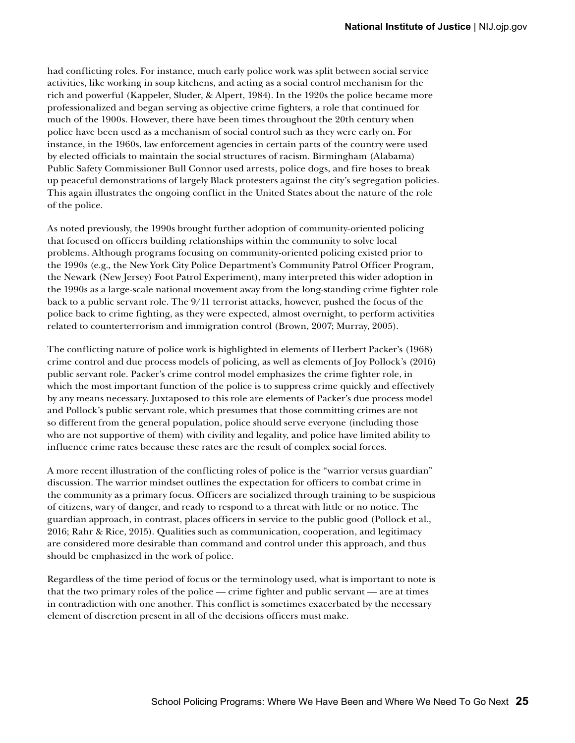had conflicting roles. For instance, much early police work was split between social service activities, like working in soup kitchens, and acting as a social control mechanism for the rich and powerful (Kappeler, Sluder, & Alpert, 1984). In the 1920s the police became more professionalized and began serving as objective crime fighters, a role that continued for much of the 1900s. However, there have been times throughout the 20th century when police have been used as a mechanism of social control such as they were early on. For instance, in the 1960s, law enforcement agencies in certain parts of the country were used by elected officials to maintain the social structures of racism. Birmingham (Alabama) Public Safety Commissioner Bull Connor used arrests, police dogs, and fire hoses to break up peaceful demonstrations of largely Black protesters against the city's segregation policies. This again illustrates the ongoing conflict in the United States about the nature of the role of the police.

As noted previously, the 1990s brought further adoption of community-oriented policing that focused on officers building relationships within the community to solve local problems. Although programs focusing on community-oriented policing existed prior to the 1990s (e.g., the New York City Police Department's Community Patrol Officer Program, the Newark (New Jersey) Foot Patrol Experiment), many interpreted this wider adoption in the 1990s as a large-scale national movement away from the long-standing crime fighter role back to a public servant role. The 9/11 terrorist attacks, however, pushed the focus of the police back to crime fighting, as they were expected, almost overnight, to perform activities related to counterterrorism and immigration control (Brown, 2007; Murray, 2005).

The conflicting nature of police work is highlighted in elements of Herbert Packer's (1968) crime control and due process models of policing, as well as elements of Joy Pollock's (2016) public servant role. Packer's crime control model emphasizes the crime fighter role, in which the most important function of the police is to suppress crime quickly and effectively by any means necessary. Juxtaposed to this role are elements of Packer's due process model and Pollock's public servant role, which presumes that those committing crimes are not so different from the general population, police should serve everyone (including those who are not supportive of them) with civility and legality, and police have limited ability to influence crime rates because these rates are the result of complex social forces.

A more recent illustration of the conflicting roles of police is the "warrior versus guardian" discussion. The warrior mindset outlines the expectation for officers to combat crime in the community as a primary focus. Officers are socialized through training to be suspicious of citizens, wary of danger, and ready to respond to a threat with little or no notice. The guardian approach, in contrast, places officers in service to the public good (Pollock et al., 2016; Rahr & Rice, 2015). Qualities such as communication, cooperation, and legitimacy are considered more desirable than command and control under this approach, and thus should be emphasized in the work of police.

Regardless of the time period of focus or the terminology used, what is important to note is that the two primary roles of the police — crime fighter and public servant — are at times in contradiction with one another. This conflict is sometimes exacerbated by the necessary element of discretion present in all of the decisions officers must make.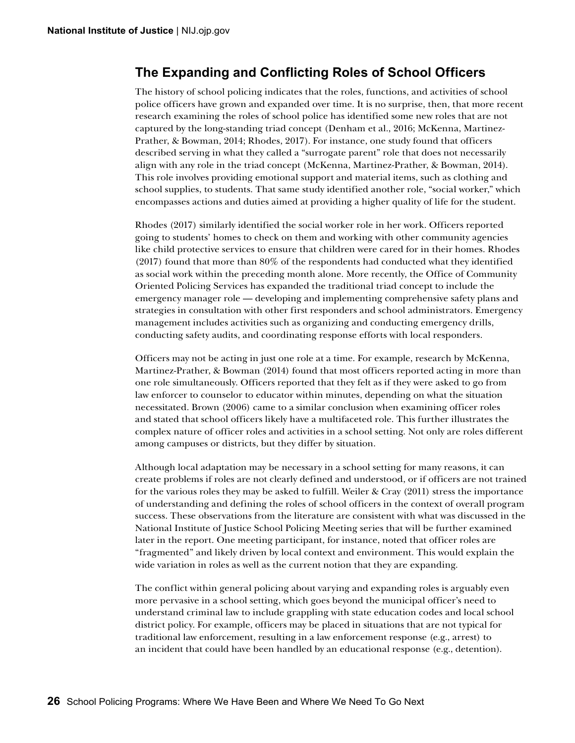### <span id="page-35-0"></span>**The Expanding and Conflicting Roles of School Officers**

The history of school policing indicates that the roles, functions, and activities of school police officers have grown and expanded over time. It is no surprise, then, that more recent research examining the roles of school police has identified some new roles that are not captured by the long-standing triad concept (Denham et al., 2016; McKenna, Martinez-Prather, & Bowman, 2014; Rhodes, 2017). For instance, one study found that officers described serving in what they called a "surrogate parent" role that does not necessarily align with any role in the triad concept (McKenna, Martinez-Prather, & Bowman, 2014). This role involves providing emotional support and material items, such as clothing and school supplies, to students. That same study identified another role, "social worker," which encompasses actions and duties aimed at providing a higher quality of life for the student.

Rhodes (2017) similarly identified the social worker role in her work. Officers reported going to students' homes to check on them and working with other community agencies like child protective services to ensure that children were cared for in their homes. Rhodes (2017) found that more than 80% of the respondents had conducted what they identified as social work within the preceding month alone. More recently, the Office of Community Oriented Policing Services has expanded the traditional triad concept to include the emergency manager role — developing and implementing comprehensive safety plans and strategies in consultation with other first responders and school administrators. Emergency management includes activities such as organizing and conducting emergency drills, conducting safety audits, and coordinating response efforts with local responders.

Officers may not be acting in just one role at a time. For example, research by McKenna, Martinez-Prather, & Bowman (2014) found that most officers reported acting in more than one role simultaneously. Officers reported that they felt as if they were asked to go from law enforcer to counselor to educator within minutes, depending on what the situation necessitated. Brown (2006) came to a similar conclusion when examining officer roles and stated that school officers likely have a multifaceted role. This further illustrates the complex nature of officer roles and activities in a school setting. Not only are roles different among campuses or districts, but they differ by situation.

Although local adaptation may be necessary in a school setting for many reasons, it can create problems if roles are not clearly defined and understood, or if officers are not trained for the various roles they may be asked to fulfill. Weiler & Cray (2011) stress the importance of understanding and defining the roles of school officers in the context of overall program success. These observations from the literature are consistent with what was discussed in the National Institute of Justice School Policing Meeting series that will be further examined later in the report. One meeting participant, for instance, noted that officer roles are "fragmented" and likely driven by local context and environment. This would explain the wide variation in roles as well as the current notion that they are expanding.

The conflict within general policing about varying and expanding roles is arguably even more pervasive in a school setting, which goes beyond the municipal officer's need to understand criminal law to include grappling with state education codes and local school district policy. For example, officers may be placed in situations that are not typical for traditional law enforcement, resulting in a law enforcement response (e.g., arrest) to an incident that could have been handled by an educational response (e.g., detention).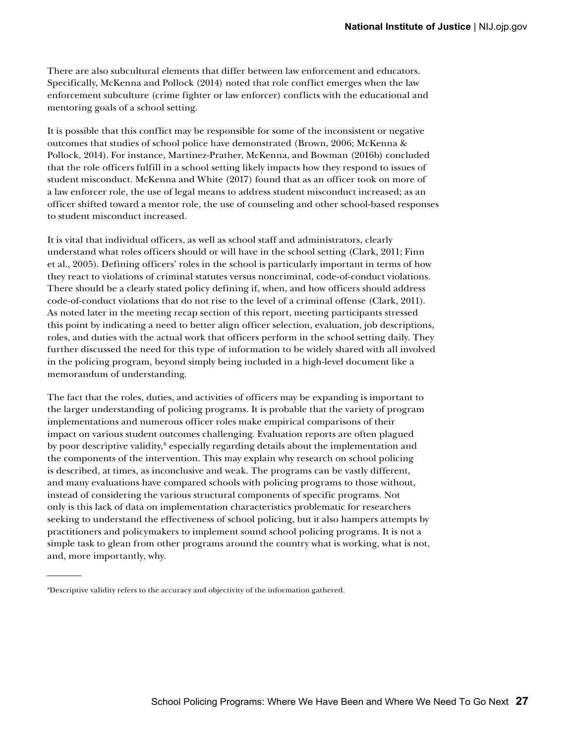There are also subcultural elements that differ between law enforcement and educators. Specifically, McKenna and Pollock (2014) noted that role conflict emerges when the law enforcement subculture (crime fighter or law enforcer) conflicts with the educational and mentoring goals of a school setting.

It is possible that this conflict may be responsible for some of the inconsistent or negative outcomes that studies of school police have demonstrated (Brown, 2006; McKenna & Pollock, 2014). For instance, Martinez-Prather, McKenna, and Bowman (2016b) concluded that the role officers fulfill in a school setting likely impacts how they respond to issues of student misconduct. McKenna and White (2017) found that as an officer took on more of a law enforcer role, the use of legal means to address student misconduct increased; as an officer shifted toward a mentor role, the use of counseling and other school-based responses to student misconduct increased.

It is vital that individual officers, as well as school staff and administrators, clearly understand what roles officers should or will have in the school setting (Clark, 2011; Finn et al., 2005). Defining officers' roles in the school is particularly important in terms of how they react to violations of criminal statutes versus noncriminal, code-of-conduct violations. There should be a clearly stated policy defining if, when, and how officers should address code-of-conduct violations that do not rise to the level of a criminal offense (Clark, 2011). As noted later in the meeting recap section of this report, meeting participants stressed this point by indicating a need to better align officer selection, evaluation, job descriptions, roles, and duties with the actual work that officers perform in the school setting daily. They further discussed the need for this type of information to be widely shared with all involved in the policing program, beyond simply being included in a high-level document like a memorandum of understanding.

The fact that the roles, duties, and activities of officers may be expanding is important to the larger understanding of policing programs. It is probable that the variety of program implementations and numerous officer roles make empirical comparisons of their impact on various student outcomes challenging. Evaluation reports are often plagued by poor descriptive validity,<sup>8</sup> especially regarding details about the implementation and the components of the intervention. This may explain why research on school policing is described, at times, as inconclusive and weak. The programs can be vastly different, and many evaluations have compared schools with policing programs to those without, instead of considering the various structural components of specific programs. Not only is this lack of data on implementation characteristics problematic for researchers seeking to understand the effectiveness of school policing, but it also hampers attempts by practitioners and policymakers to implement sound school policing programs. It is not a simple task to glean from other programs around the country what is working, what is not, and, more importantly, why.

<sup>8</sup> Descriptive validity refers to the accuracy and objectivity of the information gathered.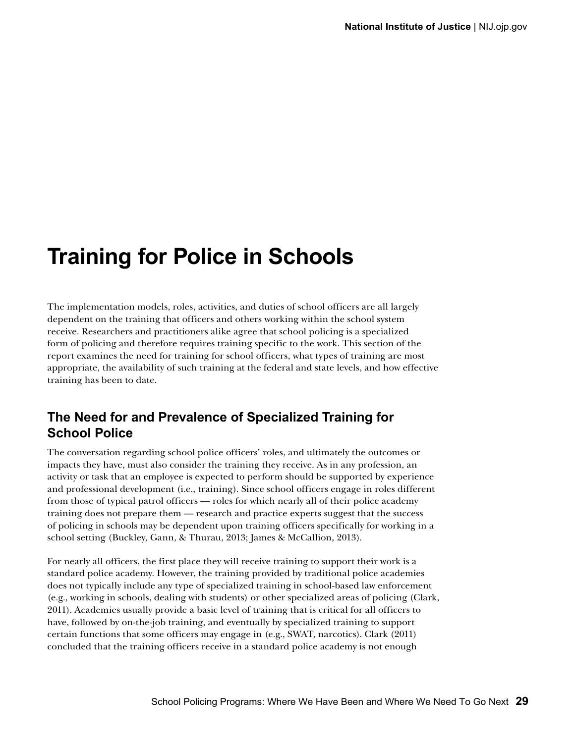## **Training for Police in Schools**

The implementation models, roles, activities, and duties of school officers are all largely dependent on the training that officers and others working within the school system receive. Researchers and practitioners alike agree that school policing is a specialized form of policing and therefore requires training specific to the work. This section of the report examines the need for training for school officers, what types of training are most appropriate, the availability of such training at the federal and state levels, and how effective training has been to date.

### **The Need for and Prevalence of Specialized Training for School Police**

The conversation regarding school police officers' roles, and ultimately the outcomes or impacts they have, must also consider the training they receive. As in any profession, an activity or task that an employee is expected to perform should be supported by experience and professional development (i.e., training). Since school officers engage in roles different from those of typical patrol officers — roles for which nearly all of their police academy training does not prepare them — research and practice experts suggest that the success of policing in schools may be dependent upon training officers specifically for working in a school setting (Buckley, Gann, & Thurau, 2013; James & McCallion, 2013).

For nearly all officers, the first place they will receive training to support their work is a standard police academy. However, the training provided by traditional police academies does not typically include any type of specialized training in school-based law enforcement (e.g., working in schools, dealing with students) or other specialized areas of policing (Clark, 2011). Academies usually provide a basic level of training that is critical for all officers to have, followed by on-the-job training, and eventually by specialized training to support certain functions that some officers may engage in (e.g., SWAT, narcotics). Clark (2011) concluded that the training officers receive in a standard police academy is not enough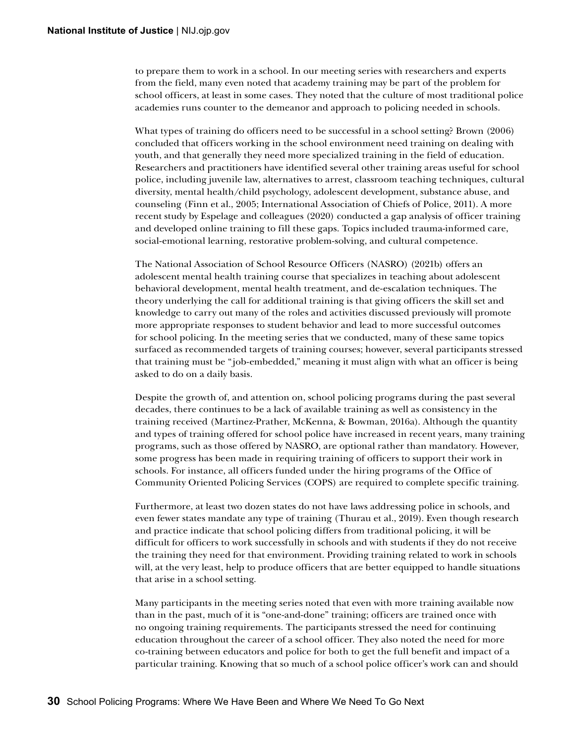to prepare them to work in a school. In our meeting series with researchers and experts from the field, many even noted that academy training may be part of the problem for school officers, at least in some cases. They noted that the culture of most traditional police academies runs counter to the demeanor and approach to policing needed in schools.

What types of training do officers need to be successful in a school setting? Brown (2006) concluded that officers working in the school environment need training on dealing with youth, and that generally they need more specialized training in the field of education. Researchers and practitioners have identified several other training areas useful for school police, including juvenile law, alternatives to arrest, classroom teaching techniques, cultural diversity, mental health/child psychology, adolescent development, substance abuse, and counseling (Finn et al., 2005; International Association of Chiefs of Police, 2011). A more recent study by Espelage and colleagues (2020) conducted a gap analysis of officer training and developed online training to fill these gaps. Topics included trauma-informed care, social-emotional learning, restorative problem-solving, and cultural competence.

The National Association of School Resource Officers (NASRO) (2021b) offers an adolescent mental health training course that specializes in teaching about adolescent behavioral development, mental health treatment, and de-escalation techniques. The theory underlying the call for additional training is that giving officers the skill set and knowledge to carry out many of the roles and activities discussed previously will promote more appropriate responses to student behavior and lead to more successful outcomes for school policing. In the meeting series that we conducted, many of these same topics surfaced as recommended targets of training courses; however, several participants stressed that training must be "job-embedded," meaning it must align with what an officer is being asked to do on a daily basis.

Despite the growth of, and attention on, school policing programs during the past several decades, there continues to be a lack of available training as well as consistency in the training received (Martinez-Prather, McKenna, & Bowman, 2016a). Although the quantity and types of training offered for school police have increased in recent years, many training programs, such as those offered by NASRO, are optional rather than mandatory. However, some progress has been made in requiring training of officers to support their work in schools. For instance, all officers funded under the hiring programs of the Office of Community Oriented Policing Services (COPS) are required to complete specific training.

Furthermore, at least two dozen states do not have laws addressing police in schools, and even fewer states mandate any type of training (Thurau et al., 2019). Even though research and practice indicate that school policing differs from traditional policing, it will be difficult for officers to work successfully in schools and with students if they do not receive the training they need for that environment. Providing training related to work in schools will, at the very least, help to produce officers that are better equipped to handle situations that arise in a school setting.

Many participants in the meeting series noted that even with more training available now than in the past, much of it is "one-and-done" training; officers are trained once with no ongoing training requirements. The participants stressed the need for continuing education throughout the career of a school officer. They also noted the need for more co-training between educators and police for both to get the full benefit and impact of a particular training. Knowing that so much of a school police officer's work can and should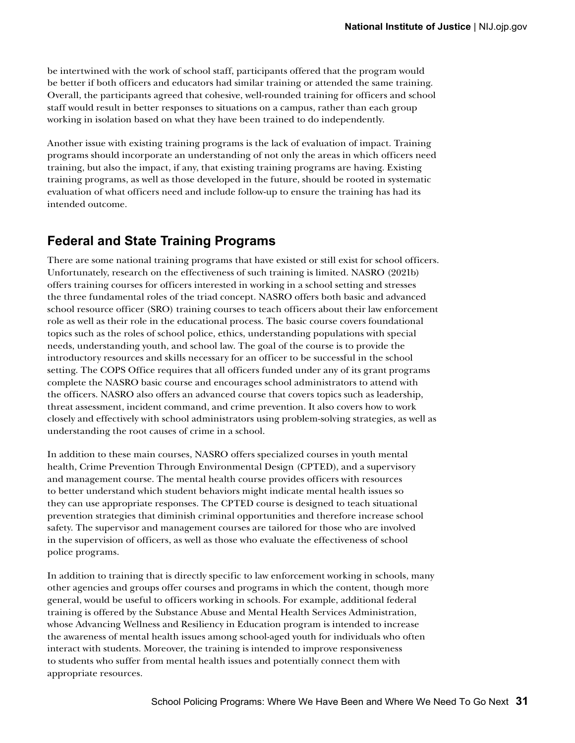be intertwined with the work of school staff, participants offered that the program would be better if both officers and educators had similar training or attended the same training. Overall, the participants agreed that cohesive, well-rounded training for officers and school staff would result in better responses to situations on a campus, rather than each group working in isolation based on what they have been trained to do independently.

Another issue with existing training programs is the lack of evaluation of impact. Training programs should incorporate an understanding of not only the areas in which officers need training, but also the impact, if any, that existing training programs are having. Existing training programs, as well as those developed in the future, should be rooted in systematic evaluation of what officers need and include follow-up to ensure the training has had its intended outcome.

#### **Federal and State Training Programs**

There are some national training programs that have existed or still exist for school officers. Unfortunately, research on the effectiveness of such training is limited. NASRO (2021b) offers training courses for officers interested in working in a school setting and stresses the three fundamental roles of the triad concept. NASRO offers both basic and advanced school resource officer (SRO) training courses to teach officers about their law enforcement role as well as their role in the educational process. The basic course covers foundational topics such as the roles of school police, ethics, understanding populations with special needs, understanding youth, and school law. The goal of the course is to provide the introductory resources and skills necessary for an officer to be successful in the school setting. The COPS Office requires that all officers funded under any of its grant programs complete the NASRO basic course and encourages school administrators to attend with the officers. NASRO also offers an advanced course that covers topics such as leadership, threat assessment, incident command, and crime prevention. It also covers how to work closely and effectively with school administrators using problem-solving strategies, as well as understanding the root causes of crime in a school.

In addition to these main courses, NASRO offers specialized courses in youth mental health, Crime Prevention Through Environmental Design (CPTED), and a supervisory and management course. The mental health course provides officers with resources to better understand which student behaviors might indicate mental health issues so they can use appropriate responses. The CPTED course is designed to teach situational prevention strategies that diminish criminal opportunities and therefore increase school safety. The supervisor and management courses are tailored for those who are involved in the supervision of officers, as well as those who evaluate the effectiveness of school police programs.

In addition to training that is directly specific to law enforcement working in schools, many other agencies and groups offer courses and programs in which the content, though more general, would be useful to officers working in schools. For example, additional federal training is offered by the Substance Abuse and Mental Health Services Administration, whose Advancing Wellness and Resiliency in Education program is intended to increase the awareness of mental health issues among school-aged youth for individuals who often interact with students. Moreover, the training is intended to improve responsiveness to students who suffer from mental health issues and potentially connect them with appropriate resources.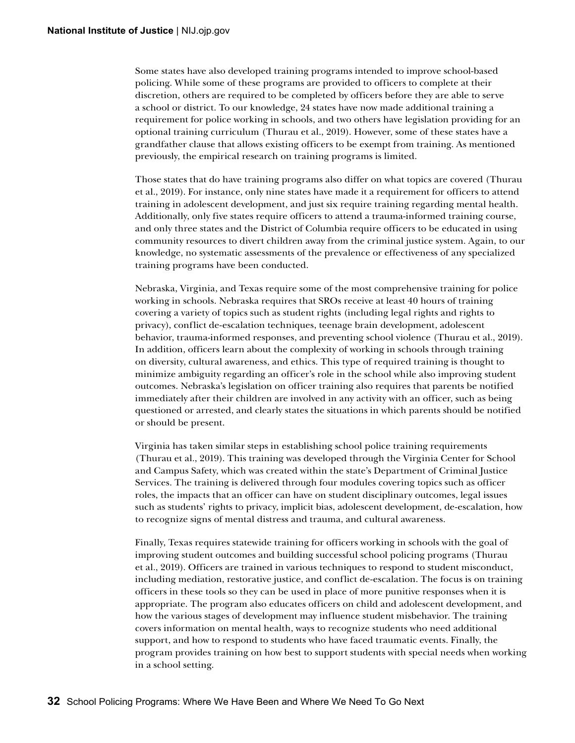Some states have also developed training programs intended to improve school-based policing. While some of these programs are provided to officers to complete at their discretion, others are required to be completed by officers before they are able to serve a school or district. To our knowledge, 24 states have now made additional training a requirement for police working in schools, and two others have legislation providing for an optional training curriculum (Thurau et al., 2019). However, some of these states have a grandfather clause that allows existing officers to be exempt from training. As mentioned previously, the empirical research on training programs is limited.

Those states that do have training programs also differ on what topics are covered (Thurau et al., 2019). For instance, only nine states have made it a requirement for officers to attend training in adolescent development, and just six require training regarding mental health. Additionally, only five states require officers to attend a trauma-informed training course, and only three states and the District of Columbia require officers to be educated in using community resources to divert children away from the criminal justice system. Again, to our knowledge, no systematic assessments of the prevalence or effectiveness of any specialized training programs have been conducted.

Nebraska, Virginia, and Texas require some of the most comprehensive training for police working in schools. Nebraska requires that SROs receive at least 40 hours of training covering a variety of topics such as student rights (including legal rights and rights to privacy), conflict de-escalation techniques, teenage brain development, adolescent behavior, trauma-informed responses, and preventing school violence (Thurau et al., 2019). In addition, officers learn about the complexity of working in schools through training on diversity, cultural awareness, and ethics. This type of required training is thought to minimize ambiguity regarding an officer's role in the school while also improving student outcomes. Nebraska's legislation on officer training also requires that parents be notified immediately after their children are involved in any activity with an officer, such as being questioned or arrested, and clearly states the situations in which parents should be notified or should be present.

Virginia has taken similar steps in establishing school police training requirements (Thurau et al., 2019). This training was developed through the Virginia Center for School and Campus Safety, which was created within the state's Department of Criminal Justice Services. The training is delivered through four modules covering topics such as officer roles, the impacts that an officer can have on student disciplinary outcomes, legal issues such as students' rights to privacy, implicit bias, adolescent development, de-escalation, how to recognize signs of mental distress and trauma, and cultural awareness.

Finally, Texas requires statewide training for officers working in schools with the goal of improving student outcomes and building successful school policing programs (Thurau et al., 2019). Officers are trained in various techniques to respond to student misconduct, including mediation, restorative justice, and conflict de-escalation. The focus is on training officers in these tools so they can be used in place of more punitive responses when it is appropriate. The program also educates officers on child and adolescent development, and how the various stages of development may influence student misbehavior. The training covers information on mental health, ways to recognize students who need additional support, and how to respond to students who have faced traumatic events. Finally, the program provides training on how best to support students with special needs when working in a school setting.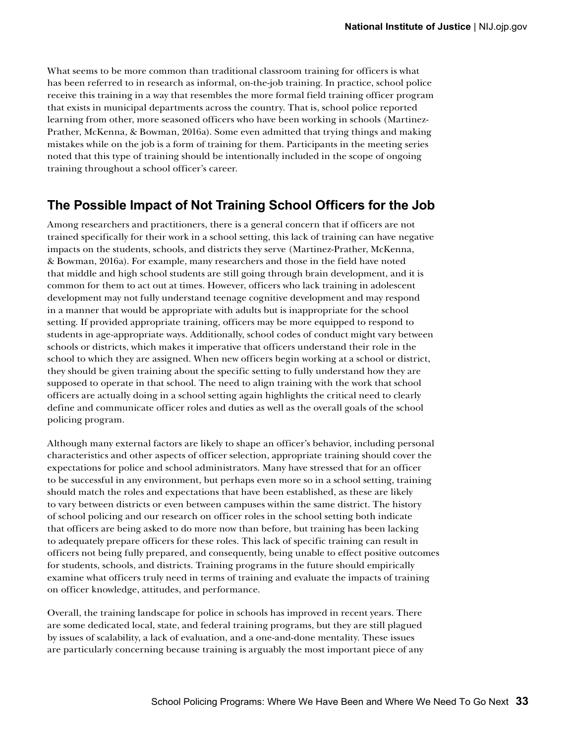What seems to be more common than traditional classroom training for officers is what has been referred to in research as informal, on-the-job training. In practice, school police receive this training in a way that resembles the more formal field training officer program that exists in municipal departments across the country. That is, school police reported learning from other, more seasoned officers who have been working in schools (Martinez-Prather, McKenna, & Bowman, 2016a). Some even admitted that trying things and making mistakes while on the job is a form of training for them. Participants in the meeting series noted that this type of training should be intentionally included in the scope of ongoing training throughout a school officer's career.

#### **The Possible Impact of Not Training School Officers for the Job**

Among researchers and practitioners, there is a general concern that if officers are not trained specifically for their work in a school setting, this lack of training can have negative impacts on the students, schools, and districts they serve (Martinez-Prather, McKenna, & Bowman, 2016a). For example, many researchers and those in the field have noted that middle and high school students are still going through brain development, and it is common for them to act out at times. However, officers who lack training in adolescent development may not fully understand teenage cognitive development and may respond in a manner that would be appropriate with adults but is inappropriate for the school setting. If provided appropriate training, officers may be more equipped to respond to students in age-appropriate ways. Additionally, school codes of conduct might vary between schools or districts, which makes it imperative that officers understand their role in the school to which they are assigned. When new officers begin working at a school or district, they should be given training about the specific setting to fully understand how they are supposed to operate in that school. The need to align training with the work that school officers are actually doing in a school setting again highlights the critical need to clearly define and communicate officer roles and duties as well as the overall goals of the school policing program.

Although many external factors are likely to shape an officer's behavior, including personal characteristics and other aspects of officer selection, appropriate training should cover the expectations for police and school administrators. Many have stressed that for an officer to be successful in any environment, but perhaps even more so in a school setting, training should match the roles and expectations that have been established, as these are likely to vary between districts or even between campuses within the same district. The history of school policing and our research on officer roles in the school setting both indicate that officers are being asked to do more now than before, but training has been lacking to adequately prepare officers for these roles. This lack of specific training can result in officers not being fully prepared, and consequently, being unable to effect positive outcomes for students, schools, and districts. Training programs in the future should empirically examine what officers truly need in terms of training and evaluate the impacts of training on officer knowledge, attitudes, and performance.

Overall, the training landscape for police in schools has improved in recent years. There are some dedicated local, state, and federal training programs, but they are still plagued by issues of scalability, a lack of evaluation, and a one-and-done mentality. These issues are particularly concerning because training is arguably the most important piece of any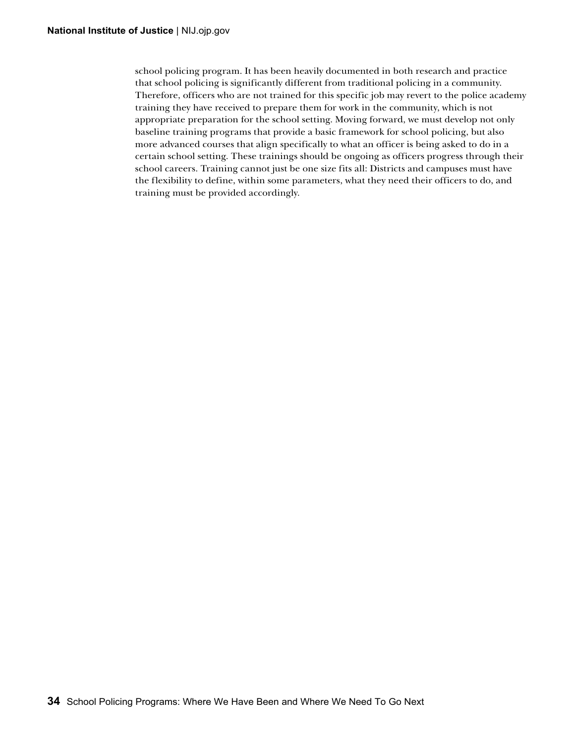school policing program. It has been heavily documented in both research and practice that school policing is significantly different from traditional policing in a community. Therefore, officers who are not trained for this specific job may revert to the police academy training they have received to prepare them for work in the community, which is not appropriate preparation for the school setting. Moving forward, we must develop not only baseline training programs that provide a basic framework for school policing, but also more advanced courses that align specifically to what an officer is being asked to do in a certain school setting. These trainings should be ongoing as officers progress through their school careers. Training cannot just be one size fits all: Districts and campuses must have the flexibility to define, within some parameters, what they need their officers to do, and training must be provided accordingly.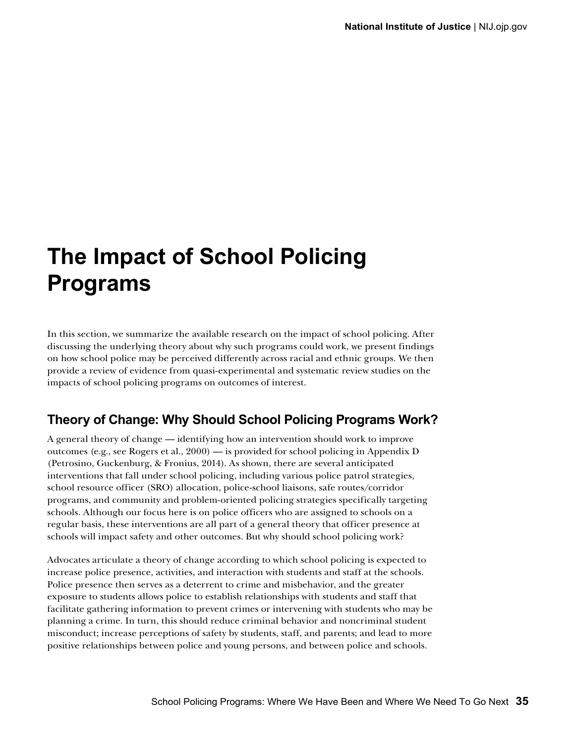## **The Impact of School Policing Programs**

In this section, we summarize the available research on the impact of school policing. After discussing the underlying theory about why such programs could work, we present findings on how school police may be perceived differently across racial and ethnic groups. We then provide a review of evidence from quasi-experimental and systematic review studies on the impacts of school policing programs on outcomes of interest.

#### **Theory of Change: Why Should School Policing Programs Work?**

A general theory of change — identifying how an intervention should work to improve outcomes (e.g., see Rogers et al., 2000) — is provided for school policing in Appendix D (Petrosino, Guckenburg, & Fronius, 2014). As shown, there are several anticipated interventions that fall under school policing, including various police patrol strategies, school resource officer (SRO) allocation, police-school liaisons, safe routes/corridor programs, and community and problem-oriented policing strategies specifically targeting schools. Although our focus here is on police officers who are assigned to schools on a regular basis, these interventions are all part of a general theory that officer presence at schools will impact safety and other outcomes. But why should school policing work?

Advocates articulate a theory of change according to which school policing is expected to increase police presence, activities, and interaction with students and staff at the schools. Police presence then serves as a deterrent to crime and misbehavior, and the greater exposure to students allows police to establish relationships with students and staff that facilitate gathering information to prevent crimes or intervening with students who may be planning a crime. In turn, this should reduce criminal behavior and noncriminal student misconduct; increase perceptions of safety by students, staff, and parents; and lead to more positive relationships between police and young persons, and between police and schools.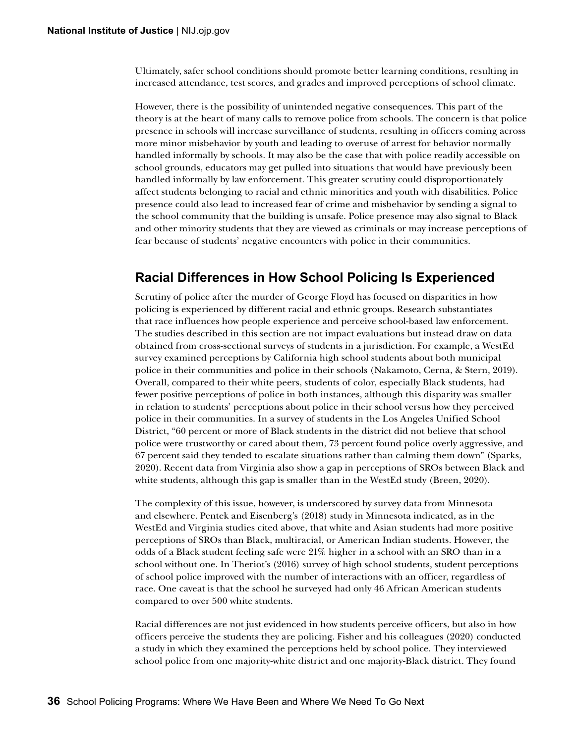Ultimately, safer school conditions should promote better learning conditions, resulting in increased attendance, test scores, and grades and improved perceptions of school climate.

However, there is the possibility of unintended negative consequences. This part of the theory is at the heart of many calls to remove police from schools. The concern is that police presence in schools will increase surveillance of students, resulting in officers coming across more minor misbehavior by youth and leading to overuse of arrest for behavior normally handled informally by schools. It may also be the case that with police readily accessible on school grounds, educators may get pulled into situations that would have previously been handled informally by law enforcement. This greater scrutiny could disproportionately affect students belonging to racial and ethnic minorities and youth with disabilities. Police presence could also lead to increased fear of crime and misbehavior by sending a signal to the school community that the building is unsafe. Police presence may also signal to Black and other minority students that they are viewed as criminals or may increase perceptions of fear because of students' negative encounters with police in their communities.

#### **Racial Differences in How School Policing Is Experienced**

Scrutiny of police after the murder of George Floyd has focused on disparities in how policing is experienced by different racial and ethnic groups. Research substantiates that race influences how people experience and perceive school-based law enforcement. The studies described in this section are not impact evaluations but instead draw on data obtained from cross-sectional surveys of students in a jurisdiction. For example, a WestEd survey examined perceptions by California high school students about both municipal police in their communities and police in their schools (Nakamoto, Cerna, & Stern, 2019). Overall, compared to their white peers, students of color, especially Black students, had fewer positive perceptions of police in both instances, although this disparity was smaller in relation to students' perceptions about police in their school versus how they perceived police in their communities. In a survey of students in the Los Angeles Unified School District, "60 percent or more of Black students in the district did not believe that school police were trustworthy or cared about them, 73 percent found police overly aggressive, and 67 percent said they tended to escalate situations rather than calming them down" (Sparks, 2020). Recent data from Virginia also show a gap in perceptions of SROs between Black and white students, although this gap is smaller than in the WestEd study (Breen, 2020).

The complexity of this issue, however, is underscored by survey data from Minnesota and elsewhere. Pentek and Eisenberg's (2018) study in Minnesota indicated, as in the WestEd and Virginia studies cited above, that white and Asian students had more positive perceptions of SROs than Black, multiracial, or American Indian students. However, the odds of a Black student feeling safe were 21% higher in a school with an SRO than in a school without one. In Theriot's (2016) survey of high school students, student perceptions of school police improved with the number of interactions with an officer, regardless of race. One caveat is that the school he surveyed had only 46 African American students compared to over 500 white students.

Racial differences are not just evidenced in how students perceive officers, but also in how officers perceive the students they are policing. Fisher and his colleagues (2020) conducted a study in which they examined the perceptions held by school police. They interviewed school police from one majority-white district and one majority-Black district. They found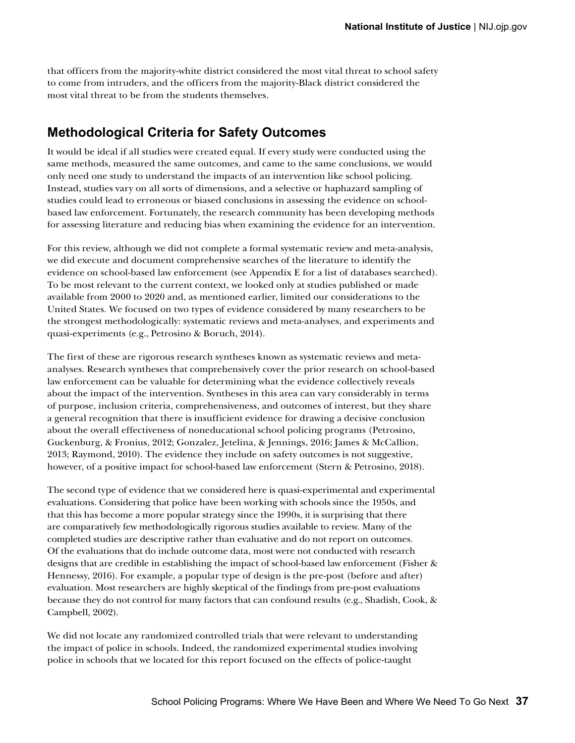that officers from the majority-white district considered the most vital threat to school safety to come from intruders, and the officers from the majority-Black district considered the most vital threat to be from the students themselves.

#### **Methodological Criteria for Safety Outcomes**

It would be ideal if all studies were created equal. If every study were conducted using the same methods, measured the same outcomes, and came to the same conclusions, we would only need one study to understand the impacts of an intervention like school policing. Instead, studies vary on all sorts of dimensions, and a selective or haphazard sampling of studies could lead to erroneous or biased conclusions in assessing the evidence on schoolbased law enforcement. Fortunately, the research community has been developing methods for assessing literature and reducing bias when examining the evidence for an intervention.

For this review, although we did not complete a formal systematic review and meta-analysis, we did execute and document comprehensive searches of the literature to identify the evidence on school-based law enforcement (see Appendix E for a list of databases searched). To be most relevant to the current context, we looked only at studies published or made available from 2000 to 2020 and, as mentioned earlier, limited our considerations to the United States. We focused on two types of evidence considered by many researchers to be the strongest methodologically: systematic reviews and meta-analyses, and experiments and quasi-experiments (e.g., Petrosino & Boruch, 2014).

The first of these are rigorous research syntheses known as systematic reviews and metaanalyses. Research syntheses that comprehensively cover the prior research on school-based law enforcement can be valuable for determining what the evidence collectively reveals about the impact of the intervention. Syntheses in this area can vary considerably in terms of purpose, inclusion criteria, comprehensiveness, and outcomes of interest, but they share a general recognition that there is insufficient evidence for drawing a decisive conclusion about the overall effectiveness of noneducational school policing programs (Petrosino, Guckenburg, & Fronius, 2012; Gonzalez, Jetelina, & Jennings, 2016; James & McCallion, 2013; Raymond, 2010). The evidence they include on safety outcomes is not suggestive, however, of a positive impact for school-based law enforcement (Stern & Petrosino, 2018).

The second type of evidence that we considered here is quasi-experimental and experimental evaluations. Considering that police have been working with schools since the 1950s, and that this has become a more popular strategy since the 1990s, it is surprising that there are comparatively few methodologically rigorous studies available to review. Many of the completed studies are descriptive rather than evaluative and do not report on outcomes. Of the evaluations that do include outcome data, most were not conducted with research designs that are credible in establishing the impact of school-based law enforcement (Fisher & Hennessy, 2016). For example, a popular type of design is the pre-post (before and after) evaluation. Most researchers are highly skeptical of the findings from pre-post evaluations because they do not control for many factors that can confound results (e.g., Shadish, Cook, & Campbell, 2002).

We did not locate any randomized controlled trials that were relevant to understanding the impact of police in schools. Indeed, the randomized experimental studies involving police in schools that we located for this report focused on the effects of police-taught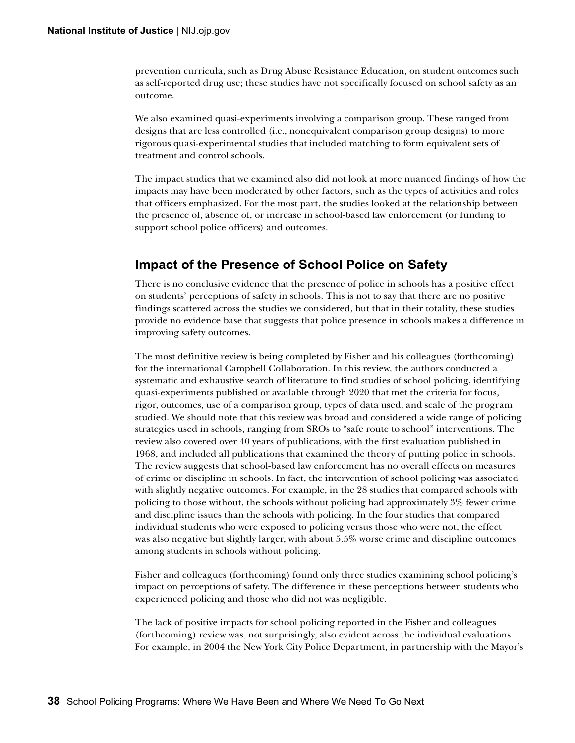prevention curricula, such as Drug Abuse Resistance Education, on student outcomes such as self-reported drug use; these studies have not specifically focused on school safety as an outcome.

We also examined quasi-experiments involving a comparison group. These ranged from designs that are less controlled (i.e., nonequivalent comparison group designs) to more rigorous quasi-experimental studies that included matching to form equivalent sets of treatment and control schools.

The impact studies that we examined also did not look at more nuanced findings of how the impacts may have been moderated by other factors, such as the types of activities and roles that officers emphasized. For the most part, the studies looked at the relationship between the presence of, absence of, or increase in school-based law enforcement (or funding to support school police officers) and outcomes.

#### **Impact of the Presence of School Police on Safety**

There is no conclusive evidence that the presence of police in schools has a positive effect on students' perceptions of safety in schools. This is not to say that there are no positive findings scattered across the studies we considered, but that in their totality, these studies provide no evidence base that suggests that police presence in schools makes a difference in improving safety outcomes.

The most definitive review is being completed by Fisher and his colleagues (forthcoming) for the international Campbell Collaboration. In this review, the authors conducted a systematic and exhaustive search of literature to find studies of school policing, identifying quasi-experiments published or available through 2020 that met the criteria for focus, rigor, outcomes, use of a comparison group, types of data used, and scale of the program studied. We should note that this review was broad and considered a wide range of policing strategies used in schools, ranging from SROs to "safe route to school" interventions. The review also covered over 40 years of publications, with the first evaluation published in 1968, and included all publications that examined the theory of putting police in schools. The review suggests that school-based law enforcement has no overall effects on measures of crime or discipline in schools. In fact, the intervention of school policing was associated with slightly negative outcomes. For example, in the 28 studies that compared schools with policing to those without, the schools without policing had approximately 3% fewer crime and discipline issues than the schools with policing. In the four studies that compared individual students who were exposed to policing versus those who were not, the effect was also negative but slightly larger, with about 5.5% worse crime and discipline outcomes among students in schools without policing.

Fisher and colleagues (forthcoming) found only three studies examining school policing's impact on perceptions of safety. The difference in these perceptions between students who experienced policing and those who did not was negligible.

The lack of positive impacts for school policing reported in the Fisher and colleagues (forthcoming) review was, not surprisingly, also evident across the individual evaluations. For example, in 2004 the New York City Police Department, in partnership with the Mayor's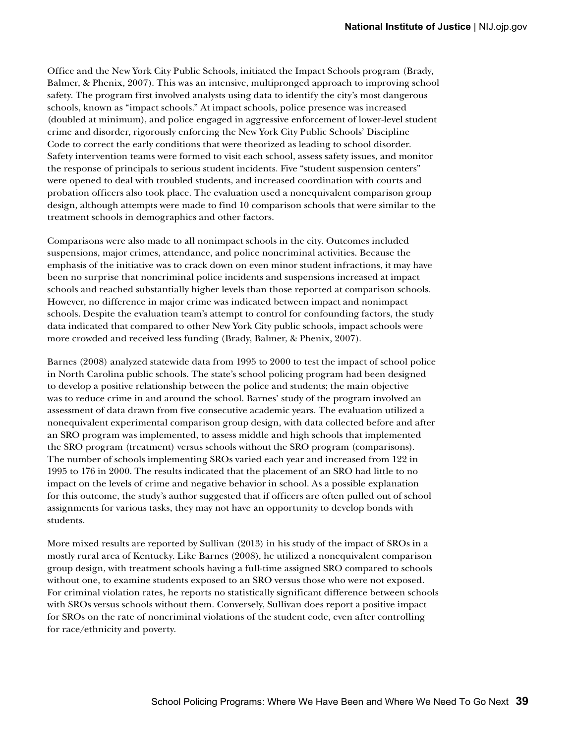Office and the New York City Public Schools, initiated the Impact Schools program (Brady, Balmer, & Phenix, 2007). This was an intensive, multipronged approach to improving school safety. The program first involved analysts using data to identify the city's most dangerous schools, known as "impact schools." At impact schools, police presence was increased (doubled at minimum), and police engaged in aggressive enforcement of lower-level student crime and disorder, rigorously enforcing the New York City Public Schools' Discipline Code to correct the early conditions that were theorized as leading to school disorder. Safety intervention teams were formed to visit each school, assess safety issues, and monitor the response of principals to serious student incidents. Five "student suspension centers" were opened to deal with troubled students, and increased coordination with courts and probation officers also took place. The evaluation used a nonequivalent comparison group design, although attempts were made to find 10 comparison schools that were similar to the treatment schools in demographics and other factors.

Comparisons were also made to all nonimpact schools in the city. Outcomes included suspensions, major crimes, attendance, and police noncriminal activities. Because the emphasis of the initiative was to crack down on even minor student infractions, it may have been no surprise that noncriminal police incidents and suspensions increased at impact schools and reached substantially higher levels than those reported at comparison schools. However, no difference in major crime was indicated between impact and nonimpact schools. Despite the evaluation team's attempt to control for confounding factors, the study data indicated that compared to other New York City public schools, impact schools were more crowded and received less funding (Brady, Balmer, & Phenix, 2007).

Barnes (2008) analyzed statewide data from 1995 to 2000 to test the impact of school police in North Carolina public schools. The state's school policing program had been designed to develop a positive relationship between the police and students; the main objective was to reduce crime in and around the school. Barnes' study of the program involved an assessment of data drawn from five consecutive academic years. The evaluation utilized a nonequivalent experimental comparison group design, with data collected before and after an SRO program was implemented, to assess middle and high schools that implemented the SRO program (treatment) versus schools without the SRO program (comparisons). The number of schools implementing SROs varied each year and increased from 122 in 1995 to 176 in 2000. The results indicated that the placement of an SRO had little to no impact on the levels of crime and negative behavior in school. As a possible explanation for this outcome, the study's author suggested that if officers are often pulled out of school assignments for various tasks, they may not have an opportunity to develop bonds with students.

More mixed results are reported by Sullivan (2013) in his study of the impact of SROs in a mostly rural area of Kentucky. Like Barnes (2008), he utilized a nonequivalent comparison group design, with treatment schools having a full-time assigned SRO compared to schools without one, to examine students exposed to an SRO versus those who were not exposed. For criminal violation rates, he reports no statistically significant difference between schools with SROs versus schools without them. Conversely, Sullivan does report a positive impact for SROs on the rate of noncriminal violations of the student code, even after controlling for race/ethnicity and poverty.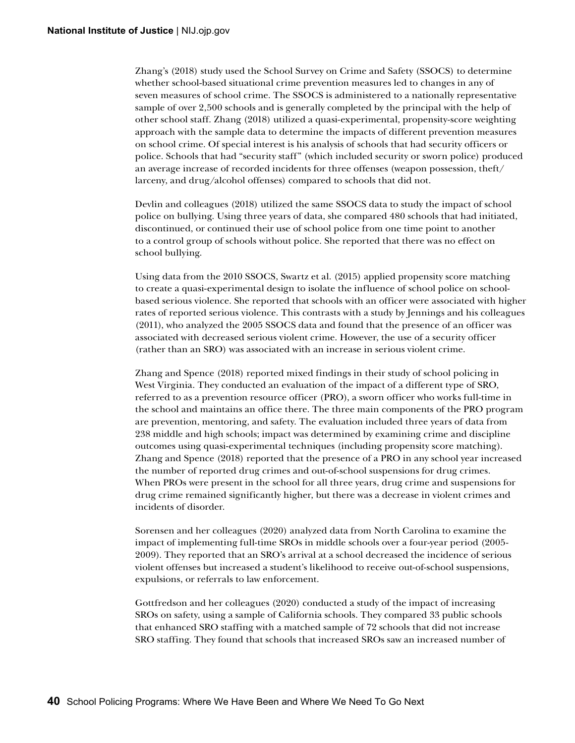Zhang's (2018) study used the School Survey on Crime and Safety (SSOCS) to determine whether school-based situational crime prevention measures led to changes in any of seven measures of school crime. The SSOCS is administered to a nationally representative sample of over 2,500 schools and is generally completed by the principal with the help of other school staff. Zhang (2018) utilized a quasi-experimental, propensity-score weighting approach with the sample data to determine the impacts of different prevention measures on school crime. Of special interest is his analysis of schools that had security officers or police. Schools that had "security staff" (which included security or sworn police) produced an average increase of recorded incidents for three offenses (weapon possession, theft/ larceny, and drug/alcohol offenses) compared to schools that did not.

Devlin and colleagues (2018) utilized the same SSOCS data to study the impact of school police on bullying. Using three years of data, she compared 480 schools that had initiated, discontinued, or continued their use of school police from one time point to another to a control group of schools without police. She reported that there was no effect on school bullying.

Using data from the 2010 SSOCS, Swartz et al. (2015) applied propensity score matching to create a quasi-experimental design to isolate the influence of school police on schoolbased serious violence. She reported that schools with an officer were associated with higher rates of reported serious violence. This contrasts with a study by Jennings and his colleagues (2011), who analyzed the 2005 SSOCS data and found that the presence of an officer was associated with decreased serious violent crime. However, the use of a security officer (rather than an SRO) was associated with an increase in serious violent crime.

Zhang and Spence (2018) reported mixed findings in their study of school policing in West Virginia. They conducted an evaluation of the impact of a different type of SRO, referred to as a prevention resource officer (PRO), a sworn officer who works full-time in the school and maintains an office there. The three main components of the PRO program are prevention, mentoring, and safety. The evaluation included three years of data from 238 middle and high schools; impact was determined by examining crime and discipline outcomes using quasi-experimental techniques (including propensity score matching). Zhang and Spence (2018) reported that the presence of a PRO in any school year increased the number of reported drug crimes and out-of-school suspensions for drug crimes. When PROs were present in the school for all three years, drug crime and suspensions for drug crime remained significantly higher, but there was a decrease in violent crimes and incidents of disorder.

Sorensen and her colleagues (2020) analyzed data from North Carolina to examine the impact of implementing full-time SROs in middle schools over a four-year period (2005- 2009). They reported that an SRO's arrival at a school decreased the incidence of serious violent offenses but increased a student's likelihood to receive out-of-school suspensions, expulsions, or referrals to law enforcement.

Gottfredson and her colleagues (2020) conducted a study of the impact of increasing SROs on safety, using a sample of California schools. They compared 33 public schools that enhanced SRO staffing with a matched sample of 72 schools that did not increase SRO staffing. They found that schools that increased SROs saw an increased number of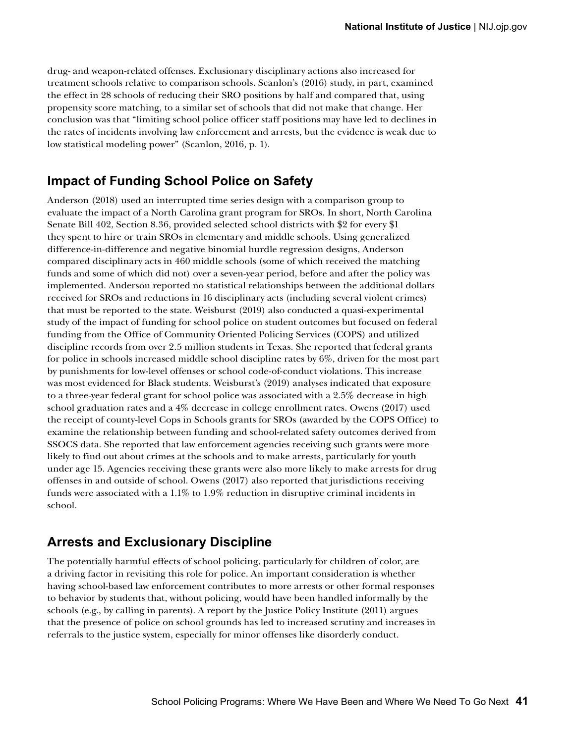drug- and weapon-related offenses. Exclusionary disciplinary actions also increased for treatment schools relative to comparison schools. Scanlon's (2016) study, in part, examined the effect in 28 schools of reducing their SRO positions by half and compared that, using propensity score matching, to a similar set of schools that did not make that change. Her conclusion was that "limiting school police officer staff positions may have led to declines in the rates of incidents involving law enforcement and arrests, but the evidence is weak due to low statistical modeling power" (Scanlon, 2016, p. 1).

#### **Impact of Funding School Police on Safety**

Anderson (2018) used an interrupted time series design with a comparison group to evaluate the impact of a North Carolina grant program for SROs. In short, North Carolina Senate Bill 402, Section 8.36, provided selected school districts with \$2 for every \$1 they spent to hire or train SROs in elementary and middle schools. Using generalized difference-in-difference and negative binomial hurdle regression designs, Anderson compared disciplinary acts in 460 middle schools (some of which received the matching funds and some of which did not) over a seven-year period, before and after the policy was implemented. Anderson reported no statistical relationships between the additional dollars received for SROs and reductions in 16 disciplinary acts (including several violent crimes) that must be reported to the state. Weisburst (2019) also conducted a quasi-experimental study of the impact of funding for school police on student outcomes but focused on federal funding from the Office of Community Oriented Policing Services (COPS) and utilized discipline records from over 2.5 million students in Texas. She reported that federal grants for police in schools increased middle school discipline rates by 6%, driven for the most part by punishments for low-level offenses or school code-of-conduct violations. This increase was most evidenced for Black students. Weisburst's (2019) analyses indicated that exposure to a three-year federal grant for school police was associated with a 2.5% decrease in high school graduation rates and a 4% decrease in college enrollment rates. Owens (2017) used the receipt of county-level Cops in Schools grants for SROs (awarded by the COPS Office) to examine the relationship between funding and school-related safety outcomes derived from SSOCS data. She reported that law enforcement agencies receiving such grants were more likely to find out about crimes at the schools and to make arrests, particularly for youth under age 15. Agencies receiving these grants were also more likely to make arrests for drug offenses in and outside of school. Owens (2017) also reported that jurisdictions receiving funds were associated with a 1.1% to 1.9% reduction in disruptive criminal incidents in school.

#### **Arrests and Exclusionary Discipline**

The potentially harmful effects of school policing, particularly for children of color, are a driving factor in revisiting this role for police. An important consideration is whether having school-based law enforcement contributes to more arrests or other formal responses to behavior by students that, without policing, would have been handled informally by the schools (e.g., by calling in parents). A report by the Justice Policy Institute (2011) argues that the presence of police on school grounds has led to increased scrutiny and increases in referrals to the justice system, especially for minor offenses like disorderly conduct.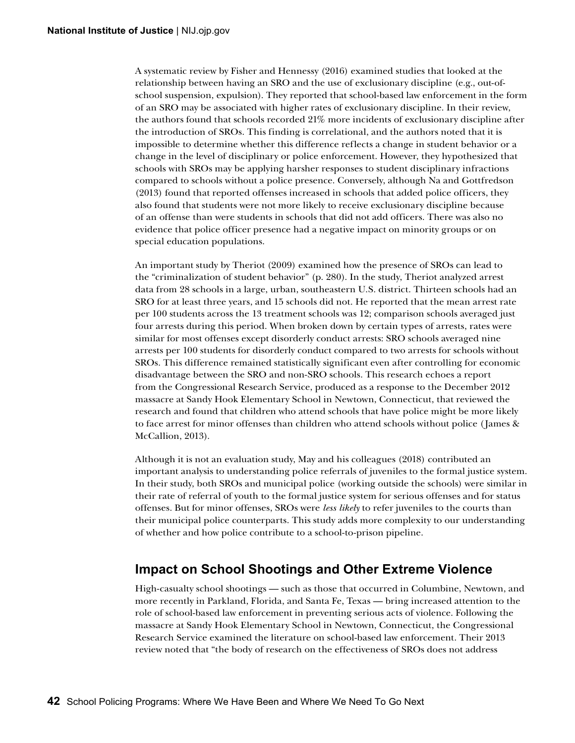A systematic review by Fisher and Hennessy (2016) examined studies that looked at the relationship between having an SRO and the use of exclusionary discipline (e.g., out-ofschool suspension, expulsion). They reported that school-based law enforcement in the form of an SRO may be associated with higher rates of exclusionary discipline. In their review, the authors found that schools recorded 21% more incidents of exclusionary discipline after the introduction of SROs. This finding is correlational, and the authors noted that it is impossible to determine whether this difference reflects a change in student behavior or a change in the level of disciplinary or police enforcement. However, they hypothesized that schools with SROs may be applying harsher responses to student disciplinary infractions compared to schools without a police presence. Conversely, although Na and Gottfredson (2013) found that reported offenses increased in schools that added police officers, they also found that students were not more likely to receive exclusionary discipline because of an offense than were students in schools that did not add officers. There was also no evidence that police officer presence had a negative impact on minority groups or on special education populations.

An important study by Theriot (2009) examined how the presence of SROs can lead to the "criminalization of student behavior" (p. 280). In the study, Theriot analyzed arrest data from 28 schools in a large, urban, southeastern U.S. district. Thirteen schools had an SRO for at least three years, and 15 schools did not. He reported that the mean arrest rate per 100 students across the 13 treatment schools was 12; comparison schools averaged just four arrests during this period. When broken down by certain types of arrests, rates were similar for most offenses except disorderly conduct arrests: SRO schools averaged nine arrests per 100 students for disorderly conduct compared to two arrests for schools without SROs. This difference remained statistically significant even after controlling for economic disadvantage between the SRO and non-SRO schools. This research echoes a report from the Congressional Research Service, produced as a response to the December 2012 massacre at Sandy Hook Elementary School in Newtown, Connecticut, that reviewed the research and found that children who attend schools that have police might be more likely to face arrest for minor offenses than children who attend schools without police (James & McCallion, 2013).

Although it is not an evaluation study, May and his colleagues (2018) contributed an important analysis to understanding police referrals of juveniles to the formal justice system. In their study, both SROs and municipal police (working outside the schools) were similar in their rate of referral of youth to the formal justice system for serious offenses and for status offenses. But for minor offenses, SROs were *less likely* to refer juveniles to the courts than their municipal police counterparts. This study adds more complexity to our understanding of whether and how police contribute to a school-to-prison pipeline.

#### **Impact on School Shootings and Other Extreme Violence**

High-casualty school shootings — such as those that occurred in Columbine, Newtown, and more recently in Parkland, Florida, and Santa Fe, Texas — bring increased attention to the role of school-based law enforcement in preventing serious acts of violence. Following the massacre at Sandy Hook Elementary School in Newtown, Connecticut, the Congressional Research Service examined the literature on school-based law enforcement. Their 2013 review noted that "the body of research on the effectiveness of SROs does not address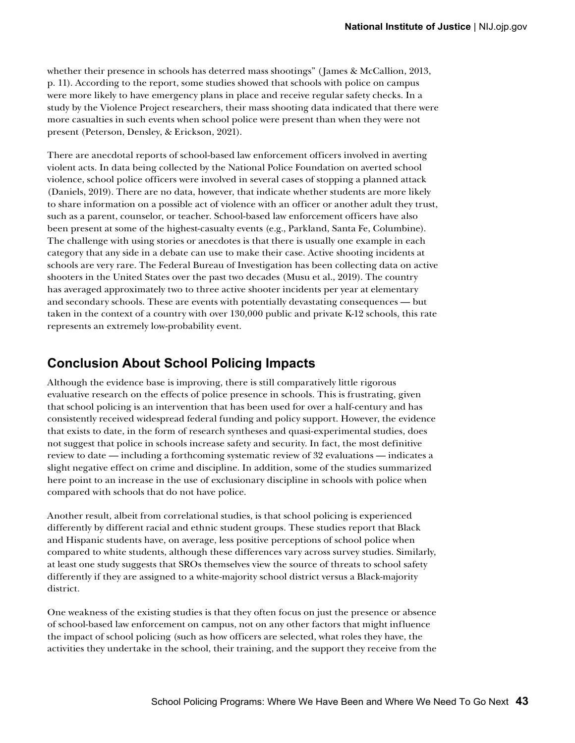whether their presence in schools has deterred mass shootings" (James & McCallion, 2013, p. 11). According to the report, some studies showed that schools with police on campus were more likely to have emergency plans in place and receive regular safety checks. In a study by the Violence Project researchers, their mass shooting data indicated that there were more casualties in such events when school police were present than when they were not present (Peterson, Densley, & Erickson, 2021).

There are anecdotal reports of school-based law enforcement officers involved in averting violent acts. In data being collected by the National Police Foundation on averted school violence, school police officers were involved in several cases of stopping a planned attack (Daniels, 2019). There are no data, however, that indicate whether students are more likely to share information on a possible act of violence with an officer or another adult they trust, such as a parent, counselor, or teacher. School-based law enforcement officers have also been present at some of the highest-casualty events (e.g., Parkland, Santa Fe, Columbine). The challenge with using stories or anecdotes is that there is usually one example in each category that any side in a debate can use to make their case. Active shooting incidents at schools are very rare. The Federal Bureau of Investigation has been collecting data on active shooters in the United States over the past two decades (Musu et al., 2019). The country has averaged approximately two to three active shooter incidents per year at elementary and secondary schools. These are events with potentially devastating consequences — but taken in the context of a country with over 130,000 public and private K-12 schools, this rate represents an extremely low-probability event.

#### **Conclusion About School Policing Impacts**

Although the evidence base is improving, there is still comparatively little rigorous evaluative research on the effects of police presence in schools. This is frustrating, given that school policing is an intervention that has been used for over a half-century and has consistently received widespread federal funding and policy support. However, the evidence that exists to date, in the form of research syntheses and quasi-experimental studies, does not suggest that police in schools increase safety and security. In fact, the most definitive review to date — including a forthcoming systematic review of 32 evaluations — indicates a slight negative effect on crime and discipline. In addition, some of the studies summarized here point to an increase in the use of exclusionary discipline in schools with police when compared with schools that do not have police.

Another result, albeit from correlational studies, is that school policing is experienced differently by different racial and ethnic student groups. These studies report that Black and Hispanic students have, on average, less positive perceptions of school police when compared to white students, although these differences vary across survey studies. Similarly, at least one study suggests that SROs themselves view the source of threats to school safety differently if they are assigned to a white-majority school district versus a Black-majority district.

One weakness of the existing studies is that they often focus on just the presence or absence of school-based law enforcement on campus, not on any other factors that might influence the impact of school policing (such as how officers are selected, what roles they have, the activities they undertake in the school, their training, and the support they receive from the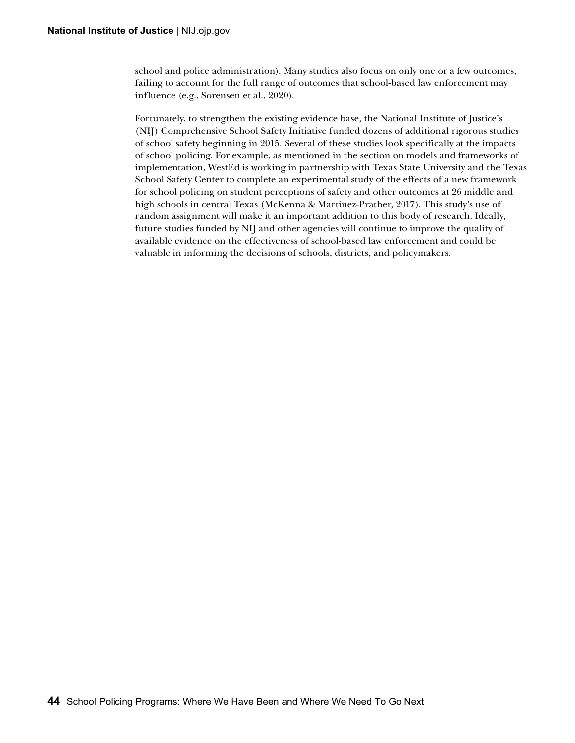school and police administration). Many studies also focus on only one or a few outcomes, failing to account for the full range of outcomes that school-based law enforcement may influence (e.g., Sorensen et al., 2020).

Fortunately, to strengthen the existing evidence base, the National Institute of Justice's (NIJ) Comprehensive School Safety Initiative funded dozens of additional rigorous studies of school safety beginning in 2015. Several of these studies look specifically at the impacts of school policing. For example, as mentioned in the section on models and frameworks of implementation, WestEd is working in partnership with Texas State University and the Texas School Safety Center to complete an experimental study of the effects of a new framework for school policing on student perceptions of safety and other outcomes at 26 middle and high schools in central Texas (McKenna & Martinez-Prather, 2017). This study's use of random assignment will make it an important addition to this body of research. Ideally, future studies funded by NIJ and other agencies will continue to improve the quality of available evidence on the effectiveness of school-based law enforcement and could be valuable in informing the decisions of schools, districts, and policymakers.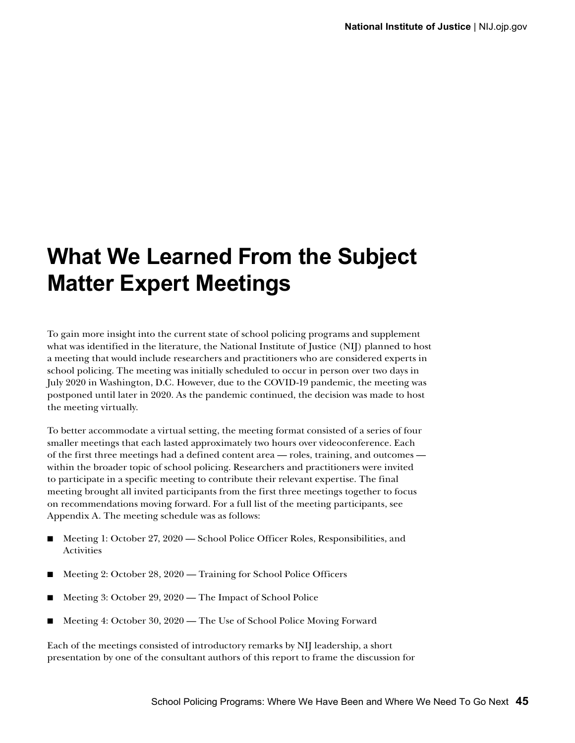# **What We Learned From the Subject Matter Expert Meetings**

To gain more insight into the current state of school policing programs and supplement what was identified in the literature, the National Institute of Justice (NIJ) planned to host a meeting that would include researchers and practitioners who are considered experts in school policing. The meeting was initially scheduled to occur in person over two days in July 2020 in Washington, D.C. However, due to the COVID-19 pandemic, the meeting was postponed until later in 2020. As the pandemic continued, the decision was made to host the meeting virtually.

To better accommodate a virtual setting, the meeting format consisted of a series of four smaller meetings that each lasted approximately two hours over videoconference. Each of the first three meetings had a defined content area — roles, training, and outcomes within the broader topic of school policing. Researchers and practitioners were invited to participate in a specific meeting to contribute their relevant expertise. The final meeting brought all invited participants from the first three meetings together to focus on recommendations moving forward. For a full list of the meeting participants, see Appendix A. The meeting schedule was as follows:

- Meeting 1: October 27, 2020 School Police Officer Roles, Responsibilities, and **Activities**
- Meeting 2: October 28, 2020 Training for School Police Officers
- Meeting 3: October 29, 2020 The Impact of School Police
- Meeting 4: October 30, 2020 The Use of School Police Moving Forward

Each of the meetings consisted of introductory remarks by NIJ leadership, a short presentation by one of the consultant authors of this report to frame the discussion for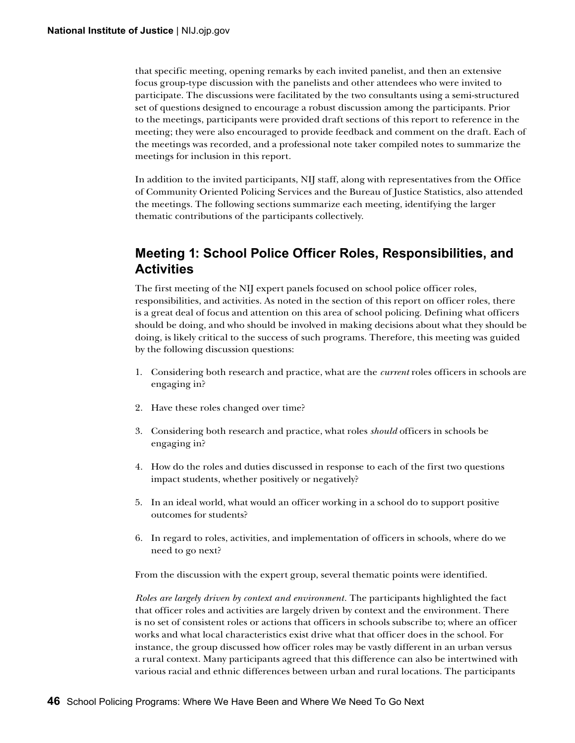that specific meeting, opening remarks by each invited panelist, and then an extensive focus group-type discussion with the panelists and other attendees who were invited to participate. The discussions were facilitated by the two consultants using a semi-structured set of questions designed to encourage a robust discussion among the participants. Prior to the meetings, participants were provided draft sections of this report to reference in the meeting; they were also encouraged to provide feedback and comment on the draft. Each of the meetings was recorded, and a professional note taker compiled notes to summarize the meetings for inclusion in this report.

In addition to the invited participants, NIJ staff, along with representatives from the Office of Community Oriented Policing Services and the Bureau of Justice Statistics, also attended the meetings. The following sections summarize each meeting, identifying the larger thematic contributions of the participants collectively.

#### **Meeting 1: School Police Officer Roles, Responsibilities, and Activities**

The first meeting of the NIJ expert panels focused on school police officer roles, responsibilities, and activities. As noted in the section of this report on officer roles, there is a great deal of focus and attention on this area of school policing. Defining what officers should be doing, and who should be involved in making decisions about what they should be doing, is likely critical to the success of such programs. Therefore, this meeting was guided by the following discussion questions:

- 1. Considering both research and practice, what are the *current* roles officers in schools are engaging in?
- 2. Have these roles changed over time?
- 3. Considering both research and practice, what roles *should* officers in schools be engaging in?
- 4. How do the roles and duties discussed in response to each of the first two questions impact students, whether positively or negatively?
- 5. In an ideal world, what would an officer working in a school do to support positive outcomes for students?
- 6. In regard to roles, activities, and implementation of officers in schools, where do we need to go next?

From the discussion with the expert group, several thematic points were identified.

*Roles are largely driven by context and environment.* The participants highlighted the fact that officer roles and activities are largely driven by context and the environment. There is no set of consistent roles or actions that officers in schools subscribe to; where an officer works and what local characteristics exist drive what that officer does in the school. For instance, the group discussed how officer roles may be vastly different in an urban versus a rural context. Many participants agreed that this difference can also be intertwined with various racial and ethnic differences between urban and rural locations. The participants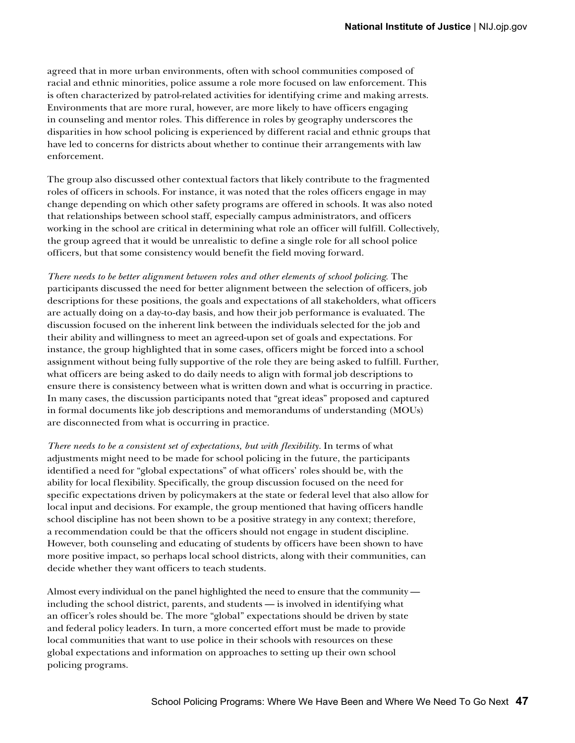agreed that in more urban environments, often with school communities composed of racial and ethnic minorities, police assume a role more focused on law enforcement. This is often characterized by patrol-related activities for identifying crime and making arrests. Environments that are more rural, however, are more likely to have officers engaging in counseling and mentor roles. This difference in roles by geography underscores the disparities in how school policing is experienced by different racial and ethnic groups that have led to concerns for districts about whether to continue their arrangements with law enforcement.

The group also discussed other contextual factors that likely contribute to the fragmented roles of officers in schools. For instance, it was noted that the roles officers engage in may change depending on which other safety programs are offered in schools. It was also noted that relationships between school staff, especially campus administrators, and officers working in the school are critical in determining what role an officer will fulfill. Collectively, the group agreed that it would be unrealistic to define a single role for all school police officers, but that some consistency would benefit the field moving forward.

*There needs to be better alignment between roles and other elements of school policing.* The participants discussed the need for better alignment between the selection of officers, job descriptions for these positions, the goals and expectations of all stakeholders, what officers are actually doing on a day-to-day basis, and how their job performance is evaluated. The discussion focused on the inherent link between the individuals selected for the job and their ability and willingness to meet an agreed-upon set of goals and expectations. For instance, the group highlighted that in some cases, officers might be forced into a school assignment without being fully supportive of the role they are being asked to fulfill. Further, what officers are being asked to do daily needs to align with formal job descriptions to ensure there is consistency between what is written down and what is occurring in practice. In many cases, the discussion participants noted that "great ideas" proposed and captured in formal documents like job descriptions and memorandums of understanding (MOUs) are disconnected from what is occurring in practice.

*There needs to be a consistent set of expectations, but with flexibility.* In terms of what adjustments might need to be made for school policing in the future, the participants identified a need for "global expectations" of what officers' roles should be, with the ability for local flexibility. Specifically, the group discussion focused on the need for specific expectations driven by policymakers at the state or federal level that also allow for local input and decisions. For example, the group mentioned that having officers handle school discipline has not been shown to be a positive strategy in any context; therefore, a recommendation could be that the officers should not engage in student discipline. However, both counseling and educating of students by officers have been shown to have more positive impact, so perhaps local school districts, along with their communities, can decide whether they want officers to teach students.

Almost every individual on the panel highlighted the need to ensure that the community including the school district, parents, and students — is involved in identifying what an officer's roles should be. The more "global" expectations should be driven by state and federal policy leaders. In turn, a more concerted effort must be made to provide local communities that want to use police in their schools with resources on these global expectations and information on approaches to setting up their own school policing programs.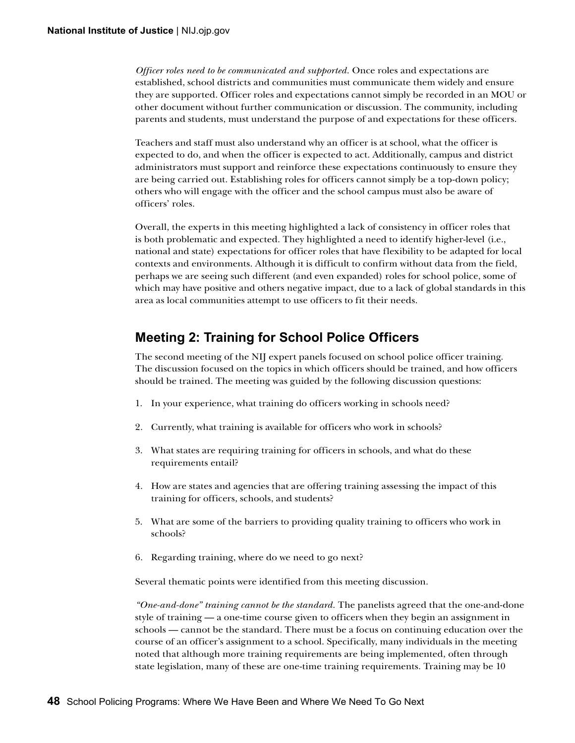*Officer roles need to be communicated and supported.* Once roles and expectations are established, school districts and communities must communicate them widely and ensure they are supported. Officer roles and expectations cannot simply be recorded in an MOU or other document without further communication or discussion. The community, including parents and students, must understand the purpose of and expectations for these officers.

Teachers and staff must also understand why an officer is at school, what the officer is expected to do, and when the officer is expected to act. Additionally, campus and district administrators must support and reinforce these expectations continuously to ensure they are being carried out. Establishing roles for officers cannot simply be a top-down policy; others who will engage with the officer and the school campus must also be aware of officers' roles.

Overall, the experts in this meeting highlighted a lack of consistency in officer roles that is both problematic and expected. They highlighted a need to identify higher-level (i.e., national and state) expectations for officer roles that have flexibility to be adapted for local contexts and environments. Although it is difficult to confirm without data from the field, perhaps we are seeing such different (and even expanded) roles for school police, some of which may have positive and others negative impact, due to a lack of global standards in this area as local communities attempt to use officers to fit their needs.

#### **Meeting 2: Training for School Police Officers**

The second meeting of the NIJ expert panels focused on school police officer training. The discussion focused on the topics in which officers should be trained, and how officers should be trained. The meeting was guided by the following discussion questions:

- 1. In your experience, what training do officers working in schools need?
- 2. Currently, what training is available for officers who work in schools?
- 3. What states are requiring training for officers in schools, and what do these requirements entail?
- 4. How are states and agencies that are offering training assessing the impact of this training for officers, schools, and students?
- 5. What are some of the barriers to providing quality training to officers who work in schools?
- 6. Regarding training, where do we need to go next?

Several thematic points were identified from this meeting discussion.

*"One-and-done" training cannot be the standard.* The panelists agreed that the one-and-done style of training — a one-time course given to officers when they begin an assignment in schools — cannot be the standard. There must be a focus on continuing education over the course of an officer's assignment to a school. Specifically, many individuals in the meeting noted that although more training requirements are being implemented, often through state legislation, many of these are one-time training requirements. Training may be 10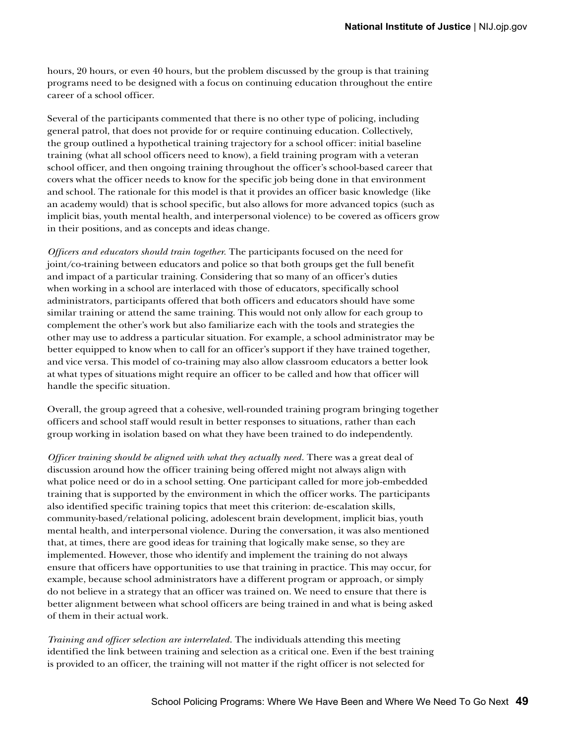hours, 20 hours, or even 40 hours, but the problem discussed by the group is that training programs need to be designed with a focus on continuing education throughout the entire career of a school officer.

Several of the participants commented that there is no other type of policing, including general patrol, that does not provide for or require continuing education. Collectively, the group outlined a hypothetical training trajectory for a school officer: initial baseline training (what all school officers need to know), a field training program with a veteran school officer, and then ongoing training throughout the officer's school-based career that covers what the officer needs to know for the specific job being done in that environment and school. The rationale for this model is that it provides an officer basic knowledge (like an academy would) that is school specific, but also allows for more advanced topics (such as implicit bias, youth mental health, and interpersonal violence) to be covered as officers grow in their positions, and as concepts and ideas change.

*Officers and educators should train together.* The participants focused on the need for joint/co-training between educators and police so that both groups get the full benefit and impact of a particular training. Considering that so many of an officer's duties when working in a school are interlaced with those of educators, specifically school administrators, participants offered that both officers and educators should have some similar training or attend the same training. This would not only allow for each group to complement the other's work but also familiarize each with the tools and strategies the other may use to address a particular situation. For example, a school administrator may be better equipped to know when to call for an officer's support if they have trained together, and vice versa. This model of co-training may also allow classroom educators a better look at what types of situations might require an officer to be called and how that officer will handle the specific situation.

Overall, the group agreed that a cohesive, well-rounded training program bringing together officers and school staff would result in better responses to situations, rather than each group working in isolation based on what they have been trained to do independently.

*Officer training should be aligned with what they actually need.* There was a great deal of discussion around how the officer training being offered might not always align with what police need or do in a school setting. One participant called for more job-embedded training that is supported by the environment in which the officer works. The participants also identified specific training topics that meet this criterion: de-escalation skills, community-based/relational policing, adolescent brain development, implicit bias, youth mental health, and interpersonal violence. During the conversation, it was also mentioned that, at times, there are good ideas for training that logically make sense, so they are implemented. However, those who identify and implement the training do not always ensure that officers have opportunities to use that training in practice. This may occur, for example, because school administrators have a different program or approach, or simply do not believe in a strategy that an officer was trained on. We need to ensure that there is better alignment between what school officers are being trained in and what is being asked of them in their actual work.

*Training and officer selection are interrelated.* The individuals attending this meeting identified the link between training and selection as a critical one. Even if the best training is provided to an officer, the training will not matter if the right officer is not selected for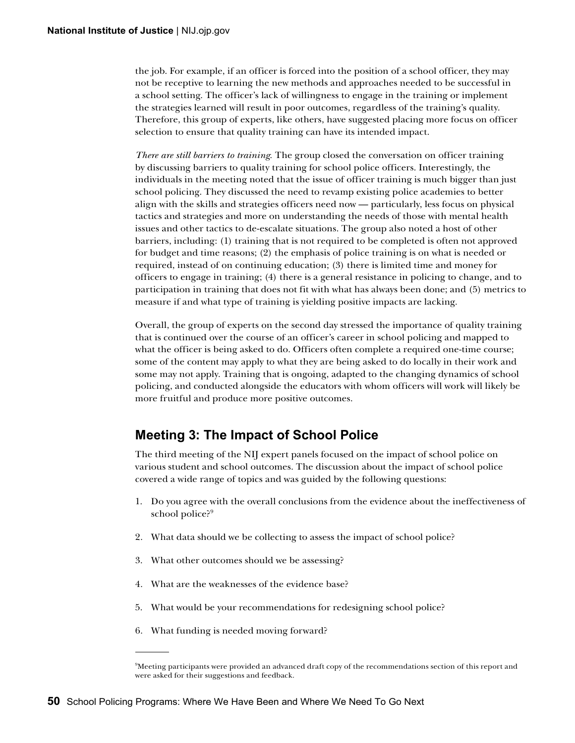the job. For example, if an officer is forced into the position of a school officer, they may not be receptive to learning the new methods and approaches needed to be successful in a school setting. The officer's lack of willingness to engage in the training or implement the strategies learned will result in poor outcomes, regardless of the training's quality. Therefore, this group of experts, like others, have suggested placing more focus on officer selection to ensure that quality training can have its intended impact.

*There are still barriers to training.* The group closed the conversation on officer training by discussing barriers to quality training for school police officers. Interestingly, the individuals in the meeting noted that the issue of officer training is much bigger than just school policing. They discussed the need to revamp existing police academies to better align with the skills and strategies officers need now — particularly, less focus on physical tactics and strategies and more on understanding the needs of those with mental health issues and other tactics to de-escalate situations. The group also noted a host of other barriers, including: (1) training that is not required to be completed is often not approved for budget and time reasons; (2) the emphasis of police training is on what is needed or required, instead of on continuing education; (3) there is limited time and money for officers to engage in training; (4) there is a general resistance in policing to change, and to participation in training that does not fit with what has always been done; and (5) metrics to measure if and what type of training is yielding positive impacts are lacking.

Overall, the group of experts on the second day stressed the importance of quality training that is continued over the course of an officer's career in school policing and mapped to what the officer is being asked to do. Officers often complete a required one-time course; some of the content may apply to what they are being asked to do locally in their work and some may not apply. Training that is ongoing, adapted to the changing dynamics of school policing, and conducted alongside the educators with whom officers will work will likely be more fruitful and produce more positive outcomes.

#### **Meeting 3: The Impact of School Police**

The third meeting of the NIJ expert panels focused on the impact of school police on various student and school outcomes. The discussion about the impact of school police covered a wide range of topics and was guided by the following questions:

- 1. Do you agree with the overall conclusions from the evidence about the ineffectiveness of school police?<sup>9</sup>
- 2. What data should we be collecting to assess the impact of school police?
- 3. What other outcomes should we be assessing?
- 4. What are the weaknesses of the evidence base?
- 5. What would be your recommendations for redesigning school police?
- 6. What funding is needed moving forward?

<sup>9</sup> Meeting participants were provided an advanced draft copy of the recommendations section of this report and were asked for their suggestions and feedback.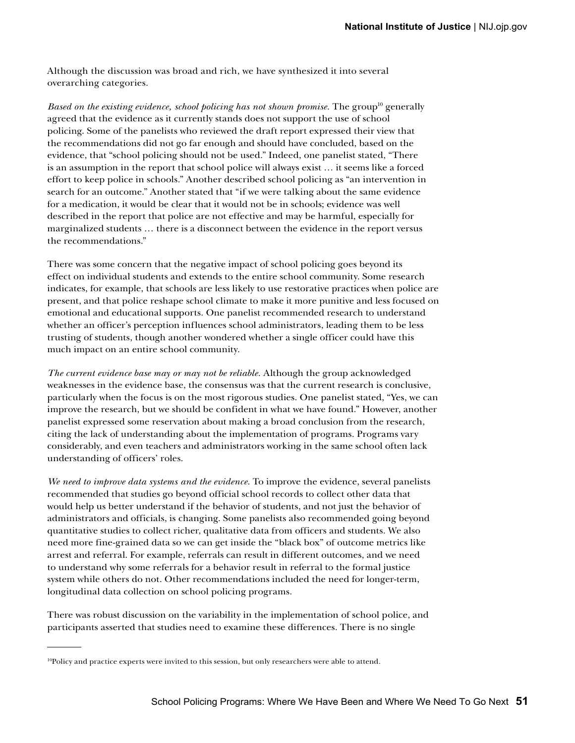Although the discussion was broad and rich, we have synthesized it into several overarching categories.

*Based on the existing evidence, school policing has not shown promise.* The group<sup>10</sup> generally agreed that the evidence as it currently stands does not support the use of school policing. Some of the panelists who reviewed the draft report expressed their view that the recommendations did not go far enough and should have concluded, based on the evidence, that "school policing should not be used." Indeed, one panelist stated, "There is an assumption in the report that school police will always exist … it seems like a forced effort to keep police in schools." Another described school policing as "an intervention in search for an outcome." Another stated that "if we were talking about the same evidence for a medication, it would be clear that it would not be in schools; evidence was well described in the report that police are not effective and may be harmful, especially for marginalized students … there is a disconnect between the evidence in the report versus the recommendations."

There was some concern that the negative impact of school policing goes beyond its effect on individual students and extends to the entire school community. Some research indicates, for example, that schools are less likely to use restorative practices when police are present, and that police reshape school climate to make it more punitive and less focused on emotional and educational supports. One panelist recommended research to understand whether an officer's perception influences school administrators, leading them to be less trusting of students, though another wondered whether a single officer could have this much impact on an entire school community.

*The current evidence base may or may not be reliable.* Although the group acknowledged weaknesses in the evidence base, the consensus was that the current research is conclusive, particularly when the focus is on the most rigorous studies. One panelist stated, "Yes, we can improve the research, but we should be confident in what we have found." However, another panelist expressed some reservation about making a broad conclusion from the research, citing the lack of understanding about the implementation of programs. Programs vary considerably, and even teachers and administrators working in the same school often lack understanding of officers' roles.

*We need to improve data systems and the evidence.* To improve the evidence, several panelists recommended that studies go beyond official school records to collect other data that would help us better understand if the behavior of students, and not just the behavior of administrators and officials, is changing. Some panelists also recommended going beyond quantitative studies to collect richer, qualitative data from officers and students. We also need more fine-grained data so we can get inside the "black box" of outcome metrics like arrest and referral. For example, referrals can result in different outcomes, and we need to understand why some referrals for a behavior result in referral to the formal justice system while others do not. Other recommendations included the need for longer-term, longitudinal data collection on school policing programs.

There was robust discussion on the variability in the implementation of school police, and participants asserted that studies need to examine these differences. There is no single

 $10P$ Policy and practice experts were invited to this session, but only researchers were able to attend.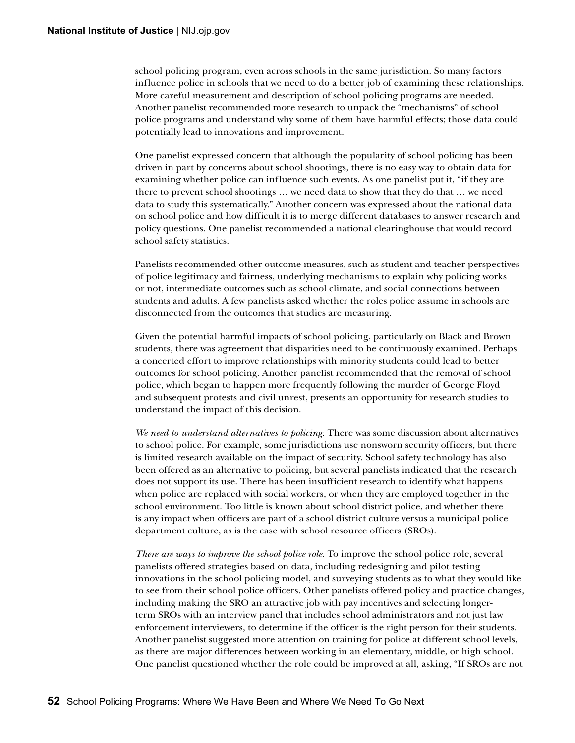school policing program, even across schools in the same jurisdiction. So many factors influence police in schools that we need to do a better job of examining these relationships. More careful measurement and description of school policing programs are needed. Another panelist recommended more research to unpack the "mechanisms" of school police programs and understand why some of them have harmful effects; those data could potentially lead to innovations and improvement.

One panelist expressed concern that although the popularity of school policing has been driven in part by concerns about school shootings, there is no easy way to obtain data for examining whether police can influence such events. As one panelist put it, "if they are there to prevent school shootings … we need data to show that they do that … we need data to study this systematically." Another concern was expressed about the national data on school police and how difficult it is to merge different databases to answer research and policy questions. One panelist recommended a national clearinghouse that would record school safety statistics.

Panelists recommended other outcome measures, such as student and teacher perspectives of police legitimacy and fairness, underlying mechanisms to explain why policing works or not, intermediate outcomes such as school climate, and social connections between students and adults. A few panelists asked whether the roles police assume in schools are disconnected from the outcomes that studies are measuring.

Given the potential harmful impacts of school policing, particularly on Black and Brown students, there was agreement that disparities need to be continuously examined. Perhaps a concerted effort to improve relationships with minority students could lead to better outcomes for school policing. Another panelist recommended that the removal of school police, which began to happen more frequently following the murder of George Floyd and subsequent protests and civil unrest, presents an opportunity for research studies to understand the impact of this decision.

*We need to understand alternatives to policing.* There was some discussion about alternatives to school police. For example, some jurisdictions use nonsworn security officers, but there is limited research available on the impact of security. School safety technology has also been offered as an alternative to policing, but several panelists indicated that the research does not support its use. There has been insufficient research to identify what happens when police are replaced with social workers, or when they are employed together in the school environment. Too little is known about school district police, and whether there is any impact when officers are part of a school district culture versus a municipal police department culture, as is the case with school resource officers (SROs).

*There are ways to improve the school police role.* To improve the school police role, several panelists offered strategies based on data, including redesigning and pilot testing innovations in the school policing model, and surveying students as to what they would like to see from their school police officers. Other panelists offered policy and practice changes, including making the SRO an attractive job with pay incentives and selecting longerterm SROs with an interview panel that includes school administrators and not just law enforcement interviewers, to determine if the officer is the right person for their students. Another panelist suggested more attention on training for police at different school levels, as there are major differences between working in an elementary, middle, or high school. One panelist questioned whether the role could be improved at all, asking, "If SROs are not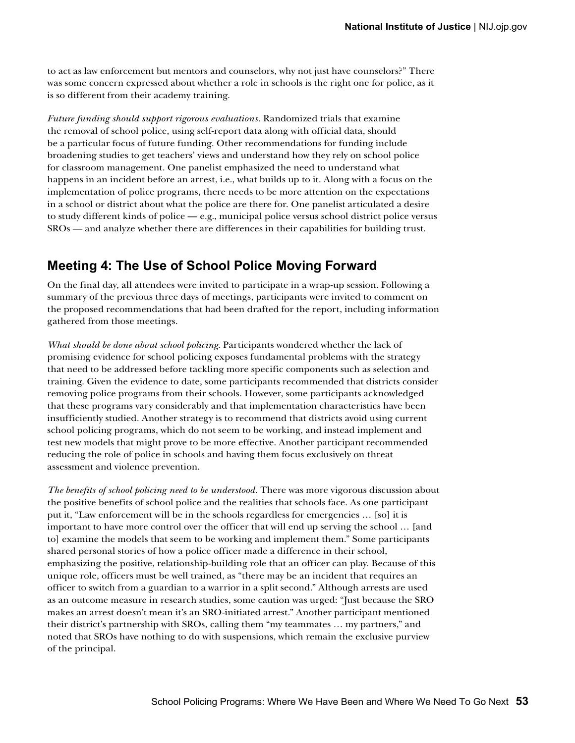to act as law enforcement but mentors and counselors, why not just have counselors?" There was some concern expressed about whether a role in schools is the right one for police, as it is so different from their academy training.

*Future funding should support rigorous evaluations.* Randomized trials that examine the removal of school police, using self-report data along with official data, should be a particular focus of future funding. Other recommendations for funding include broadening studies to get teachers' views and understand how they rely on school police for classroom management. One panelist emphasized the need to understand what happens in an incident before an arrest, i.e., what builds up to it. Along with a focus on the implementation of police programs, there needs to be more attention on the expectations in a school or district about what the police are there for. One panelist articulated a desire to study different kinds of police — e.g., municipal police versus school district police versus SROs — and analyze whether there are differences in their capabilities for building trust.

#### **Meeting 4: The Use of School Police Moving Forward**

On the final day, all attendees were invited to participate in a wrap-up session. Following a summary of the previous three days of meetings, participants were invited to comment on the proposed recommendations that had been drafted for the report, including information gathered from those meetings.

*What should be done about school policing.* Participants wondered whether the lack of promising evidence for school policing exposes fundamental problems with the strategy that need to be addressed before tackling more specific components such as selection and training. Given the evidence to date, some participants recommended that districts consider removing police programs from their schools. However, some participants acknowledged that these programs vary considerably and that implementation characteristics have been insufficiently studied. Another strategy is to recommend that districts avoid using current school policing programs, which do not seem to be working, and instead implement and test new models that might prove to be more effective. Another participant recommended reducing the role of police in schools and having them focus exclusively on threat assessment and violence prevention.

*The benefits of school policing need to be understood.* There was more vigorous discussion about the positive benefits of school police and the realities that schools face. As one participant put it, "Law enforcement will be in the schools regardless for emergencies … [so] it is important to have more control over the officer that will end up serving the school … [and to] examine the models that seem to be working and implement them." Some participants shared personal stories of how a police officer made a difference in their school, emphasizing the positive, relationship-building role that an officer can play. Because of this unique role, officers must be well trained, as "there may be an incident that requires an officer to switch from a guardian to a warrior in a split second." Although arrests are used as an outcome measure in research studies, some caution was urged: "Just because the SRO makes an arrest doesn't mean it's an SRO-initiated arrest." Another participant mentioned their district's partnership with SROs, calling them "my teammates … my partners," and noted that SROs have nothing to do with suspensions, which remain the exclusive purview of the principal.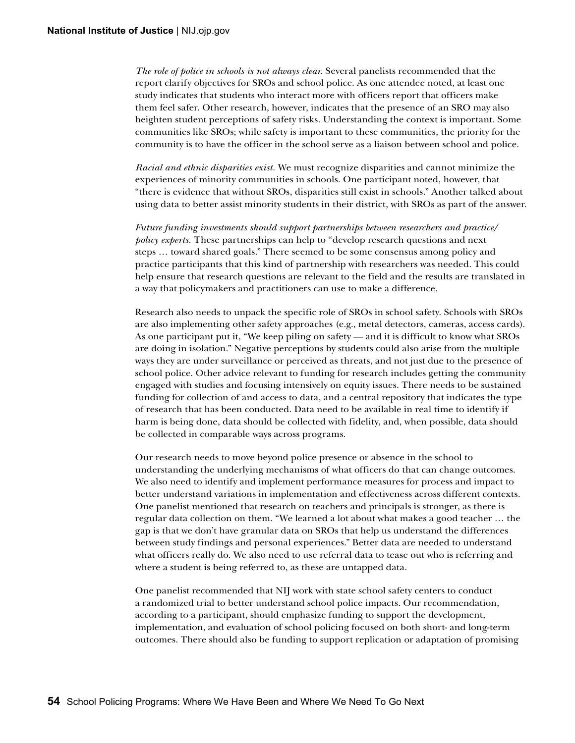*The role of police in schools is not always clear.* Several panelists recommended that the report clarify objectives for SROs and school police. As one attendee noted, at least one study indicates that students who interact more with officers report that officers make them feel safer. Other research, however, indicates that the presence of an SRO may also heighten student perceptions of safety risks. Understanding the context is important. Some communities like SROs; while safety is important to these communities, the priority for the community is to have the officer in the school serve as a liaison between school and police.

*Racial and ethnic disparities exist.* We must recognize disparities and cannot minimize the experiences of minority communities in schools. One participant noted, however, that "there is evidence that without SROs, disparities still exist in schools." Another talked about using data to better assist minority students in their district, with SROs as part of the answer.

*Future funding investments should support partnerships between researchers and practice/ policy experts.* These partnerships can help to "develop research questions and next steps … toward shared goals." There seemed to be some consensus among policy and practice participants that this kind of partnership with researchers was needed. This could help ensure that research questions are relevant to the field and the results are translated in a way that policymakers and practitioners can use to make a difference.

Research also needs to unpack the specific role of SROs in school safety. Schools with SROs are also implementing other safety approaches (e.g., metal detectors, cameras, access cards). As one participant put it, "We keep piling on safety — and it is difficult to know what SROs are doing in isolation." Negative perceptions by students could also arise from the multiple ways they are under surveillance or perceived as threats, and not just due to the presence of school police. Other advice relevant to funding for research includes getting the community engaged with studies and focusing intensively on equity issues. There needs to be sustained funding for collection of and access to data, and a central repository that indicates the type of research that has been conducted. Data need to be available in real time to identify if harm is being done, data should be collected with fidelity, and, when possible, data should be collected in comparable ways across programs.

Our research needs to move beyond police presence or absence in the school to understanding the underlying mechanisms of what officers do that can change outcomes. We also need to identify and implement performance measures for process and impact to better understand variations in implementation and effectiveness across different contexts. One panelist mentioned that research on teachers and principals is stronger, as there is regular data collection on them. "We learned a lot about what makes a good teacher … the gap is that we don't have granular data on SROs that help us understand the differences between study findings and personal experiences." Better data are needed to understand what officers really do. We also need to use referral data to tease out who is referring and where a student is being referred to, as these are untapped data.

One panelist recommended that NIJ work with state school safety centers to conduct a randomized trial to better understand school police impacts. Our recommendation, according to a participant, should emphasize funding to support the development, implementation, and evaluation of school policing focused on both short- and long-term outcomes. There should also be funding to support replication or adaptation of promising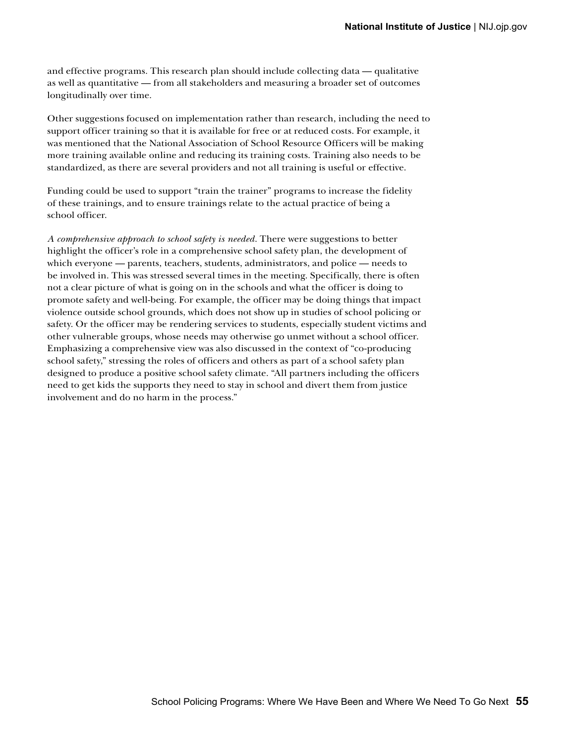and effective programs. This research plan should include collecting data — qualitative as well as quantitative — from all stakeholders and measuring a broader set of outcomes longitudinally over time.

Other suggestions focused on implementation rather than research, including the need to support officer training so that it is available for free or at reduced costs. For example, it was mentioned that the National Association of School Resource Officers will be making more training available online and reducing its training costs. Training also needs to be standardized, as there are several providers and not all training is useful or effective.

Funding could be used to support "train the trainer" programs to increase the fidelity of these trainings, and to ensure trainings relate to the actual practice of being a school officer.

*A comprehensive approach to school safety is needed.* There were suggestions to better highlight the officer's role in a comprehensive school safety plan, the development of which everyone — parents, teachers, students, administrators, and police — needs to be involved in. This was stressed several times in the meeting. Specifically, there is often not a clear picture of what is going on in the schools and what the officer is doing to promote safety and well-being. For example, the officer may be doing things that impact violence outside school grounds, which does not show up in studies of school policing or safety. Or the officer may be rendering services to students, especially student victims and other vulnerable groups, whose needs may otherwise go unmet without a school officer. Emphasizing a comprehensive view was also discussed in the context of "co-producing school safety," stressing the roles of officers and others as part of a school safety plan designed to produce a positive school safety climate. "All partners including the officers need to get kids the supports they need to stay in school and divert them from justice involvement and do no harm in the process."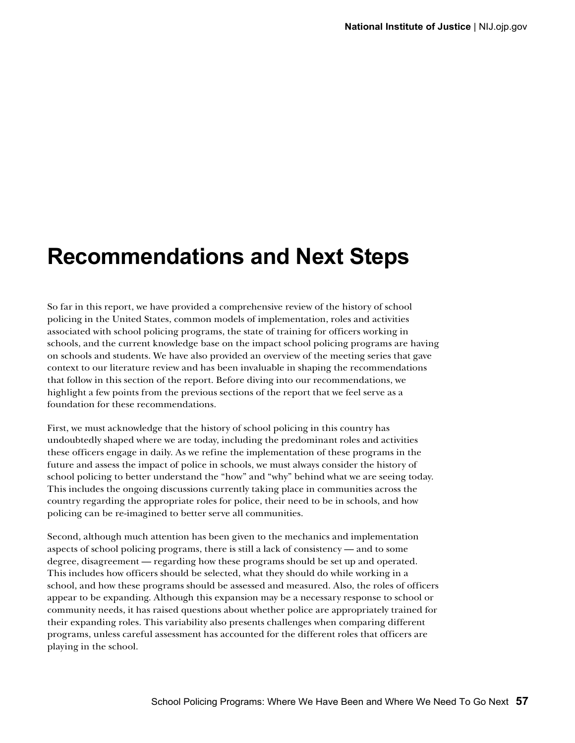### **Recommendations and Next Steps**

So far in this report, we have provided a comprehensive review of the history of school policing in the United States, common models of implementation, roles and activities associated with school policing programs, the state of training for officers working in schools, and the current knowledge base on the impact school policing programs are having on schools and students. We have also provided an overview of the meeting series that gave context to our literature review and has been invaluable in shaping the recommendations that follow in this section of the report. Before diving into our recommendations, we highlight a few points from the previous sections of the report that we feel serve as a foundation for these recommendations.

First, we must acknowledge that the history of school policing in this country has undoubtedly shaped where we are today, including the predominant roles and activities these officers engage in daily. As we refine the implementation of these programs in the future and assess the impact of police in schools, we must always consider the history of school policing to better understand the "how" and "why" behind what we are seeing today. This includes the ongoing discussions currently taking place in communities across the country regarding the appropriate roles for police, their need to be in schools, and how policing can be re-imagined to better serve all communities.

Second, although much attention has been given to the mechanics and implementation aspects of school policing programs, there is still a lack of consistency — and to some degree, disagreement — regarding how these programs should be set up and operated. This includes how officers should be selected, what they should do while working in a school, and how these programs should be assessed and measured. Also, the roles of officers appear to be expanding. Although this expansion may be a necessary response to school or community needs, it has raised questions about whether police are appropriately trained for their expanding roles. This variability also presents challenges when comparing different programs, unless careful assessment has accounted for the different roles that officers are playing in the school.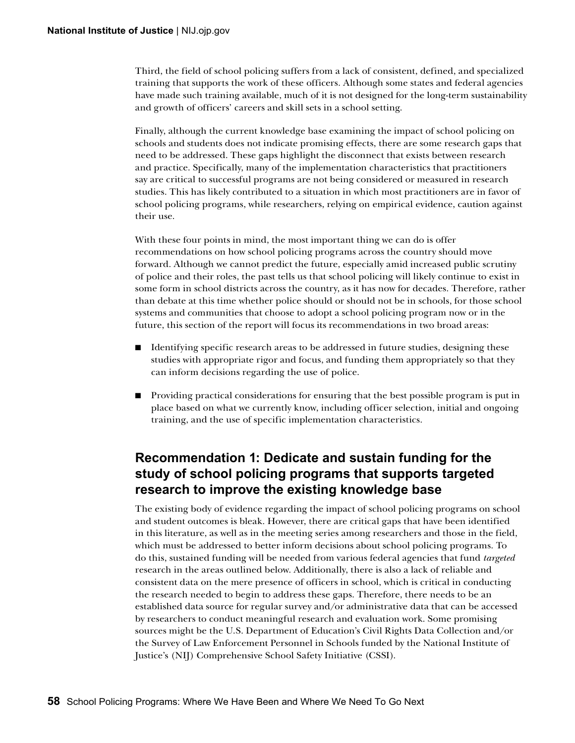Third, the field of school policing suffers from a lack of consistent, defined, and specialized training that supports the work of these officers. Although some states and federal agencies have made such training available, much of it is not designed for the long-term sustainability and growth of officers' careers and skill sets in a school setting.

Finally, although the current knowledge base examining the impact of school policing on schools and students does not indicate promising effects, there are some research gaps that need to be addressed. These gaps highlight the disconnect that exists between research and practice. Specifically, many of the implementation characteristics that practitioners say are critical to successful programs are not being considered or measured in research studies. This has likely contributed to a situation in which most practitioners are in favor of school policing programs, while researchers, relying on empirical evidence, caution against their use.

With these four points in mind, the most important thing we can do is offer recommendations on how school policing programs across the country should move forward. Although we cannot predict the future, especially amid increased public scrutiny of police and their roles, the past tells us that school policing will likely continue to exist in some form in school districts across the country, as it has now for decades. Therefore, rather than debate at this time whether police should or should not be in schools, for those school systems and communities that choose to adopt a school policing program now or in the future, this section of the report will focus its recommendations in two broad areas:

- Identifying specific research areas to be addressed in future studies, designing these studies with appropriate rigor and focus, and funding them appropriately so that they can inform decisions regarding the use of police.
- Providing practical considerations for ensuring that the best possible program is put in place based on what we currently know, including officer selection, initial and ongoing training, and the use of specific implementation characteristics.

#### **Recommendation 1: Dedicate and sustain funding for the study of school policing programs that supports targeted research to improve the existing knowledge base**

The existing body of evidence regarding the impact of school policing programs on school and student outcomes is bleak. However, there are critical gaps that have been identified in this literature, as well as in the meeting series among researchers and those in the field, which must be addressed to better inform decisions about school policing programs. To do this, sustained funding will be needed from various federal agencies that fund *targeted*  research in the areas outlined below. Additionally, there is also a lack of reliable and consistent data on the mere presence of officers in school, which is critical in conducting the research needed to begin to address these gaps. Therefore, there needs to be an established data source for regular survey and/or administrative data that can be accessed by researchers to conduct meaningful research and evaluation work. Some promising sources might be the U.S. Department of Education's Civil Rights Data Collection and/or the Survey of Law Enforcement Personnel in Schools funded by the National Institute of Justice's (NIJ) Comprehensive School Safety Initiative (CSSI).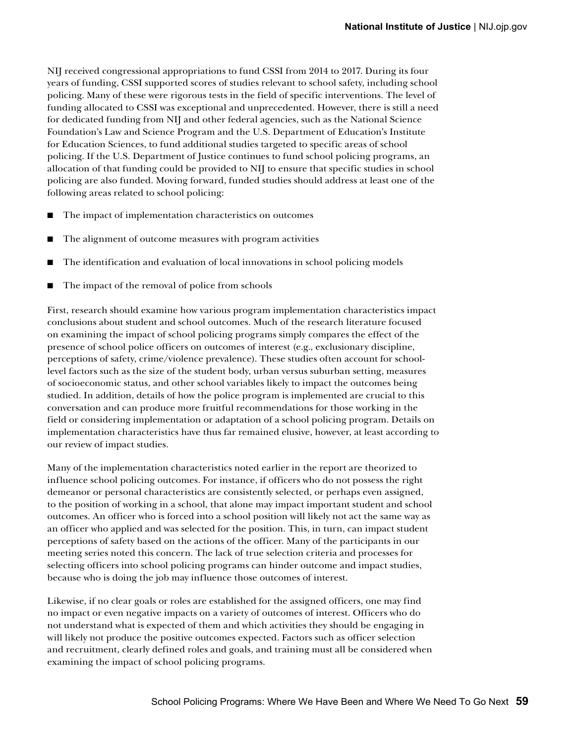NIJ received congressional appropriations to fund CSSI from 2014 to 2017. During its four years of funding, CSSI supported scores of studies relevant to school safety, including school policing. Many of these were rigorous tests in the field of specific interventions. The level of funding allocated to CSSI was exceptional and unprecedented. However, there is still a need for dedicated funding from NIJ and other federal agencies, such as the National Science Foundation's Law and Science Program and the U.S. Department of Education's Institute for Education Sciences, to fund additional studies targeted to specific areas of school policing. If the U.S. Department of Justice continues to fund school policing programs, an allocation of that funding could be provided to NIJ to ensure that specific studies in school policing are also funded. Moving forward, funded studies should address at least one of the following areas related to school policing:

- The impact of implementation characteristics on outcomes
- The alignment of outcome measures with program activities
- The identification and evaluation of local innovations in school policing models
- The impact of the removal of police from schools

First, research should examine how various program implementation characteristics impact conclusions about student and school outcomes. Much of the research literature focused on examining the impact of school policing programs simply compares the effect of the presence of school police officers on outcomes of interest (e.g., exclusionary discipline, perceptions of safety, crime/violence prevalence). These studies often account for schoollevel factors such as the size of the student body, urban versus suburban setting, measures of socioeconomic status, and other school variables likely to impact the outcomes being studied. In addition, details of how the police program is implemented are crucial to this conversation and can produce more fruitful recommendations for those working in the field or considering implementation or adaptation of a school policing program. Details on implementation characteristics have thus far remained elusive, however, at least according to our review of impact studies.

Many of the implementation characteristics noted earlier in the report are theorized to influence school policing outcomes. For instance, if officers who do not possess the right demeanor or personal characteristics are consistently selected, or perhaps even assigned, to the position of working in a school, that alone may impact important student and school outcomes. An officer who is forced into a school position will likely not act the same way as an officer who applied and was selected for the position. This, in turn, can impact student perceptions of safety based on the actions of the officer. Many of the participants in our meeting series noted this concern. The lack of true selection criteria and processes for selecting officers into school policing programs can hinder outcome and impact studies, because who is doing the job may influence those outcomes of interest.

Likewise, if no clear goals or roles are established for the assigned officers, one may find no impact or even negative impacts on a variety of outcomes of interest. Officers who do not understand what is expected of them and which activities they should be engaging in will likely not produce the positive outcomes expected. Factors such as officer selection and recruitment, clearly defined roles and goals, and training must all be considered when examining the impact of school policing programs.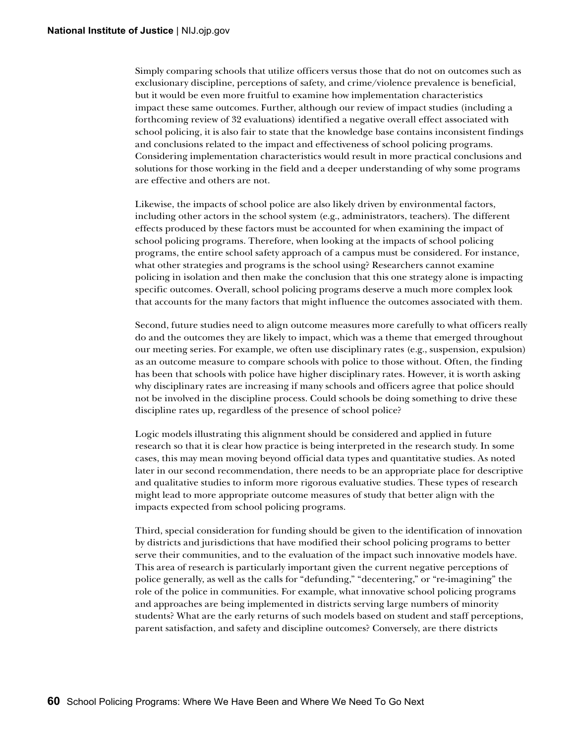Simply comparing schools that utilize officers versus those that do not on outcomes such as exclusionary discipline, perceptions of safety, and crime/violence prevalence is beneficial, but it would be even more fruitful to examine how implementation characteristics impact these same outcomes. Further, although our review of impact studies (including a forthcoming review of 32 evaluations) identified a negative overall effect associated with school policing, it is also fair to state that the knowledge base contains inconsistent findings and conclusions related to the impact and effectiveness of school policing programs. Considering implementation characteristics would result in more practical conclusions and solutions for those working in the field and a deeper understanding of why some programs are effective and others are not.

Likewise, the impacts of school police are also likely driven by environmental factors, including other actors in the school system (e.g., administrators, teachers). The different effects produced by these factors must be accounted for when examining the impact of school policing programs. Therefore, when looking at the impacts of school policing programs, the entire school safety approach of a campus must be considered. For instance, what other strategies and programs is the school using? Researchers cannot examine policing in isolation and then make the conclusion that this one strategy alone is impacting specific outcomes. Overall, school policing programs deserve a much more complex look that accounts for the many factors that might influence the outcomes associated with them.

Second, future studies need to align outcome measures more carefully to what officers really do and the outcomes they are likely to impact, which was a theme that emerged throughout our meeting series. For example, we often use disciplinary rates (e.g., suspension, expulsion) as an outcome measure to compare schools with police to those without. Often, the finding has been that schools with police have higher disciplinary rates. However, it is worth asking why disciplinary rates are increasing if many schools and officers agree that police should not be involved in the discipline process. Could schools be doing something to drive these discipline rates up, regardless of the presence of school police?

Logic models illustrating this alignment should be considered and applied in future research so that it is clear how practice is being interpreted in the research study. In some cases, this may mean moving beyond official data types and quantitative studies. As noted later in our second recommendation, there needs to be an appropriate place for descriptive and qualitative studies to inform more rigorous evaluative studies. These types of research might lead to more appropriate outcome measures of study that better align with the impacts expected from school policing programs.

Third, special consideration for funding should be given to the identification of innovation by districts and jurisdictions that have modified their school policing programs to better serve their communities, and to the evaluation of the impact such innovative models have. This area of research is particularly important given the current negative perceptions of police generally, as well as the calls for "defunding," "decentering," or "re-imagining" the role of the police in communities. For example, what innovative school policing programs and approaches are being implemented in districts serving large numbers of minority students? What are the early returns of such models based on student and staff perceptions, parent satisfaction, and safety and discipline outcomes? Conversely, are there districts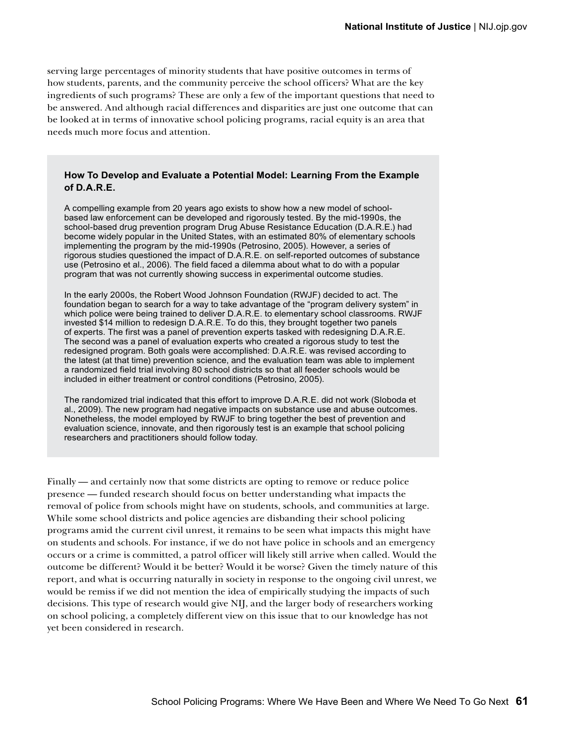serving large percentages of minority students that have positive outcomes in terms of how students, parents, and the community perceive the school officers? What are the key ingredients of such programs? These are only a few of the important questions that need to be answered. And although racial differences and disparities are just one outcome that can be looked at in terms of innovative school policing programs, racial equity is an area that needs much more focus and attention.

#### **How To Develop and Evaluate a Potential Model: Learning From the Example of D.A.R.E.**

A compelling example from 20 years ago exists to show how a new model of schoolbased law enforcement can be developed and rigorously tested. By the mid-1990s, the school-based drug prevention program Drug Abuse Resistance Education (D.A.R.E.) had become widely popular in the United States, with an estimated 80% of elementary schools implementing the program by the mid-1990s (Petrosino, 2005). However, a series of rigorous studies questioned the impact of D.A.R.E. on self-reported outcomes of substance use (Petrosino et al., 2006). The field faced a dilemma about what to do with a popular program that was not currently showing success in experimental outcome studies.

In the early 2000s, the Robert Wood Johnson Foundation (RWJF) decided to act. The foundation began to search for a way to take advantage of the "program delivery system" in which police were being trained to deliver D.A.R.E. to elementary school classrooms. RWJF invested \$14 million to redesign D.A.R.E. To do this, they brought together two panels of experts. The first was a panel of prevention experts tasked with redesigning D.A.R.E. The second was a panel of evaluation experts who created a rigorous study to test the redesigned program. Both goals were accomplished: D.A.R.E. was revised according to the latest (at that time) prevention science, and the evaluation team was able to implement a randomized field trial involving 80 school districts so that all feeder schools would be included in either treatment or control conditions (Petrosino, 2005).

The randomized trial indicated that this effort to improve D.A.R.E. did not work (Sloboda et al., 2009). The new program had negative impacts on substance use and abuse outcomes. Nonetheless, the model employed by RWJF to bring together the best of prevention and evaluation science, innovate, and then rigorously test is an example that school policing researchers and practitioners should follow today.

Finally — and certainly now that some districts are opting to remove or reduce police presence — funded research should focus on better understanding what impacts the removal of police from schools might have on students, schools, and communities at large. While some school districts and police agencies are disbanding their school policing programs amid the current civil unrest, it remains to be seen what impacts this might have on students and schools. For instance, if we do not have police in schools and an emergency occurs or a crime is committed, a patrol officer will likely still arrive when called. Would the outcome be different? Would it be better? Would it be worse? Given the timely nature of this report, and what is occurring naturally in society in response to the ongoing civil unrest, we would be remiss if we did not mention the idea of empirically studying the impacts of such decisions. This type of research would give NIJ, and the larger body of researchers working on school policing, a completely different view on this issue that to our knowledge has not yet been considered in research.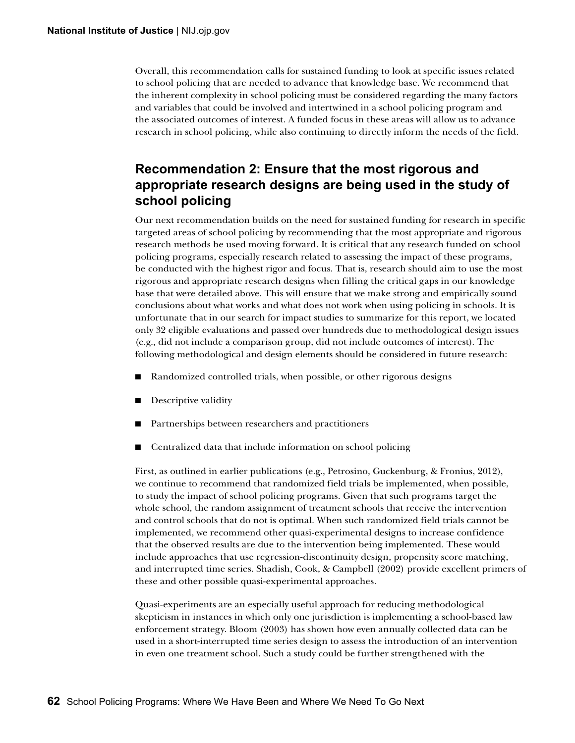Overall, this recommendation calls for sustained funding to look at specific issues related to school policing that are needed to advance that knowledge base. We recommend that the inherent complexity in school policing must be considered regarding the many factors and variables that could be involved and intertwined in a school policing program and the associated outcomes of interest. A funded focus in these areas will allow us to advance research in school policing, while also continuing to directly inform the needs of the field.

#### **Recommendation 2: Ensure that the most rigorous and appropriate research designs are being used in the study of school policing**

Our next recommendation builds on the need for sustained funding for research in specific targeted areas of school policing by recommending that the most appropriate and rigorous research methods be used moving forward. It is critical that any research funded on school policing programs, especially research related to assessing the impact of these programs, be conducted with the highest rigor and focus. That is, research should aim to use the most rigorous and appropriate research designs when filling the critical gaps in our knowledge base that were detailed above. This will ensure that we make strong and empirically sound conclusions about what works and what does not work when using policing in schools. It is unfortunate that in our search for impact studies to summarize for this report, we located only 32 eligible evaluations and passed over hundreds due to methodological design issues (e.g., did not include a comparison group, did not include outcomes of interest). The following methodological and design elements should be considered in future research:

- Randomized controlled trials, when possible, or other rigorous designs
- Descriptive validity
- Partnerships between researchers and practitioners
- Centralized data that include information on school policing

First, as outlined in earlier publications (e.g., Petrosino, Guckenburg, & Fronius, 2012), we continue to recommend that randomized field trials be implemented, when possible, to study the impact of school policing programs. Given that such programs target the whole school, the random assignment of treatment schools that receive the intervention and control schools that do not is optimal. When such randomized field trials cannot be implemented, we recommend other quasi-experimental designs to increase confidence that the observed results are due to the intervention being implemented. These would include approaches that use regression-discontinuity design, propensity score matching, and interrupted time series. Shadish, Cook, & Campbell (2002) provide excellent primers of these and other possible quasi-experimental approaches.

Quasi-experiments are an especially useful approach for reducing methodological skepticism in instances in which only one jurisdiction is implementing a school-based law enforcement strategy. Bloom (2003) has shown how even annually collected data can be used in a short-interrupted time series design to assess the introduction of an intervention in even one treatment school. Such a study could be further strengthened with the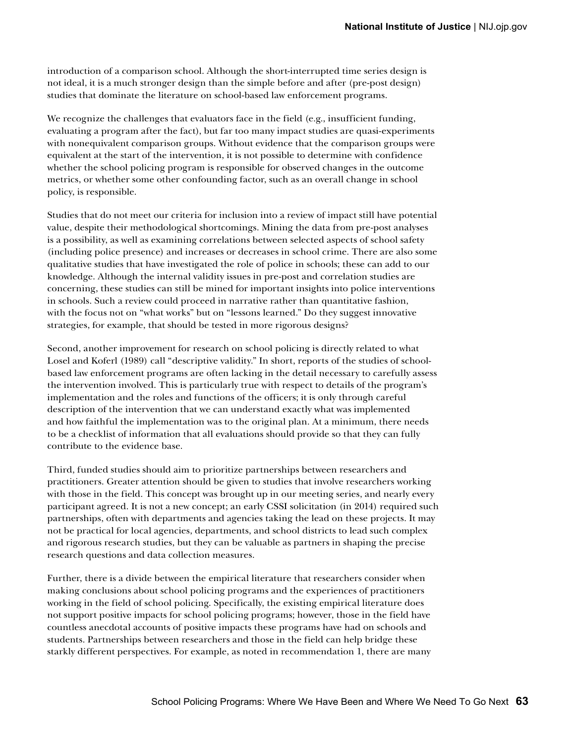introduction of a comparison school. Although the short-interrupted time series design is not ideal, it is a much stronger design than the simple before and after (pre-post design) studies that dominate the literature on school-based law enforcement programs.

We recognize the challenges that evaluators face in the field (e.g., insufficient funding, evaluating a program after the fact), but far too many impact studies are quasi-experiments with nonequivalent comparison groups. Without evidence that the comparison groups were equivalent at the start of the intervention, it is not possible to determine with confidence whether the school policing program is responsible for observed changes in the outcome metrics, or whether some other confounding factor, such as an overall change in school policy, is responsible.

Studies that do not meet our criteria for inclusion into a review of impact still have potential value, despite their methodological shortcomings. Mining the data from pre-post analyses is a possibility, as well as examining correlations between selected aspects of school safety (including police presence) and increases or decreases in school crime. There are also some qualitative studies that have investigated the role of police in schools; these can add to our knowledge. Although the internal validity issues in pre-post and correlation studies are concerning, these studies can still be mined for important insights into police interventions in schools. Such a review could proceed in narrative rather than quantitative fashion, with the focus not on "what works" but on "lessons learned." Do they suggest innovative strategies, for example, that should be tested in more rigorous designs?

Second, another improvement for research on school policing is directly related to what Losel and Koferl (1989) call "descriptive validity." In short, reports of the studies of schoolbased law enforcement programs are often lacking in the detail necessary to carefully assess the intervention involved. This is particularly true with respect to details of the program's implementation and the roles and functions of the officers; it is only through careful description of the intervention that we can understand exactly what was implemented and how faithful the implementation was to the original plan. At a minimum, there needs to be a checklist of information that all evaluations should provide so that they can fully contribute to the evidence base.

Third, funded studies should aim to prioritize partnerships between researchers and practitioners. Greater attention should be given to studies that involve researchers working with those in the field. This concept was brought up in our meeting series, and nearly every participant agreed. It is not a new concept; an early CSSI solicitation (in 2014) required such partnerships, often with departments and agencies taking the lead on these projects. It may not be practical for local agencies, departments, and school districts to lead such complex and rigorous research studies, but they can be valuable as partners in shaping the precise research questions and data collection measures.

Further, there is a divide between the empirical literature that researchers consider when making conclusions about school policing programs and the experiences of practitioners working in the field of school policing. Specifically, the existing empirical literature does not support positive impacts for school policing programs; however, those in the field have countless anecdotal accounts of positive impacts these programs have had on schools and students. Partnerships between researchers and those in the field can help bridge these starkly different perspectives. For example, as noted in recommendation 1, there are many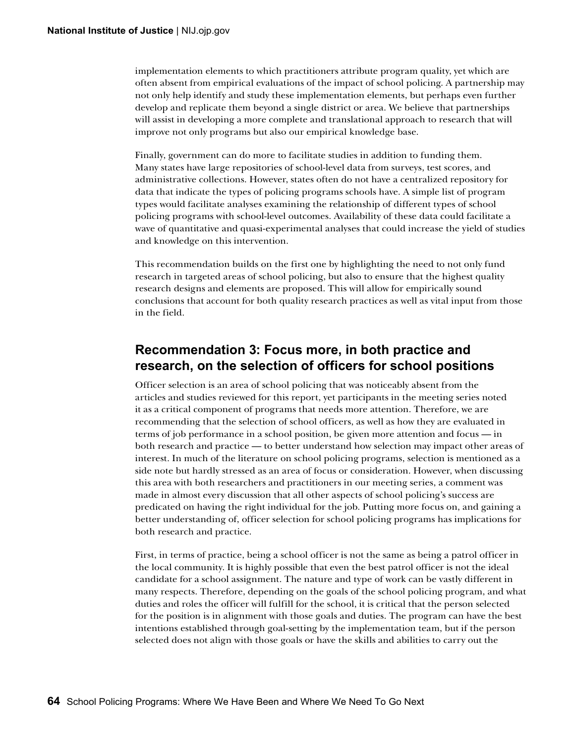implementation elements to which practitioners attribute program quality, yet which are often absent from empirical evaluations of the impact of school policing. A partnership may not only help identify and study these implementation elements, but perhaps even further develop and replicate them beyond a single district or area. We believe that partnerships will assist in developing a more complete and translational approach to research that will improve not only programs but also our empirical knowledge base.

Finally, government can do more to facilitate studies in addition to funding them. Many states have large repositories of school-level data from surveys, test scores, and administrative collections. However, states often do not have a centralized repository for data that indicate the types of policing programs schools have. A simple list of program types would facilitate analyses examining the relationship of different types of school policing programs with school-level outcomes. Availability of these data could facilitate a wave of quantitative and quasi-experimental analyses that could increase the yield of studies and knowledge on this intervention.

This recommendation builds on the first one by highlighting the need to not only fund research in targeted areas of school policing, but also to ensure that the highest quality research designs and elements are proposed. This will allow for empirically sound conclusions that account for both quality research practices as well as vital input from those in the field.

### **Recommendation 3: Focus more, in both practice and research, on the selection of officers for school positions**

Officer selection is an area of school policing that was noticeably absent from the articles and studies reviewed for this report, yet participants in the meeting series noted it as a critical component of programs that needs more attention. Therefore, we are recommending that the selection of school officers, as well as how they are evaluated in terms of job performance in a school position, be given more attention and focus — in both research and practice — to better understand how selection may impact other areas of interest. In much of the literature on school policing programs, selection is mentioned as a side note but hardly stressed as an area of focus or consideration. However, when discussing this area with both researchers and practitioners in our meeting series, a comment was made in almost every discussion that all other aspects of school policing's success are predicated on having the right individual for the job. Putting more focus on, and gaining a better understanding of, officer selection for school policing programs has implications for both research and practice.

First, in terms of practice, being a school officer is not the same as being a patrol officer in the local community. It is highly possible that even the best patrol officer is not the ideal candidate for a school assignment. The nature and type of work can be vastly different in many respects. Therefore, depending on the goals of the school policing program, and what duties and roles the officer will fulfill for the school, it is critical that the person selected for the position is in alignment with those goals and duties. The program can have the best intentions established through goal-setting by the implementation team, but if the person selected does not align with those goals or have the skills and abilities to carry out the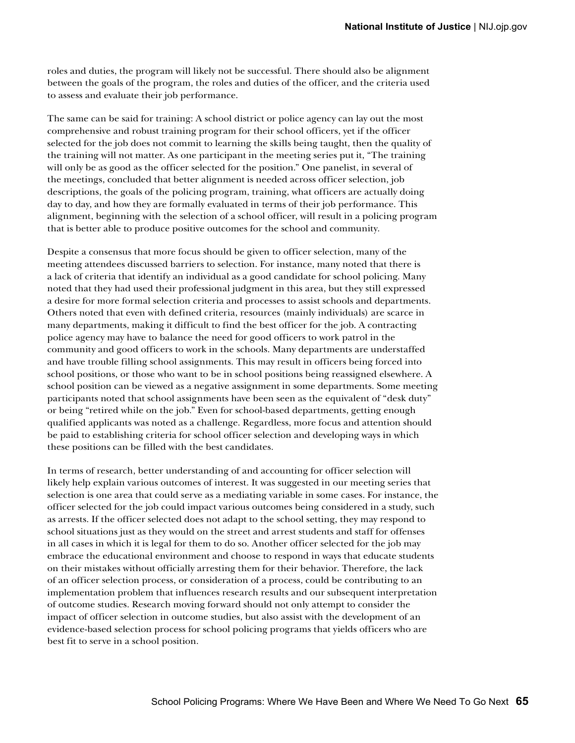roles and duties, the program will likely not be successful. There should also be alignment between the goals of the program, the roles and duties of the officer, and the criteria used to assess and evaluate their job performance.

The same can be said for training: A school district or police agency can lay out the most comprehensive and robust training program for their school officers, yet if the officer selected for the job does not commit to learning the skills being taught, then the quality of the training will not matter. As one participant in the meeting series put it, "The training will only be as good as the officer selected for the position." One panelist, in several of the meetings, concluded that better alignment is needed across officer selection, job descriptions, the goals of the policing program, training, what officers are actually doing day to day, and how they are formally evaluated in terms of their job performance. This alignment, beginning with the selection of a school officer, will result in a policing program that is better able to produce positive outcomes for the school and community.

Despite a consensus that more focus should be given to officer selection, many of the meeting attendees discussed barriers to selection. For instance, many noted that there is a lack of criteria that identify an individual as a good candidate for school policing. Many noted that they had used their professional judgment in this area, but they still expressed a desire for more formal selection criteria and processes to assist schools and departments. Others noted that even with defined criteria, resources (mainly individuals) are scarce in many departments, making it difficult to find the best officer for the job. A contracting police agency may have to balance the need for good officers to work patrol in the community and good officers to work in the schools. Many departments are understaffed and have trouble filling school assignments. This may result in officers being forced into school positions, or those who want to be in school positions being reassigned elsewhere. A school position can be viewed as a negative assignment in some departments. Some meeting participants noted that school assignments have been seen as the equivalent of "desk duty" or being "retired while on the job." Even for school-based departments, getting enough qualified applicants was noted as a challenge. Regardless, more focus and attention should be paid to establishing criteria for school officer selection and developing ways in which these positions can be filled with the best candidates.

In terms of research, better understanding of and accounting for officer selection will likely help explain various outcomes of interest. It was suggested in our meeting series that selection is one area that could serve as a mediating variable in some cases. For instance, the officer selected for the job could impact various outcomes being considered in a study, such as arrests. If the officer selected does not adapt to the school setting, they may respond to school situations just as they would on the street and arrest students and staff for offenses in all cases in which it is legal for them to do so. Another officer selected for the job may embrace the educational environment and choose to respond in ways that educate students on their mistakes without officially arresting them for their behavior. Therefore, the lack of an officer selection process, or consideration of a process, could be contributing to an implementation problem that influences research results and our subsequent interpretation of outcome studies. Research moving forward should not only attempt to consider the impact of officer selection in outcome studies, but also assist with the development of an evidence-based selection process for school policing programs that yields officers who are best fit to serve in a school position.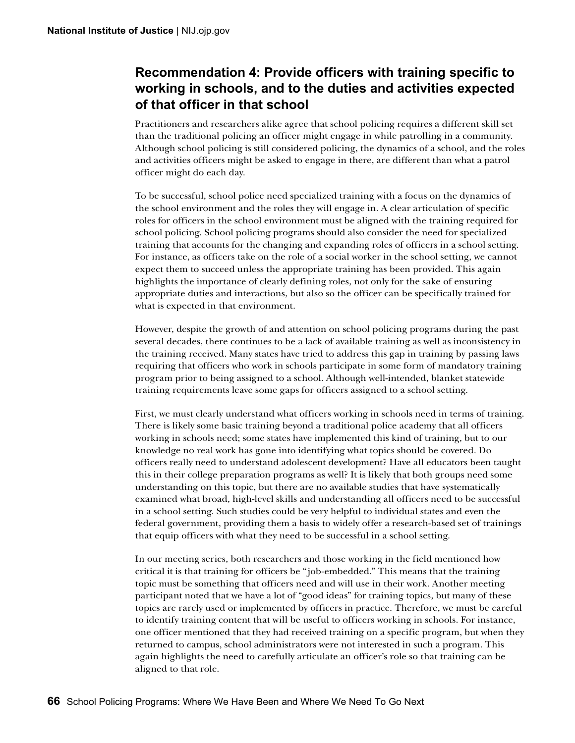## **Recommendation 4: Provide officers with training specific to working in schools, and to the duties and activities expected of that officer in that school**

Practitioners and researchers alike agree that school policing requires a different skill set than the traditional policing an officer might engage in while patrolling in a community. Although school policing is still considered policing, the dynamics of a school, and the roles and activities officers might be asked to engage in there, are different than what a patrol officer might do each day.

To be successful, school police need specialized training with a focus on the dynamics of the school environment and the roles they will engage in. A clear articulation of specific roles for officers in the school environment must be aligned with the training required for school policing. School policing programs should also consider the need for specialized training that accounts for the changing and expanding roles of officers in a school setting. For instance, as officers take on the role of a social worker in the school setting, we cannot expect them to succeed unless the appropriate training has been provided. This again highlights the importance of clearly defining roles, not only for the sake of ensuring appropriate duties and interactions, but also so the officer can be specifically trained for what is expected in that environment.

However, despite the growth of and attention on school policing programs during the past several decades, there continues to be a lack of available training as well as inconsistency in the training received. Many states have tried to address this gap in training by passing laws requiring that officers who work in schools participate in some form of mandatory training program prior to being assigned to a school. Although well-intended, blanket statewide training requirements leave some gaps for officers assigned to a school setting.

First, we must clearly understand what officers working in schools need in terms of training. There is likely some basic training beyond a traditional police academy that all officers working in schools need; some states have implemented this kind of training, but to our knowledge no real work has gone into identifying what topics should be covered. Do officers really need to understand adolescent development? Have all educators been taught this in their college preparation programs as well? It is likely that both groups need some understanding on this topic, but there are no available studies that have systematically examined what broad, high-level skills and understanding all officers need to be successful in a school setting. Such studies could be very helpful to individual states and even the federal government, providing them a basis to widely offer a research-based set of trainings that equip officers with what they need to be successful in a school setting.

In our meeting series, both researchers and those working in the field mentioned how critical it is that training for officers be "job-embedded." This means that the training topic must be something that officers need and will use in their work. Another meeting participant noted that we have a lot of "good ideas" for training topics, but many of these topics are rarely used or implemented by officers in practice. Therefore, we must be careful to identify training content that will be useful to officers working in schools. For instance, one officer mentioned that they had received training on a specific program, but when they returned to campus, school administrators were not interested in such a program. This again highlights the need to carefully articulate an officer's role so that training can be aligned to that role.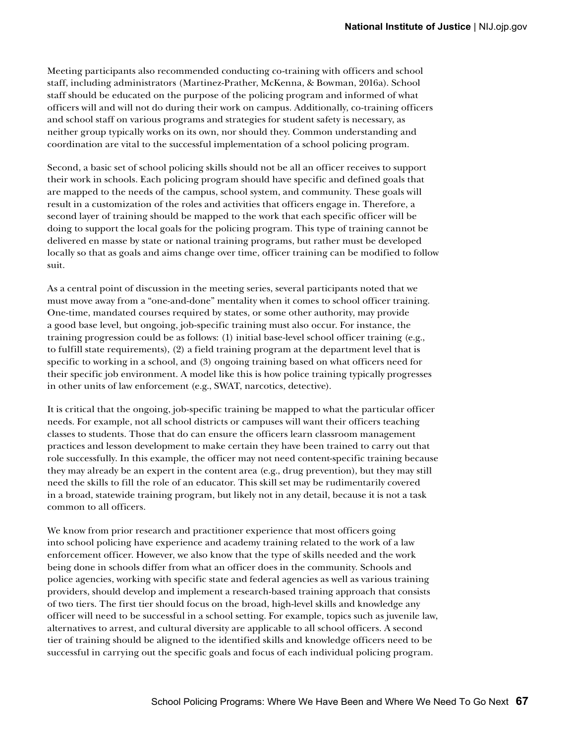Meeting participants also recommended conducting co-training with officers and school staff, including administrators (Martinez-Prather, McKenna, & Bowman, 2016a). School staff should be educated on the purpose of the policing program and informed of what officers will and will not do during their work on campus. Additionally, co-training officers and school staff on various programs and strategies for student safety is necessary, as neither group typically works on its own, nor should they. Common understanding and coordination are vital to the successful implementation of a school policing program.

Second, a basic set of school policing skills should not be all an officer receives to support their work in schools. Each policing program should have specific and defined goals that are mapped to the needs of the campus, school system, and community. These goals will result in a customization of the roles and activities that officers engage in. Therefore, a second layer of training should be mapped to the work that each specific officer will be doing to support the local goals for the policing program. This type of training cannot be delivered en masse by state or national training programs, but rather must be developed locally so that as goals and aims change over time, officer training can be modified to follow suit.

As a central point of discussion in the meeting series, several participants noted that we must move away from a "one-and-done" mentality when it comes to school officer training. One-time, mandated courses required by states, or some other authority, may provide a good base level, but ongoing, job-specific training must also occur. For instance, the training progression could be as follows: (1) initial base-level school officer training (e.g., to fulfill state requirements), (2) a field training program at the department level that is specific to working in a school, and (3) ongoing training based on what officers need for their specific job environment. A model like this is how police training typically progresses in other units of law enforcement (e.g., SWAT, narcotics, detective).

It is critical that the ongoing, job-specific training be mapped to what the particular officer needs. For example, not all school districts or campuses will want their officers teaching classes to students. Those that do can ensure the officers learn classroom management practices and lesson development to make certain they have been trained to carry out that role successfully. In this example, the officer may not need content-specific training because they may already be an expert in the content area (e.g., drug prevention), but they may still need the skills to fill the role of an educator. This skill set may be rudimentarily covered in a broad, statewide training program, but likely not in any detail, because it is not a task common to all officers.

We know from prior research and practitioner experience that most officers going into school policing have experience and academy training related to the work of a law enforcement officer. However, we also know that the type of skills needed and the work being done in schools differ from what an officer does in the community. Schools and police agencies, working with specific state and federal agencies as well as various training providers, should develop and implement a research-based training approach that consists of two tiers. The first tier should focus on the broad, high-level skills and knowledge any officer will need to be successful in a school setting. For example, topics such as juvenile law, alternatives to arrest, and cultural diversity are applicable to all school officers. A second tier of training should be aligned to the identified skills and knowledge officers need to be successful in carrying out the specific goals and focus of each individual policing program.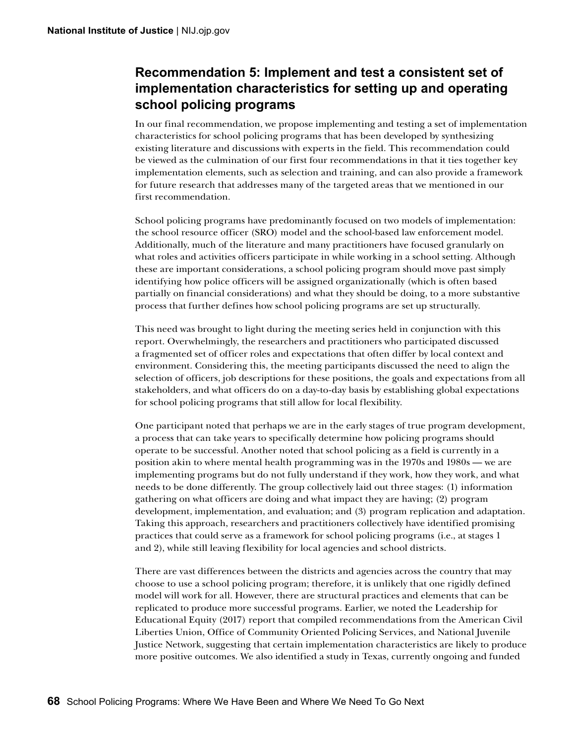### **Recommendation 5: Implement and test a consistent set of implementation characteristics for setting up and operating school policing programs**

In our final recommendation, we propose implementing and testing a set of implementation characteristics for school policing programs that has been developed by synthesizing existing literature and discussions with experts in the field. This recommendation could be viewed as the culmination of our first four recommendations in that it ties together key implementation elements, such as selection and training, and can also provide a framework for future research that addresses many of the targeted areas that we mentioned in our first recommendation.

School policing programs have predominantly focused on two models of implementation: the school resource officer (SRO) model and the school-based law enforcement model. Additionally, much of the literature and many practitioners have focused granularly on what roles and activities officers participate in while working in a school setting. Although these are important considerations, a school policing program should move past simply identifying how police officers will be assigned organizationally (which is often based partially on financial considerations) and what they should be doing, to a more substantive process that further defines how school policing programs are set up structurally.

This need was brought to light during the meeting series held in conjunction with this report. Overwhelmingly, the researchers and practitioners who participated discussed a fragmented set of officer roles and expectations that often differ by local context and environment. Considering this, the meeting participants discussed the need to align the selection of officers, job descriptions for these positions, the goals and expectations from all stakeholders, and what officers do on a day-to-day basis by establishing global expectations for school policing programs that still allow for local flexibility.

One participant noted that perhaps we are in the early stages of true program development, a process that can take years to specifically determine how policing programs should operate to be successful. Another noted that school policing as a field is currently in a position akin to where mental health programming was in the 1970s and 1980s — we are implementing programs but do not fully understand if they work, how they work, and what needs to be done differently. The group collectively laid out three stages: (1) information gathering on what officers are doing and what impact they are having; (2) program development, implementation, and evaluation; and (3) program replication and adaptation. Taking this approach, researchers and practitioners collectively have identified promising practices that could serve as a framework for school policing programs (i.e., at stages 1 and 2), while still leaving flexibility for local agencies and school districts.

There are vast differences between the districts and agencies across the country that may choose to use a school policing program; therefore, it is unlikely that one rigidly defined model will work for all. However, there are structural practices and elements that can be replicated to produce more successful programs. Earlier, we noted the Leadership for Educational Equity (2017) report that compiled recommendations from the American Civil Liberties Union, Office of Community Oriented Policing Services, and National Juvenile Justice Network, suggesting that certain implementation characteristics are likely to produce more positive outcomes. We also identified a study in Texas, currently ongoing and funded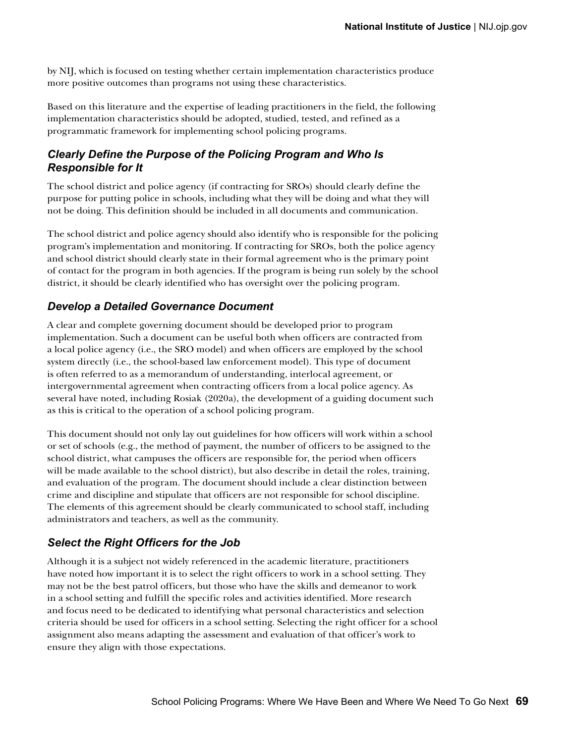by NIJ, which is focused on testing whether certain implementation characteristics produce more positive outcomes than programs not using these characteristics.

Based on this literature and the expertise of leading practitioners in the field, the following implementation characteristics should be adopted, studied, tested, and refined as a programmatic framework for implementing school policing programs.

### *Clearly Define the Purpose of the Policing Program and Who Is Responsible for It*

The school district and police agency (if contracting for SROs) should clearly define the purpose for putting police in schools, including what they will be doing and what they will not be doing. This definition should be included in all documents and communication.

The school district and police agency should also identify who is responsible for the policing program's implementation and monitoring. If contracting for SROs, both the police agency and school district should clearly state in their formal agreement who is the primary point of contact for the program in both agencies. If the program is being run solely by the school district, it should be clearly identified who has oversight over the policing program.

### *Develop a Detailed Governance Document*

A clear and complete governing document should be developed prior to program implementation. Such a document can be useful both when officers are contracted from a local police agency (i.e., the SRO model) and when officers are employed by the school system directly (i.e., the school-based law enforcement model). This type of document is often referred to as a memorandum of understanding, interlocal agreement, or intergovernmental agreement when contracting officers from a local police agency. As several have noted, including Rosiak (2020a), the development of a guiding document such as this is critical to the operation of a school policing program.

This document should not only lay out guidelines for how officers will work within a school or set of schools (e.g., the method of payment, the number of officers to be assigned to the school district, what campuses the officers are responsible for, the period when officers will be made available to the school district), but also describe in detail the roles, training, and evaluation of the program. The document should include a clear distinction between crime and discipline and stipulate that officers are not responsible for school discipline. The elements of this agreement should be clearly communicated to school staff, including administrators and teachers, as well as the community.

### *Select the Right Officers for the Job*

Although it is a subject not widely referenced in the academic literature, practitioners have noted how important it is to select the right officers to work in a school setting. They may not be the best patrol officers, but those who have the skills and demeanor to work in a school setting and fulfill the specific roles and activities identified. More research and focus need to be dedicated to identifying what personal characteristics and selection criteria should be used for officers in a school setting. Selecting the right officer for a school assignment also means adapting the assessment and evaluation of that officer's work to ensure they align with those expectations.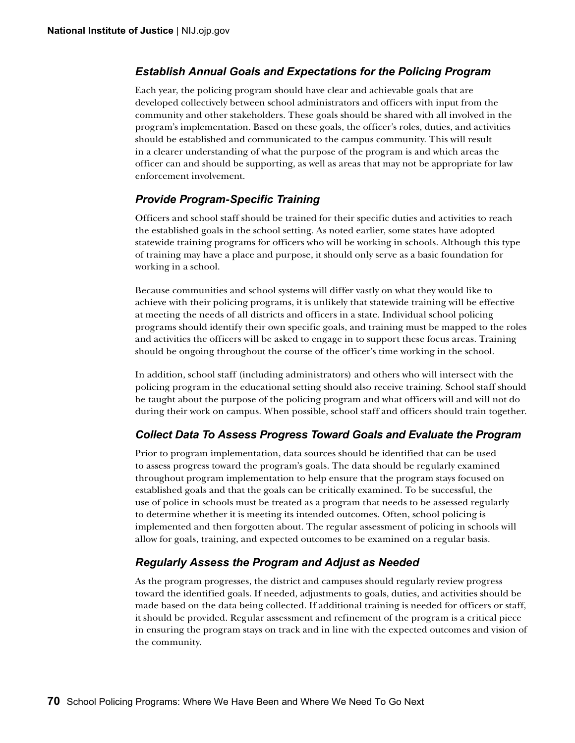#### *Establish Annual Goals and Expectations for the Policing Program*

Each year, the policing program should have clear and achievable goals that are developed collectively between school administrators and officers with input from the community and other stakeholders. These goals should be shared with all involved in the program's implementation. Based on these goals, the officer's roles, duties, and activities should be established and communicated to the campus community. This will result in a clearer understanding of what the purpose of the program is and which areas the officer can and should be supporting, as well as areas that may not be appropriate for law enforcement involvement.

#### *Provide Program-Specific Training*

Officers and school staff should be trained for their specific duties and activities to reach the established goals in the school setting. As noted earlier, some states have adopted statewide training programs for officers who will be working in schools. Although this type of training may have a place and purpose, it should only serve as a basic foundation for working in a school.

Because communities and school systems will differ vastly on what they would like to achieve with their policing programs, it is unlikely that statewide training will be effective at meeting the needs of all districts and officers in a state. Individual school policing programs should identify their own specific goals, and training must be mapped to the roles and activities the officers will be asked to engage in to support these focus areas. Training should be ongoing throughout the course of the officer's time working in the school.

In addition, school staff (including administrators) and others who will intersect with the policing program in the educational setting should also receive training. School staff should be taught about the purpose of the policing program and what officers will and will not do during their work on campus. When possible, school staff and officers should train together.

#### *Collect Data To Assess Progress Toward Goals and Evaluate the Program*

Prior to program implementation, data sources should be identified that can be used to assess progress toward the program's goals. The data should be regularly examined throughout program implementation to help ensure that the program stays focused on established goals and that the goals can be critically examined. To be successful, the use of police in schools must be treated as a program that needs to be assessed regularly to determine whether it is meeting its intended outcomes. Often, school policing is implemented and then forgotten about. The regular assessment of policing in schools will allow for goals, training, and expected outcomes to be examined on a regular basis.

#### *Regularly Assess the Program and Adjust as Needed*

As the program progresses, the district and campuses should regularly review progress toward the identified goals. If needed, adjustments to goals, duties, and activities should be made based on the data being collected. If additional training is needed for officers or staff, it should be provided. Regular assessment and refinement of the program is a critical piece in ensuring the program stays on track and in line with the expected outcomes and vision of the community.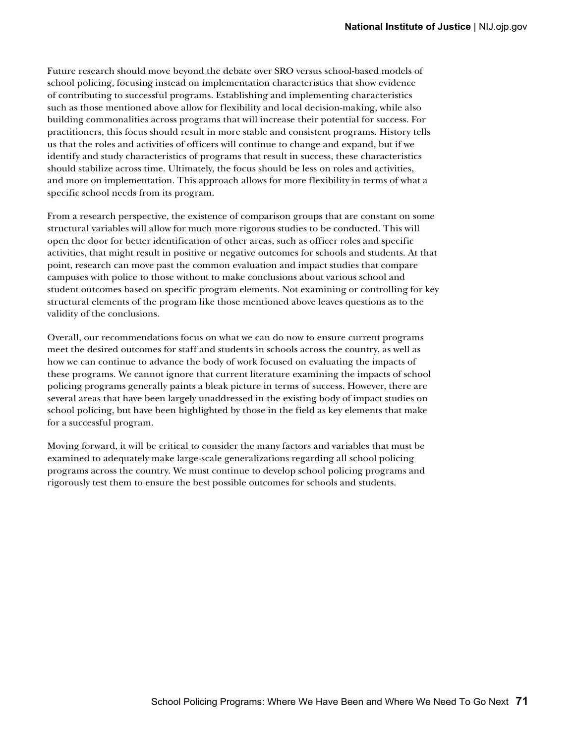Future research should move beyond the debate over SRO versus school-based models of school policing, focusing instead on implementation characteristics that show evidence of contributing to successful programs. Establishing and implementing characteristics such as those mentioned above allow for flexibility and local decision-making, while also building commonalities across programs that will increase their potential for success. For practitioners, this focus should result in more stable and consistent programs. History tells us that the roles and activities of officers will continue to change and expand, but if we identify and study characteristics of programs that result in success, these characteristics should stabilize across time. Ultimately, the focus should be less on roles and activities, and more on implementation. This approach allows for more flexibility in terms of what a specific school needs from its program.

From a research perspective, the existence of comparison groups that are constant on some structural variables will allow for much more rigorous studies to be conducted. This will open the door for better identification of other areas, such as officer roles and specific activities, that might result in positive or negative outcomes for schools and students. At that point, research can move past the common evaluation and impact studies that compare campuses with police to those without to make conclusions about various school and student outcomes based on specific program elements. Not examining or controlling for key structural elements of the program like those mentioned above leaves questions as to the validity of the conclusions.

Overall, our recommendations focus on what we can do now to ensure current programs meet the desired outcomes for staff and students in schools across the country, as well as how we can continue to advance the body of work focused on evaluating the impacts of these programs. We cannot ignore that current literature examining the impacts of school policing programs generally paints a bleak picture in terms of success. However, there are several areas that have been largely unaddressed in the existing body of impact studies on school policing, but have been highlighted by those in the field as key elements that make for a successful program.

Moving forward, it will be critical to consider the many factors and variables that must be examined to adequately make large-scale generalizations regarding all school policing programs across the country. We must continue to develop school policing programs and rigorously test them to ensure the best possible outcomes for schools and students.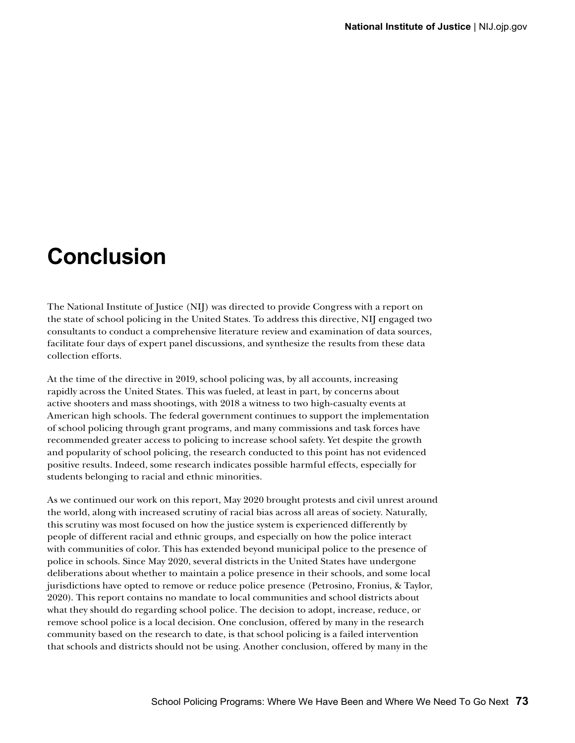# **Conclusion**

The National Institute of Justice (NIJ) was directed to provide Congress with a report on the state of school policing in the United States. To address this directive, NIJ engaged two consultants to conduct a comprehensive literature review and examination of data sources, facilitate four days of expert panel discussions, and synthesize the results from these data collection efforts.

At the time of the directive in 2019, school policing was, by all accounts, increasing rapidly across the United States. This was fueled, at least in part, by concerns about active shooters and mass shootings, with 2018 a witness to two high-casualty events at American high schools. The federal government continues to support the implementation of school policing through grant programs, and many commissions and task forces have recommended greater access to policing to increase school safety. Yet despite the growth and popularity of school policing, the research conducted to this point has not evidenced positive results. Indeed, some research indicates possible harmful effects, especially for students belonging to racial and ethnic minorities.

As we continued our work on this report, May 2020 brought protests and civil unrest around the world, along with increased scrutiny of racial bias across all areas of society. Naturally, this scrutiny was most focused on how the justice system is experienced differently by people of different racial and ethnic groups, and especially on how the police interact with communities of color. This has extended beyond municipal police to the presence of police in schools. Since May 2020, several districts in the United States have undergone deliberations about whether to maintain a police presence in their schools, and some local jurisdictions have opted to remove or reduce police presence (Petrosino, Fronius, & Taylor, 2020). This report contains no mandate to local communities and school districts about what they should do regarding school police. The decision to adopt, increase, reduce, or remove school police is a local decision. One conclusion, offered by many in the research community based on the research to date, is that school policing is a failed intervention that schools and districts should not be using. Another conclusion, offered by many in the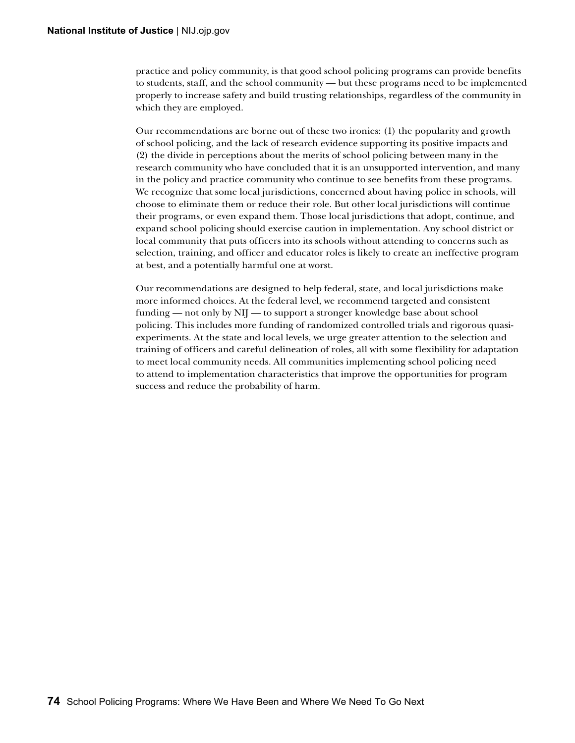practice and policy community, is that good school policing programs can provide benefits to students, staff, and the school community — but these programs need to be implemented properly to increase safety and build trusting relationships, regardless of the community in which they are employed.

Our recommendations are borne out of these two ironies: (1) the popularity and growth of school policing, and the lack of research evidence supporting its positive impacts and (2) the divide in perceptions about the merits of school policing between many in the research community who have concluded that it is an unsupported intervention, and many in the policy and practice community who continue to see benefits from these programs. We recognize that some local jurisdictions, concerned about having police in schools, will choose to eliminate them or reduce their role. But other local jurisdictions will continue their programs, or even expand them. Those local jurisdictions that adopt, continue, and expand school policing should exercise caution in implementation. Any school district or local community that puts officers into its schools without attending to concerns such as selection, training, and officer and educator roles is likely to create an ineffective program at best, and a potentially harmful one at worst.

Our recommendations are designed to help federal, state, and local jurisdictions make more informed choices. At the federal level, we recommend targeted and consistent funding — not only by NIJ — to support a stronger knowledge base about school policing. This includes more funding of randomized controlled trials and rigorous quasiexperiments. At the state and local levels, we urge greater attention to the selection and training of officers and careful delineation of roles, all with some flexibility for adaptation to meet local community needs. All communities implementing school policing need to attend to implementation characteristics that improve the opportunities for program success and reduce the probability of harm.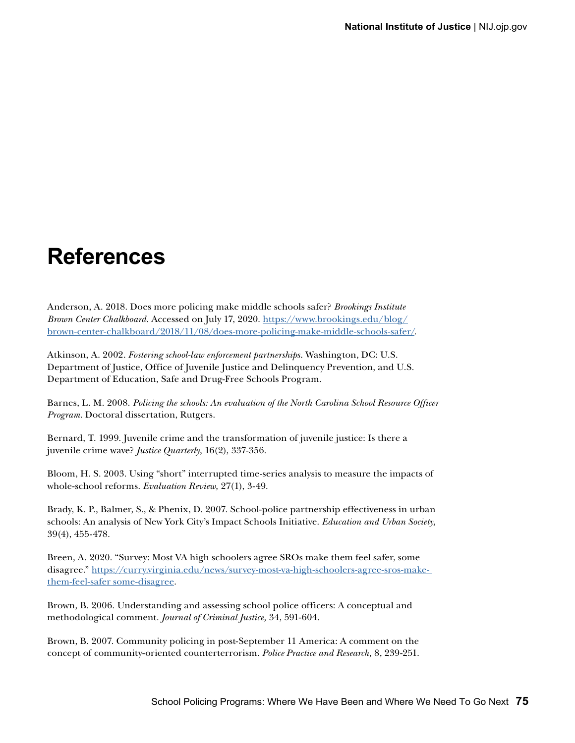# **References**

Anderson, A. 2018. Does more policing make middle schools safer? *Brookings Institute Brown Center Chalkboard*. Accessed on July 17, 2020. [https://www.brookings.edu/blog/](https://www.brookings.edu/blog/brown-center-chalkboard/2018/11/08/does-more-policing-make-middle-schools-safer/) [brown-center-chalkboard/2018/11/08/does-more-policing-make-middle-schools-safer/](https://www.brookings.edu/blog/brown-center-chalkboard/2018/11/08/does-more-policing-make-middle-schools-safer/).

Atkinson, A. 2002. *Fostering school-law enforcement partnerships*. Washington, DC: U.S. Department of Justice, Office of Juvenile Justice and Delinquency Prevention, and U.S. Department of Education, Safe and Drug-Free Schools Program.

Barnes, L. M. 2008. *Policing the schools: An evaluation of the North Carolina School Resource Officer Program.* Doctoral dissertation, Rutgers.

Bernard, T. 1999. Juvenile crime and the transformation of juvenile justice: Is there a juvenile crime wave? *Justice Quarterly*, 16(2), 337-356.

Bloom, H. S. 2003. Using "short" interrupted time-series analysis to measure the impacts of whole-school reforms. *Evaluation Review,* 27(1), 3-49.

Brady, K. P., Balmer, S., & Phenix, D. 2007. School-police partnership effectiveness in urban schools: An analysis of New York City's Impact Schools Initiative. *Education and Urban Society,* 39(4), 455-478.

Breen, A. 2020. "Survey: Most VA high schoolers agree SROs make them feel safer, some disagree." [https://curry.virginia.edu/news/survey-most-va-high-schoolers-agree-sros-make](https://education.virginia.edu/news/survey-most-va-high-schoolers-agree-sros-make-them-feel-safer%20some-disagree)[them-feel-safer some-disagree](https://education.virginia.edu/news/survey-most-va-high-schoolers-agree-sros-make-them-feel-safer%20some-disagree).

Brown, B. 2006. Understanding and assessing school police officers: A conceptual and methodological comment. *Journal of Criminal Justice,* 34, 591-604.

Brown, B. 2007. Community policing in post-September 11 America: A comment on the concept of community-oriented counterterrorism. *Police Practice and Research,* 8, 239-251.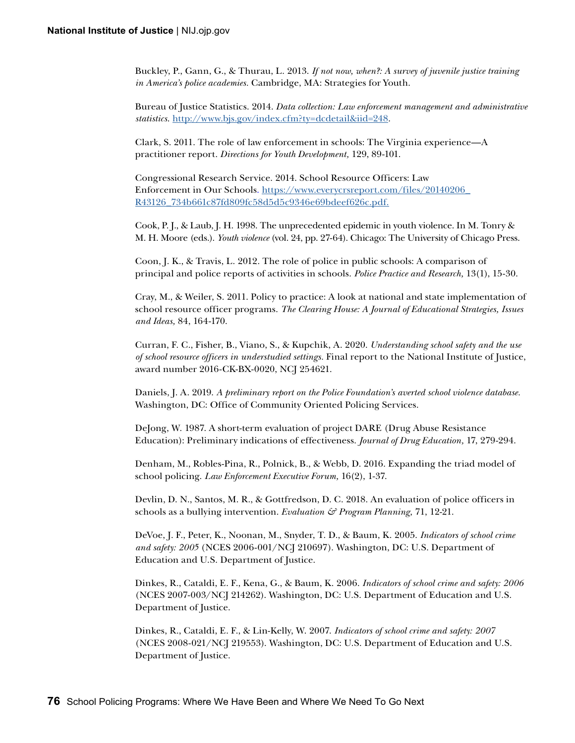Buckley, P., Gann, G., & Thurau, L. 2013. *If not now, when?: A survey of juvenile justice training in America's police academies.* Cambridge, MA: Strategies for Youth.

Bureau of Justice Statistics. 2014. *Data collection: Law enforcement management and administrative statistics*. <http://www.bjs.gov/index.cfm?ty=dcdetail&iid=248>.

Clark, S. 2011. The role of law enforcement in schools: The Virginia experience—A practitioner report. *Directions for Youth Development,* 129, 89-101.

Congressional Research Service. 2014. School Resource Officers: Law Enforcement in Our Schools. [https://www.everycrsreport.com/files/20140206\\_](https://www.everycrsreport.com/files/20140206_R43126_734b661c87fd809fc58d5d5c9346e69bdeef626c.pdf. ) [R43126\\_734b661c87fd809fc58d5d5c9346e69bdeef626c.pdf.](https://www.everycrsreport.com/files/20140206_R43126_734b661c87fd809fc58d5d5c9346e69bdeef626c.pdf. )

Cook, P. J., & Laub, J. H. 1998. The unprecedented epidemic in youth violence. In M. Tonry & M. H. Moore (eds.). *Youth violence* (vol. 24, pp. 27-64). Chicago: The University of Chicago Press.

Coon, J. K., & Travis, L. 2012. The role of police in public schools: A comparison of principal and police reports of activities in schools. *Police Practice and Research,* 13(1), 15-30.

Cray, M., & Weiler, S. 2011. Policy to practice: A look at national and state implementation of school resource officer programs. *The Clearing House: A Journal of Educational Strategies, Issues and Ideas,* 84, 164-170.

Curran, F. C., Fisher, B., Viano, S., & Kupchik, A. 2020. *Understanding school safety and the use of school resource officers in understudied settings.* Final report to the National Institute of Justice, award number 2016-CK-BX-0020, NCJ 254621.

Daniels, J. A. 2019. *A preliminary report on the Police Foundation's averted school violence database.* Washington, DC: Office of Community Oriented Policing Services.

DeJong, W. 1987. A short-term evaluation of project DARE (Drug Abuse Resistance Education): Preliminary indications of effectiveness. *Journal of Drug Education,* 17, 279-294.

Denham, M., Robles-Pina, R., Polnick, B., & Webb, D. 2016. Expanding the triad model of school policing. *Law Enforcement Executive Forum,* 16(2), 1-37.

Devlin, D. N., Santos, M. R., & Gottfredson, D. C. 2018. An evaluation of police officers in schools as a bullying intervention. *Evaluation & Program Planning,* 71, 12-21.

DeVoe, J. F., Peter, K., Noonan, M., Snyder, T. D., & Baum, K. 2005. *Indicators of school crime and safety: 2005* (NCES 2006-001/NCJ 210697). Washington, DC: U.S. Department of Education and U.S. Department of Justice.

Dinkes, R., Cataldi, E. F., Kena, G., & Baum, K. 2006. *Indicators of school crime and safety: 2006*  (NCES 2007-003/NCJ 214262). Washington, DC: U.S. Department of Education and U.S. Department of Justice.

Dinkes, R., Cataldi, E. F., & Lin-Kelly, W. 2007. *Indicators of school crime and safety: 2007*  (NCES 2008-021/NCJ 219553). Washington, DC: U.S. Department of Education and U.S. Department of Justice.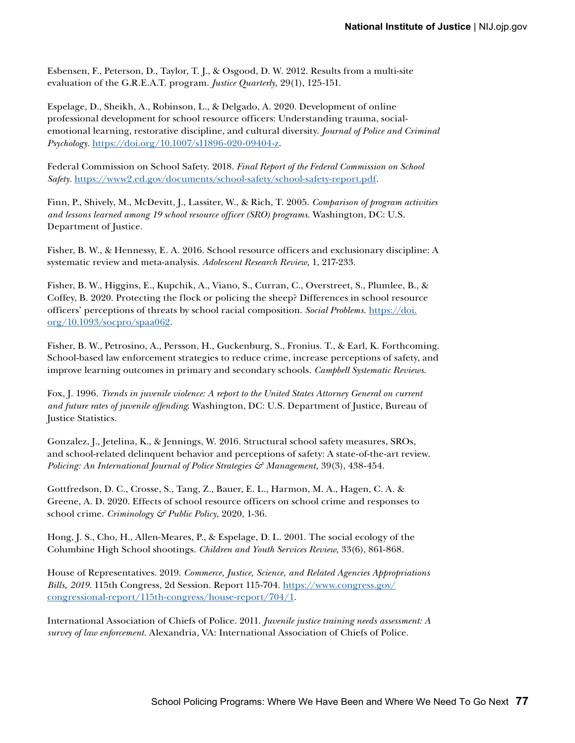Esbensen, F., Peterson, D., Taylor, T. J., & Osgood, D. W. 2012. Results from a multi-site evaluation of the G.R.E.A.T. program. *Justice Quarterly,* 29(1), 125-151.

Espelage, D., Sheikh, A., Robinson, L., & Delgado, A. 2020. Development of online professional development for school resource officers: Understanding trauma, socialemotional learning, restorative discipline, and cultural diversity. *Journal of Police and Criminal Psychology.* <https://doi.org/10.1007/s11896-020-09404-z>.

Federal Commission on School Safety. 2018. *Final Report of the Federal Commission on School Safety.* <https://www2.ed.gov/documents/school-safety/school-safety-report.pdf>*.*

Finn, P., Shively, M., McDevitt, J., Lassiter, W., & Rich, T. 2005. *Comparison of program activities and lessons learned among 19 school resource officer (SRO) programs*. Washington, DC: U.S. Department of Justice.

Fisher, B. W., & Hennessy, E. A. 2016. School resource officers and exclusionary discipline: A systematic review and meta-analysis. *Adolescent Research Review,* 1, 217-233.

Fisher, B. W., Higgins, E., Kupchik, A., Viano, S., Curran, C., Overstreet, S., Plumlee, B., & Coffey, B. 2020. Protecting the flock or policing the sheep? Differences in school resource officers' perceptions of threats by school racial composition. *Social Problems*. [https://doi.](https://doi.org/10.1093/socpro/spaa062) [org/10.1093/socpro/spaa062](https://doi.org/10.1093/socpro/spaa062).

Fisher, B. W., Petrosino, A., Persson, H., Guckenburg, S., Fronius. T., & Earl, K. Forthcoming. School-based law enforcement strategies to reduce crime, increase perceptions of safety, and improve learning outcomes in primary and secondary schools. *Campbell Systematic Reviews*.

Fox, J. 1996. *Trends in juvenile violence: A report to the United States Attorney General on current and future rates of juvenile offending*. Washington, DC: U.S. Department of Justice, Bureau of Justice Statistics.

Gonzalez, J., Jetelina, K., & Jennings, W. 2016. Structural school safety measures, SROs, and school-related delinquent behavior and perceptions of safety: A state-of-the-art review. *Policing: An International Journal of Police Strategies*  $\mathcal{C}$  *Management,* 39(3), 438-454.

Gottfredson, D. C., Crosse, S., Tang, Z., Bauer, E. L., Harmon, M. A., Hagen, C. A. & Greene, A. D. 2020. Effects of school resource officers on school crime and responses to school crime. *Criminology & Public Policy,* 2020, 1-36.

Hong, J. S., Cho, H., Allen-Meares, P., & Espelage, D. L. 2001. The social ecology of the Columbine High School shootings. *Children and Youth Services Review,* 33(6), 861-868.

House of Representatives. 2019. *Commerce, Justice, Science, and Related Agencies Appropriations Bills, 2019*. 115th Congress, 2d Session. Report 115-704. [https://www.congress.gov/](https://www.congress.gov/congressional-report/115th-congress/house-report/704/1) [congressional-report/115th-congress/house-report/704/1](https://www.congress.gov/congressional-report/115th-congress/house-report/704/1).

International Association of Chiefs of Police. 2011. *Juvenile justice training needs assessment: A survey of law enforcement.* Alexandria, VA: International Association of Chiefs of Police.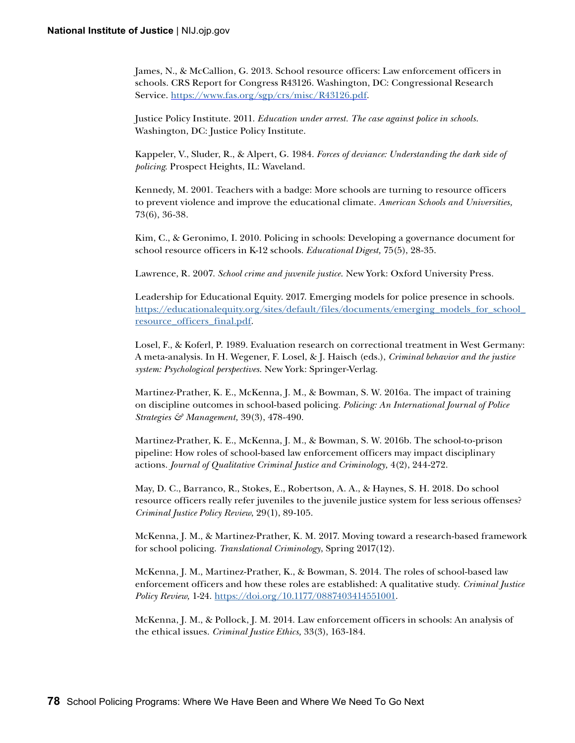James, N., & McCallion, G. 2013. School resource officers: Law enforcement officers in schools. CRS Report for Congress R43126. Washington, DC: Congressional Research Service. [https://www.fas.org/sgp/crs/misc/R43126.pdf.](https://www.fas.org/sgp/crs/misc/R43126.pdf)

Justice Policy Institute. 2011. *Education under arrest. The case against police in schools*. Washington, DC: Justice Policy Institute.

Kappeler, V., Sluder, R., & Alpert, G. 1984. *Forces of deviance: Understanding the dark side of policing*. Prospect Heights, IL: Waveland.

Kennedy, M. 2001. Teachers with a badge: More schools are turning to resource officers to prevent violence and improve the educational climate. *American Schools and Universities,* 73(6), 36-38.

Kim, C., & Geronimo, I. 2010. Policing in schools: Developing a governance document for school resource officers in K-12 schools. *Educational Digest,* 75(5), 28-35.

Lawrence, R. 2007. *School crime and juvenile justice*. New York: Oxford University Press.

Leadership for Educational Equity. 2017. Emerging models for police presence in schools. https://educationalequity.org/sites/default/files/documents/emerging\_models\_for\_school\_ resourc[e\\_officers\\_final.pdf.](https://educationalequity.org/sites/default/files/documents/emerging_models_for_school_resource_officers_final.pdf)

Losel, F., & Koferl, P. 1989. Evaluation research on correctional treatment in West Germany: A meta-analysis. In H. Wegener, F. Losel, & J. Haisch (eds.), *Criminal behavior and the justice system: Psychological perspectives*. New York: Springer-Verlag.

Martinez-Prather, K. E., McKenna, J. M., & Bowman, S. W. 2016a. The impact of training on discipline outcomes in school-based policing*. Policing: An International Journal of Police Strategies & Management,* 39(3), 478-490.

Martinez-Prather, K. E., McKenna, J. M., & Bowman, S. W. 2016b. The school-to-prison pipeline: How roles of school-based law enforcement officers may impact disciplinary actions. *Journal of Qualitative Criminal Justice and Criminology,* 4(2), 244-272.

May, D. C., Barranco, R., Stokes, E., Robertson, A. A., & Haynes, S. H. 2018. Do school resource officers really refer juveniles to the juvenile justice system for less serious offenses? *Criminal Justice Policy Review*, 29(1), 89-105.

McKenna, J. M., & Martinez-Prather, K. M. 2017. Moving toward a research-based framework for school policing. *Translational Criminology*, Spring 2017(12).

McKenna, J. M., Martinez-Prather, K., & Bowman, S. 2014. The roles of school-based law enforcement officers and how these roles are established: A qualitative study. *Criminal Justice Policy Review,* 1-24. [https://doi.org/10.1177/0887403414551001](https://doi.org/10.1177%2F0887403414551001).

McKenna, J. M., & Pollock, J. M. 2014. Law enforcement officers in schools: An analysis of the ethical issues. *Criminal Justice Ethics,* 33(3), 163-184.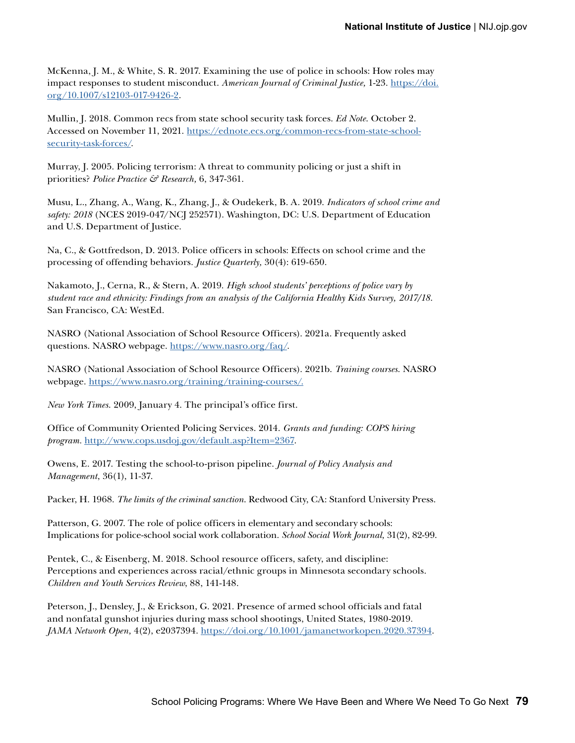McKenna, J. M., & White, S. R. 2017. Examining the use of police in schools: How roles may impact responses to student misconduct. *American Journal of Criminal Justice,* 1-23. [https://doi.](https://doi.org/10.1007/s12103-017-9426-2) [org/10.1007/s12103-017-9426-2](https://doi.org/10.1007/s12103-017-9426-2).

Mullin, J. 2018. Common recs from state school security task forces. *Ed Note*. October 2. Accessed on November 11, 2021. [https://ednote.ecs.org/common-recs-from-state-school](https://ednote.ecs.org/common-recs-from-state-school-security-task-forces/)[security-task-forces/.](https://ednote.ecs.org/common-recs-from-state-school-security-task-forces/)

Murray, J. 2005. Policing terrorism: A threat to community policing or just a shift in priorities? *Police Practice & Research,* 6, 347-361.

Musu, L., Zhang, A., Wang, K., Zhang, J., & Oudekerk, B. A. 2019. *Indicators of school crime and safety: 2018* (NCES 2019-047/NCJ 252571). Washington, DC: U.S. Department of Education and U.S. Department of Justice.

Na, C., & Gottfredson, D. 2013. Police officers in schools: Effects on school crime and the processing of offending behaviors. *Justice Quarterly,* 30(4): 619-650.

Nakamoto, J., Cerna, R., & Stern, A. 2019. *High school students' perceptions of police vary by student race and ethnicity: Findings from an analysis of the California Healthy Kids Survey, 2017/18*. San Francisco, CA: WestEd.

NASRO (National Association of School Resource Officers). 2021a. Frequently asked questions. NASRO webpage. [https://www.nasro.org/faq/.](https://www.nasro.org/faq/)

NASRO (National Association of School Resource Officers). 2021b. *Training courses*. NASRO webpage. [https://www.nasro.org/training/training-courses/.](https://www.nasro.org/training/training-courses/)

*New York Times*. 2009, January 4. The principal's office first.

Office of Community Oriented Policing Services. 2014. *Grants and funding: COPS hiring program.* <http://www.cops.usdoj.gov/default.asp?Item=2367>.

Owens, E. 2017. Testing the school-to-prison pipeline. *Journal of Policy Analysis and Management*, 36(1), 11-37.

Packer, H. 1968. *The limits of the criminal sanction*. Redwood City, CA: Stanford University Press.

Patterson, G. 2007. The role of police officers in elementary and secondary schools: Implications for police-school social work collaboration. *School Social Work Journal,* 31(2), 82-99.

Pentek, C., & Eisenberg, M. 2018. School resource officers, safety, and discipline: Perceptions and experiences across racial/ethnic groups in Minnesota secondary schools. *Children and Youth Services Review*, 88, 141-148.

Peterson, J., Densley, J., & Erickson, G. 2021. Presence of armed school officials and fatal and nonfatal gunshot injuries during mass school shootings, United States, 1980-2019*. JAMA Network Open,* 4(2), e2037394. [https://doi.org/10.1001/jamanetworkopen.2020.37394.](https://doi.org/10.1001/jamanetworkopen.2020.37394)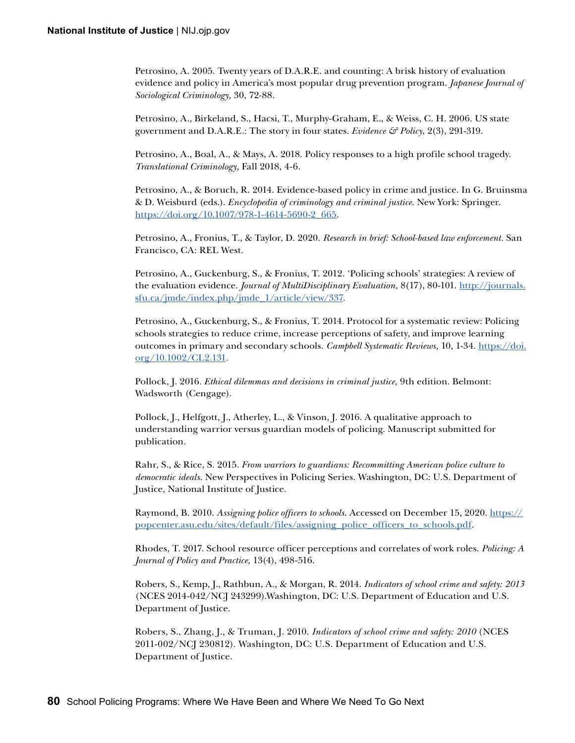Petrosino, A. 2005. Twenty years of D.A.R.E. and counting: A brisk history of evaluation evidence and policy in America's most popular drug prevention program. *Japanese Journal of Sociological Criminology,* 30, 72-88.

Petrosino, A., Birkeland, S., Hacsi, T., Murphy-Graham, E., & Weiss, C. H. 2006. US state government and D.A.R.E.: The story in four states. *Evidence*  $\mathcal{F}$  Policy, 2(3), 291-319.

Petrosino, A., Boal, A., & Mays, A. 2018. Policy responses to a high profile school tragedy. *Translational Criminology,* Fall 2018, 4-6.

Petrosino, A., & Boruch, R. 2014. Evidence-based policy in crime and justice. In G. Bruinsma & D. Weisburd (eds.). *Encyclopedia of criminology and criminal justice*. New York: Springer. [https://doi.org/10.1007/978-1-4614-5690-2\\_665](https://doi.org/10.1007/978-1-4614-5690-2_665).

Petrosino, A., Fronius, T., & Taylor, D. 2020. *Research in brief: School-based law enforcement*. San Francisco, CA: REL West.

Petrosino, A., Guckenburg, S., & Fronius, T. 2012. 'Policing schools' strategies: A review of the evaluation evidence. *Journal of MultiDisciplinary Evaluation,* 8(17), 80-101. [http://journals.](http://journals.sfu.ca/jmde/index.php/jmde_1/article/view/337) [sfu.ca/jmde/index.php/jmde\\_1/article/view/337](http://journals.sfu.ca/jmde/index.php/jmde_1/article/view/337).

Petrosino, A., Guckenburg, S., & Fronius, T. 2014. Protocol for a systematic review: Policing schools strategies to reduce crime, increase perceptions of safety, and improve learning outcomes in primary and secondary schools. *Campbell Systematic Reviews,* 10, 1-34. https://doi.  $\frac{\text{org}}{10.1002}$ /CL2.131.

Pollock, J. 2016. *Ethical dilemmas and decisions in criminal justice,* 9th edition. Belmont: Wadsworth (Cengage).

Pollock, J., Helfgott, J., Atherley, L., & Vinson, J. 2016. A qualitative approach to understanding warrior versus guardian models of policing. Manuscript submitted for publication.

Rahr, S., & Rice, S. 2015. *From warriors to guardians: Recommitting American police culture to democratic ideals*. New Perspectives in Policing Series. Washington, DC: U.S. Department of Justice, National Institute of Justice.

Raymond, B. 2010. *Assigning police officers to schools*. Accessed on December 15, 2020. [https://](https://popcenter.asu.edu/sites/default/files/assigning_police_officers_to_schools.pdf) [popcenter.asu.edu/sites/default/files/assigning\\_police\\_officers\\_to\\_schools.pdf](https://popcenter.asu.edu/sites/default/files/assigning_police_officers_to_schools.pdf).

Rhodes, T. 2017. School resource officer perceptions and correlates of work roles. *Policing: A Journal of Policy and Practice,* 13(4), 498-516.

Robers, S., Kemp, J., Rathbun, A., & Morgan, R. 2014. *Indicators of school crime and safety: 2013* (NCES 2014-042/NCJ 243299).Washington, DC: U.S. Department of Education and U.S. Department of Justice.

Robers, S., Zhang, J., & Truman, J. 2010. *Indicators of school crime and safety: 2010* (NCES 2011-002/NCJ 230812). Washington, DC: U.S. Department of Education and U.S. Department of Justice.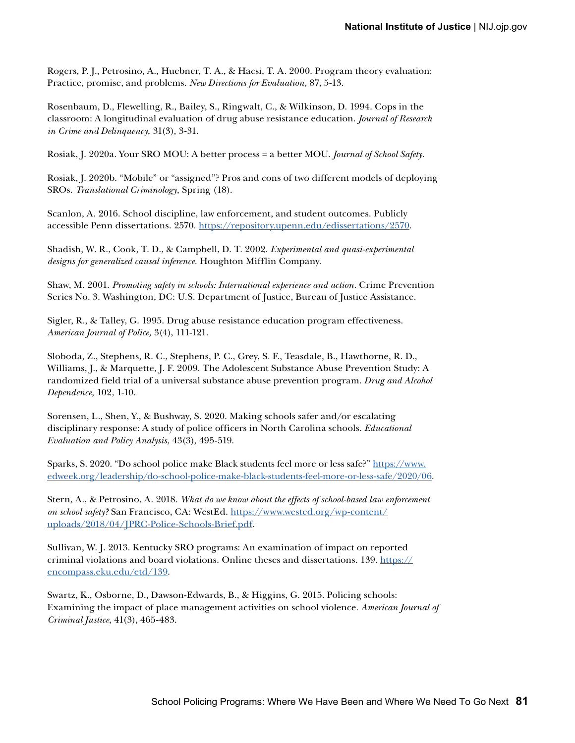Rogers, P. J., Petrosino, A., Huebner, T. A., & Hacsi, T. A. 2000. Program theory evaluation: Practice, promise, and problems. *New Directions for Evaluation*, 87, 5-13.

Rosenbaum, D., Flewelling, R., Bailey, S., Ringwalt, C., & Wilkinson, D. 1994. Cops in the classroom: A longitudinal evaluation of drug abuse resistance education. *Journal of Research in Crime and Delinquency,* 31(3), 3-31.

Rosiak, J. 2020a. Your SRO MOU: A better process = a better MOU. *Journal of School Safety*.

Rosiak, J. 2020b. "Mobile" or "assigned"? Pros and cons of two different models of deploying SROs. *Translational Criminology,* Spring (18).

Scanlon, A. 2016. School discipline, law enforcement, and student outcomes. Publicly accessible Penn dissertations. 2570. <https://repository.upenn.edu/edissertations/2570>.

Shadish, W. R., Cook, T. D., & Campbell, D. T. 2002. *Experimental and quasi-experimental designs for generalized causal inference.* Houghton Mifflin Company.

Shaw, M. 2001. *Promoting safety in schools: International experience and action*. Crime Prevention Series No. 3. Washington, DC: U.S. Department of Justice, Bureau of Justice Assistance.

Sigler, R., & Talley, G. 1995. Drug abuse resistance education program effectiveness. *American Journal of Police,* 3(4), 111-121.

Sloboda, Z., Stephens, R. C., Stephens, P. C., Grey, S. F., Teasdale, B., Hawthorne, R. D., Williams, J., & Marquette, J. F. 2009. The Adolescent Substance Abuse Prevention Study: A randomized field trial of a universal substance abuse prevention program. *Drug and Alcohol Dependence,* 102, 1-10.

Sorensen, L., Shen, Y., & Bushway, S. 2020. Making schools safer and/or escalating disciplinary response: A study of police officers in North Carolina schools. *Educational Evaluation and Policy Analysis*, 43(3), 495-519.

Sparks, S. 2020. "Do school police make Black students feel more or less safe?" [https://www.](https://www.edweek.org/leadership/do-school-police-make-black-students-feel-more-or-less-safe/2020/06) [edweek.org/leadership/do-school-police-make-black-students-feel-more-or-less-safe/2020/06.](https://www.edweek.org/leadership/do-school-police-make-black-students-feel-more-or-less-safe/2020/06)

Stern, A., & Petrosino, A. 2018. *What do we know about the effects of school-based law enforcement on school safety?* San Francisco, CA: WestEd. [https://www.wested.org/wp-content/](https://www.wested.org/wp-content/uploads/2018/04/JPRC-Police-Schools-Brief.pdf) [uploads/2018/04/JPRC-Police-Schools-Brief.pdf.](https://www.wested.org/wp-content/uploads/2018/04/JPRC-Police-Schools-Brief.pdf)

Sullivan, W. J. 2013. Kentucky SRO programs: An examination of impact on reported criminal violations and board violations. Online theses and dissertations. 139. [https://](https://encompass.eku.edu/etd/139) [encompass.eku.edu/etd/139.](https://encompass.eku.edu/etd/139)

Swartz, K., Osborne, D., Dawson-Edwards, B., & Higgins, G. 2015. Policing schools: Examining the impact of place management activities on school violence. *American Journal of Criminal Justice*, 41(3), 465-483.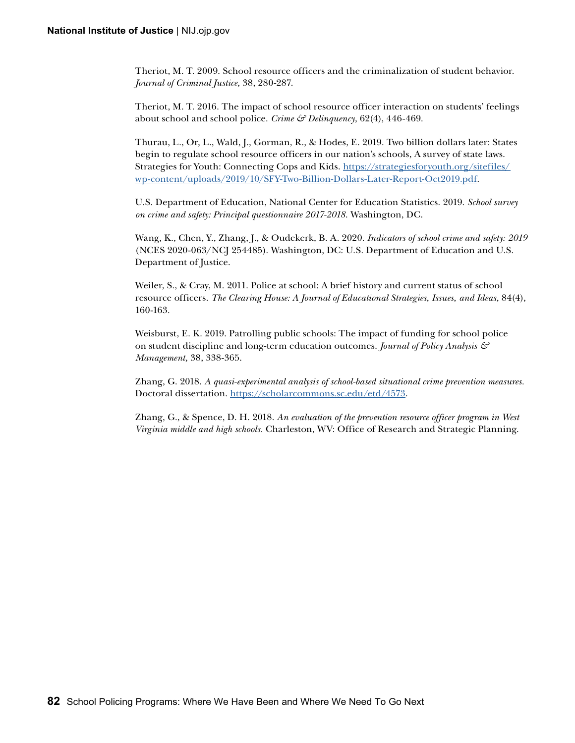Theriot, M. T. 2009. School resource officers and the criminalization of student behavior. *Journal of Criminal Justice,* 38, 280-287.

Theriot, M. T. 2016. The impact of school resource officer interaction on students' feelings about school and school police. *Crime & Delinquency*, 62(4), 446-469.

Thurau, L., Or, L., Wald, J., Gorman, R., & Hodes, E. 2019. Two billion dollars later: States begin to regulate school resource officers in our nation's schools, A survey of state laws. Strategies for Youth: Connecting Cops and Kids. [https://strategiesforyouth.org/sitefiles/](https://strategiesforyouth.org/sitefiles/wp-content/uploads/2019/10/SFY-Two-Billion-Dollars-Later-Report-Oct2019.pdf) [wp-content/uploads/2019/10/SFY-Two-Billion-Dollars-Later-Report-Oct2019.pdf](https://strategiesforyouth.org/sitefiles/wp-content/uploads/2019/10/SFY-Two-Billion-Dollars-Later-Report-Oct2019.pdf).

U.S. Department of Education, National Center for Education Statistics. 2019. *School survey on crime and safety: Principal questionnaire 2017-2018*. Washington, DC.

Wang, K., Chen, Y., Zhang, J., & Oudekerk, B. A. 2020. *Indicators of school crime and safety: 2019*  (NCES 2020-063/NCJ 254485). Washington, DC: U.S. Department of Education and U.S. Department of Justice.

Weiler, S., & Cray, M. 2011. Police at school: A brief history and current status of school resource officers. *The Clearing House: A Journal of Educational Strategies, Issues, and Ideas,* 84(4), 160-163.

Weisburst, E. K. 2019. Patrolling public schools: The impact of funding for school police on student discipline and long-term education outcomes. *Journal of Policy Analysis & Management,* 38, 338-365.

Zhang, G. 2018. *A quasi-experimental analysis of school-based situational crime prevention measures.*  Doctoral dissertation. [https://scholarcommons.sc.edu/etd/4573.](https://scholarcommons.sc.edu/etd/4573)

Zhang, G., & Spence, D. H. 2018. *An evaluation of the prevention resource officer program in West Virginia middle and high schools.* Charleston, WV: Office of Research and Strategic Planning.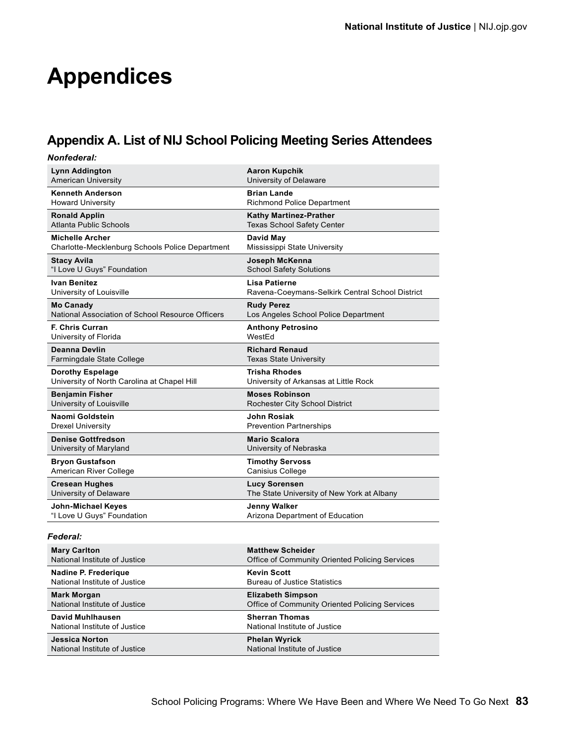# **Appendices**

# **Appendix A. List of NIJ School Policing Meeting Series Attendees**

| Nonfederal:                                      |                                                 |
|--------------------------------------------------|-------------------------------------------------|
| <b>Lynn Addington</b>                            | <b>Aaron Kupchik</b>                            |
| <b>American University</b>                       | University of Delaware                          |
| Kenneth Anderson                                 | <b>Brian Lande</b>                              |
| <b>Howard University</b>                         | <b>Richmond Police Department</b>               |
| <b>Ronald Applin</b>                             | <b>Kathy Martinez-Prather</b>                   |
| Atlanta Public Schools                           | <b>Texas School Safety Center</b>               |
| <b>Michelle Archer</b>                           | David May                                       |
| Charlotte-Mecklenburg Schools Police Department  | Mississippi State University                    |
| <b>Stacy Avila</b>                               | Joseph McKenna                                  |
| "I Love U Guys" Foundation                       | <b>School Safety Solutions</b>                  |
| Ivan Benitez                                     | <b>Lisa Patierne</b>                            |
| University of Louisville                         | Ravena-Coeymans-Selkirk Central School District |
| <b>Mo Canady</b>                                 | <b>Rudy Perez</b>                               |
| National Association of School Resource Officers | Los Angeles School Police Department            |
| <b>F. Chris Curran</b>                           | <b>Anthony Petrosino</b>                        |
| University of Florida                            | WestEd                                          |
| <b>Deanna Devlin</b>                             | <b>Richard Renaud</b>                           |
| Farmingdale State College                        | <b>Texas State University</b>                   |
| <b>Dorothy Espelage</b>                          | <b>Trisha Rhodes</b>                            |
| University of North Carolina at Chapel Hill      | University of Arkansas at Little Rock           |
| <b>Benjamin Fisher</b>                           | <b>Moses Robinson</b>                           |
| University of Louisville                         | Rochester City School District                  |
| Naomi Goldstein                                  | <b>John Rosiak</b>                              |
| <b>Drexel University</b>                         | <b>Prevention Partnerships</b>                  |
| <b>Denise Gottfredson</b>                        | <b>Mario Scalora</b>                            |
| University of Maryland                           | University of Nebraska                          |
| <b>Bryon Gustafson</b>                           | <b>Timothy Servoss</b>                          |
| American River College                           | <b>Canisius College</b>                         |
| <b>Cresean Hughes</b>                            | <b>Lucy Sorensen</b>                            |
| University of Delaware                           | The State University of New York at Albany      |
| <b>John-Michael Keyes</b>                        | <b>Jenny Walker</b>                             |
| "I Love U Guys" Foundation                       | Arizona Department of Education                 |
|                                                  |                                                 |

#### *Federal:*

| <b>Mary Carlton</b>           | <b>Matthew Scheider</b>                        |
|-------------------------------|------------------------------------------------|
| National Institute of Justice | Office of Community Oriented Policing Services |
| Nadine P. Frederique          | <b>Kevin Scott</b>                             |
| National Institute of Justice | <b>Bureau of Justice Statistics</b>            |
| <b>Mark Morgan</b>            | <b>Elizabeth Simpson</b>                       |
| National Institute of Justice | Office of Community Oriented Policing Services |
| David Muhlhausen              | <b>Sherran Thomas</b>                          |
| National Institute of Justice | National Institute of Justice                  |
| <b>Jessica Norton</b>         | <b>Phelan Wyrick</b>                           |
| National Institute of Justice | National Institute of Justice                  |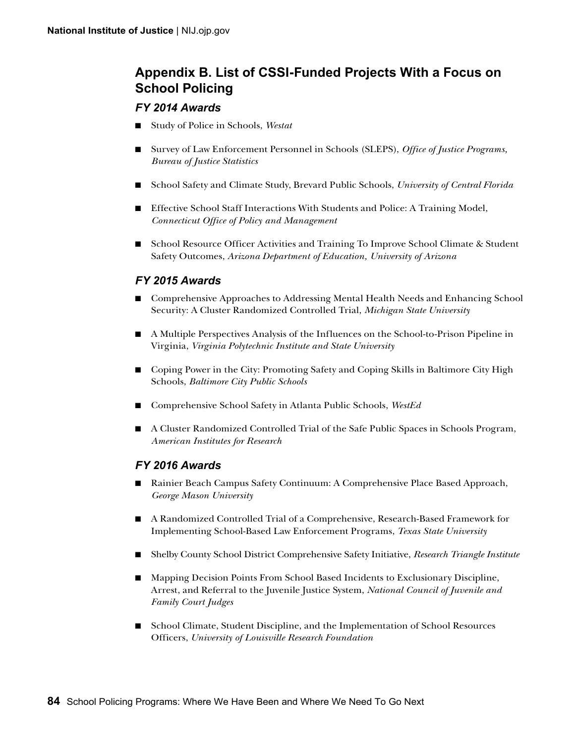## **Appendix B. List of CSSI-Funded Projects With a Focus on School Policing**

### *FY 2014 Awards*

- Study of Police in Schools, *Westat*
- Survey of Law Enforcement Personnel in Schools (SLEPS), *Office of Justice Programs*, *Bureau of Justice Statistics*
- School Safety and Climate Study, Brevard Public Schools, *University of Central Florida*
- Effective School Staff Interactions With Students and Police: A Training Model, *Connecticut Office of Policy and Management*
- School Resource Officer Activities and Training To Improve School Climate & Student Safety Outcomes, *Arizona Department of Education, University of Arizona*

### *FY 2015 Awards*

- Comprehensive Approaches to Addressing Mental Health Needs and Enhancing School Security: A Cluster Randomized Controlled Trial, *Michigan State University*
- A Multiple Perspectives Analysis of the Influences on the School-to-Prison Pipeline in Virginia, *Virginia Polytechnic Institute and State University*
- Coping Power in the City: Promoting Safety and Coping Skills in Baltimore City High Schools, *Baltimore City Public Schools*
- Comprehensive School Safety in Atlanta Public Schools, *WestEd*
- A Cluster Randomized Controlled Trial of the Safe Public Spaces in Schools Program, *American Institutes for Research*

### *FY 2016 Awards*

- Rainier Beach Campus Safety Continuum: A Comprehensive Place Based Approach, *George Mason University*
- A Randomized Controlled Trial of a Comprehensive, Research-Based Framework for Implementing School-Based Law Enforcement Programs, *Texas State University*
- Shelby County School District Comprehensive Safety Initiative, *Research Triangle Institute*
- Mapping Decision Points From School Based Incidents to Exclusionary Discipline, Arrest, and Referral to the Juvenile Justice System, *National Council of Juvenile and Family Court Judges*
- School Climate, Student Discipline, and the Implementation of School Resources Officers, *University of Louisville Research Foundation*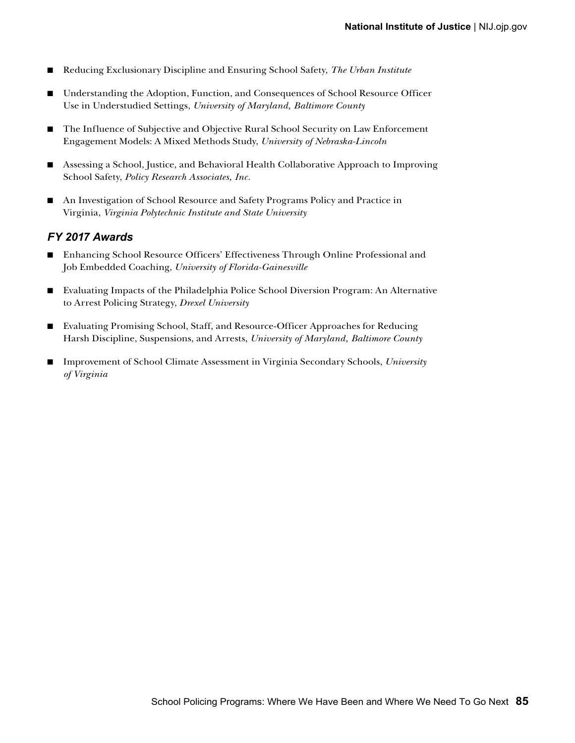- Reducing Exclusionary Discipline and Ensuring School Safety, *The Urban Institute*
- Understanding the Adoption, Function, and Consequences of School Resource Officer Use in Understudied Settings, *University of Maryland, Baltimore County*
- The Influence of Subjective and Objective Rural School Security on Law Enforcement Engagement Models: A Mixed Methods Study, *University of Nebraska-Lincoln*
- Assessing a School, Justice, and Behavioral Health Collaborative Approach to Improving School Safety, *Policy Research Associates, Inc.*
- An Investigation of School Resource and Safety Programs Policy and Practice in Virginia, *Virginia Polytechnic Institute and State University*

#### *FY 2017 Awards*

- Enhancing School Resource Officers' Effectiveness Through Online Professional and Job Embedded Coaching, *University of Florida-Gainesville*
- Evaluating Impacts of the Philadelphia Police School Diversion Program: An Alternative to Arrest Policing Strategy, *Drexel University*
- Evaluating Promising School, Staff, and Resource-Officer Approaches for Reducing Harsh Discipline, Suspensions, and Arrests, *University of Maryland, Baltimore County*
- Improvement of School Climate Assessment in Virginia Secondary Schools, *University of Virginia*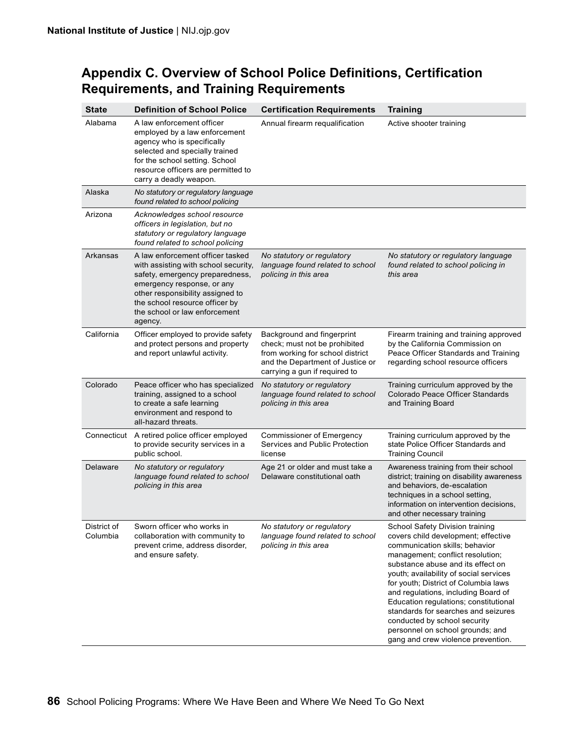| <b>State</b>            | <b>Definition of School Police</b>                                                                                                                                                                                                                          | <b>Certification Requirements</b>                                                                                                                                    | <b>Training</b>                                                                                                                                                                                                                                                                                                                                                                                                                                                                                      |
|-------------------------|-------------------------------------------------------------------------------------------------------------------------------------------------------------------------------------------------------------------------------------------------------------|----------------------------------------------------------------------------------------------------------------------------------------------------------------------|------------------------------------------------------------------------------------------------------------------------------------------------------------------------------------------------------------------------------------------------------------------------------------------------------------------------------------------------------------------------------------------------------------------------------------------------------------------------------------------------------|
| Alabama                 | A law enforcement officer<br>employed by a law enforcement<br>agency who is specifically<br>selected and specially trained<br>for the school setting. School<br>resource officers are permitted to<br>carry a deadly weapon.                                | Annual firearm requalification                                                                                                                                       | Active shooter training                                                                                                                                                                                                                                                                                                                                                                                                                                                                              |
| Alaska                  | No statutory or regulatory language<br>found related to school policing                                                                                                                                                                                     |                                                                                                                                                                      |                                                                                                                                                                                                                                                                                                                                                                                                                                                                                                      |
| Arizona                 | Acknowledges school resource<br>officers in legislation, but no<br>statutory or regulatory language<br>found related to school policing                                                                                                                     |                                                                                                                                                                      |                                                                                                                                                                                                                                                                                                                                                                                                                                                                                                      |
| Arkansas                | A law enforcement officer tasked<br>with assisting with school security,<br>safety, emergency preparedness,<br>emergency response, or any<br>other responsibility assigned to<br>the school resource officer by<br>the school or law enforcement<br>agency. | No statutory or regulatory<br>language found related to school<br>policing in this area                                                                              | No statutory or regulatory language<br>found related to school policing in<br>this area                                                                                                                                                                                                                                                                                                                                                                                                              |
| California              | Officer employed to provide safety<br>and protect persons and property<br>and report unlawful activity.                                                                                                                                                     | Background and fingerprint<br>check; must not be prohibited<br>from working for school district<br>and the Department of Justice or<br>carrying a gun if required to | Firearm training and training approved<br>by the California Commission on<br>Peace Officer Standards and Training<br>regarding school resource officers                                                                                                                                                                                                                                                                                                                                              |
| Colorado                | Peace officer who has specialized<br>training, assigned to a school<br>to create a safe learning<br>environment and respond to<br>all-hazard threats.                                                                                                       | No statutory or regulatory<br>language found related to school<br>policing in this area                                                                              | Training curriculum approved by the<br>Colorado Peace Officer Standards<br>and Training Board                                                                                                                                                                                                                                                                                                                                                                                                        |
| Connecticut             | A retired police officer employed<br>to provide security services in a<br>public school.                                                                                                                                                                    | <b>Commissioner of Emergency</b><br>Services and Public Protection<br>license                                                                                        | Training curriculum approved by the<br>state Police Officer Standards and<br><b>Training Council</b>                                                                                                                                                                                                                                                                                                                                                                                                 |
| Delaware                | No statutory or regulatory<br>language found related to school<br>policing in this area                                                                                                                                                                     | Age 21 or older and must take a<br>Delaware constitutional oath                                                                                                      | Awareness training from their school<br>district; training on disability awareness<br>and behaviors, de-escalation<br>techniques in a school setting,<br>information on intervention decisions,<br>and other necessary training                                                                                                                                                                                                                                                                      |
| District of<br>Columbia | Sworn officer who works in<br>collaboration with community to<br>prevent crime, address disorder,<br>and ensure safety.                                                                                                                                     | No statutory or regulatory<br>language found related to school<br>policing in this area                                                                              | School Safety Division training<br>covers child development; effective<br>communication skills; behavior<br>management; conflict resolution;<br>substance abuse and its effect on<br>youth; availability of social services<br>for youth; District of Columbia laws<br>and regulations, including Board of<br>Education regulations; constitutional<br>standards for searches and seizures<br>conducted by school security<br>personnel on school grounds; and<br>gang and crew violence prevention. |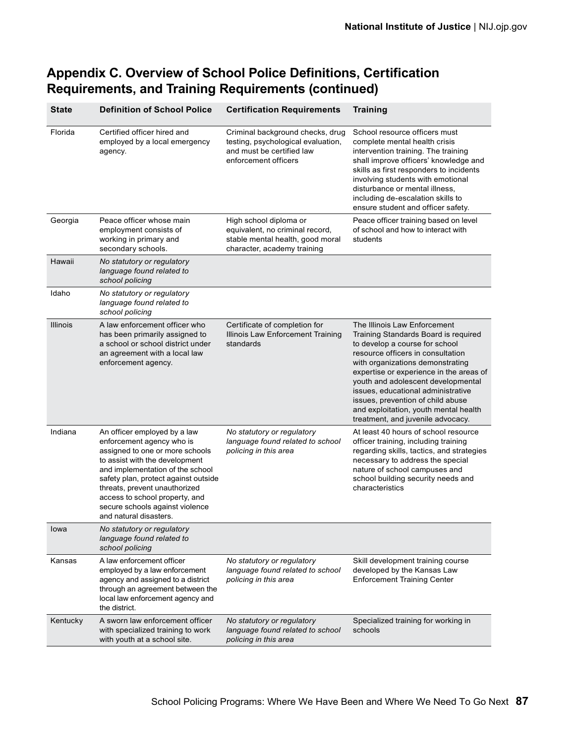| <b>State</b>    | <b>Definition of School Police</b>                                                                                                                                                                                                                                                                                                         | <b>Certification Requirements</b>                                                                                            | <b>Training</b>                                                                                                                                                                                                                                                                                                                                                                                                           |
|-----------------|--------------------------------------------------------------------------------------------------------------------------------------------------------------------------------------------------------------------------------------------------------------------------------------------------------------------------------------------|------------------------------------------------------------------------------------------------------------------------------|---------------------------------------------------------------------------------------------------------------------------------------------------------------------------------------------------------------------------------------------------------------------------------------------------------------------------------------------------------------------------------------------------------------------------|
| Florida         | Certified officer hired and<br>employed by a local emergency<br>agency.                                                                                                                                                                                                                                                                    | Criminal background checks, drug<br>testing, psychological evaluation,<br>and must be certified law<br>enforcement officers  | School resource officers must<br>complete mental health crisis<br>intervention training. The training<br>shall improve officers' knowledge and<br>skills as first responders to incidents<br>involving students with emotional<br>disturbance or mental illness,<br>including de-escalation skills to<br>ensure student and officer safety.                                                                               |
| Georgia         | Peace officer whose main<br>employment consists of<br>working in primary and<br>secondary schools.                                                                                                                                                                                                                                         | High school diploma or<br>equivalent, no criminal record,<br>stable mental health, good moral<br>character, academy training | Peace officer training based on level<br>of school and how to interact with<br>students                                                                                                                                                                                                                                                                                                                                   |
| Hawaii          | No statutory or regulatory<br>language found related to<br>school policing                                                                                                                                                                                                                                                                 |                                                                                                                              |                                                                                                                                                                                                                                                                                                                                                                                                                           |
| Idaho           | No statutory or regulatory<br>language found related to<br>school policing                                                                                                                                                                                                                                                                 |                                                                                                                              |                                                                                                                                                                                                                                                                                                                                                                                                                           |
| <b>Illinois</b> | A law enforcement officer who<br>has been primarily assigned to<br>a school or school district under<br>an agreement with a local law<br>enforcement agency.                                                                                                                                                                               | Certificate of completion for<br>Illinois Law Enforcement Training<br>standards                                              | The Illinois Law Enforcement<br>Training Standards Board is required<br>to develop a course for school<br>resource officers in consultation<br>with organizations demonstrating<br>expertise or experience in the areas of<br>youth and adolescent developmental<br>issues, educational administrative<br>issues, prevention of child abuse<br>and exploitation, youth mental health<br>treatment, and juvenile advocacy. |
| Indiana         | An officer employed by a law<br>enforcement agency who is<br>assigned to one or more schools<br>to assist with the development<br>and implementation of the school<br>safety plan, protect against outside<br>threats, prevent unauthorized<br>access to school property, and<br>secure schools against violence<br>and natural disasters. | No statutory or regulatory<br>language found related to school<br>policing in this area                                      | At least 40 hours of school resource<br>officer training, including training<br>regarding skills, tactics, and strategies<br>necessary to address the special<br>nature of school campuses and<br>school building security needs and<br>characteristics                                                                                                                                                                   |
| lowa            | No statutory or regulatory<br>language found related to<br>school policing                                                                                                                                                                                                                                                                 |                                                                                                                              |                                                                                                                                                                                                                                                                                                                                                                                                                           |
| Kansas          | A law enforcement officer<br>employed by a law enforcement<br>agency and assigned to a district<br>through an agreement between the<br>local law enforcement agency and<br>the district.                                                                                                                                                   | No statutory or regulatory<br>language found related to school<br>policing in this area                                      | Skill development training course<br>developed by the Kansas Law<br><b>Enforcement Training Center</b>                                                                                                                                                                                                                                                                                                                    |
| Kentucky        | A sworn law enforcement officer<br>with specialized training to work<br>with youth at a school site.                                                                                                                                                                                                                                       | No statutory or regulatory<br>language found related to school<br>policing in this area                                      | Specialized training for working in<br>schools                                                                                                                                                                                                                                                                                                                                                                            |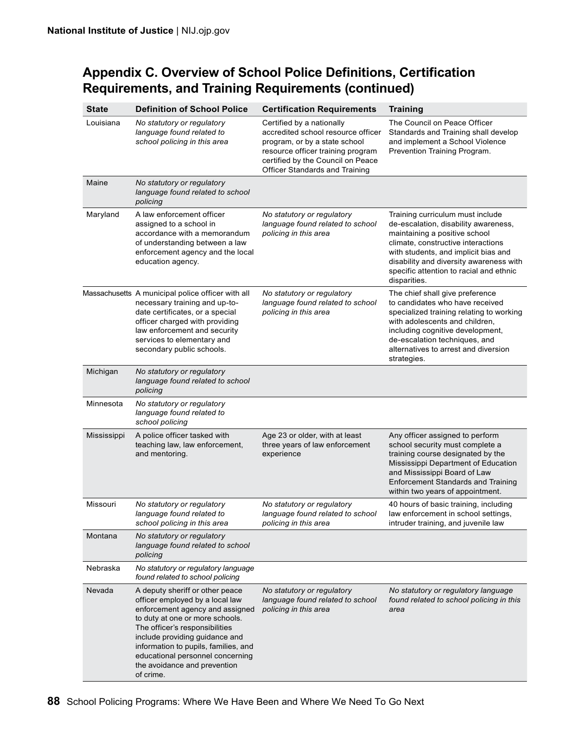| <b>State</b> | <b>Definition of School Police</b>                                                                                                                                                                                                                                                                                                    | <b>Certification Requirements</b>                                                                                                                                                                                   | <b>Training</b>                                                                                                                                                                                                                                                                               |
|--------------|---------------------------------------------------------------------------------------------------------------------------------------------------------------------------------------------------------------------------------------------------------------------------------------------------------------------------------------|---------------------------------------------------------------------------------------------------------------------------------------------------------------------------------------------------------------------|-----------------------------------------------------------------------------------------------------------------------------------------------------------------------------------------------------------------------------------------------------------------------------------------------|
| Louisiana    | No statutory or regulatory<br>language found related to<br>school policing in this area                                                                                                                                                                                                                                               | Certified by a nationally<br>accredited school resource officer<br>program, or by a state school<br>resource officer training program<br>certified by the Council on Peace<br><b>Officer Standards and Training</b> | The Council on Peace Officer<br>Standards and Training shall develop<br>and implement a School Violence<br>Prevention Training Program.                                                                                                                                                       |
| Maine        | No statutory or regulatory<br>language found related to school<br>policing                                                                                                                                                                                                                                                            |                                                                                                                                                                                                                     |                                                                                                                                                                                                                                                                                               |
| Maryland     | A law enforcement officer<br>assigned to a school in<br>accordance with a memorandum<br>of understanding between a law<br>enforcement agency and the local<br>education agency.                                                                                                                                                       | No statutory or regulatory<br>language found related to school<br>policing in this area                                                                                                                             | Training curriculum must include<br>de-escalation, disability awareness,<br>maintaining a positive school<br>climate, constructive interactions<br>with students, and implicit bias and<br>disability and diversity awareness with<br>specific attention to racial and ethnic<br>disparities. |
|              | Massachusetts A municipal police officer with all<br>necessary training and up-to-<br>date certificates, or a special<br>officer charged with providing<br>law enforcement and security<br>services to elementary and<br>secondary public schools.                                                                                    | No statutory or regulatory<br>language found related to school<br>policing in this area                                                                                                                             | The chief shall give preference<br>to candidates who have received<br>specialized training relating to working<br>with adolescents and children,<br>including cognitive development,<br>de-escalation techniques, and<br>alternatives to arrest and diversion<br>strategies.                  |
| Michigan     | No statutory or regulatory<br>language found related to school<br>policing                                                                                                                                                                                                                                                            |                                                                                                                                                                                                                     |                                                                                                                                                                                                                                                                                               |
| Minnesota    | No statutory or regulatory<br>language found related to<br>school policing                                                                                                                                                                                                                                                            |                                                                                                                                                                                                                     |                                                                                                                                                                                                                                                                                               |
| Mississippi  | A police officer tasked with<br>teaching law, law enforcement,<br>and mentoring.                                                                                                                                                                                                                                                      | Age 23 or older, with at least<br>three years of law enforcement<br>experience                                                                                                                                      | Any officer assigned to perform<br>school security must complete a<br>training course designated by the<br>Mississippi Department of Education<br>and Mississippi Board of Law<br><b>Enforcement Standards and Training</b><br>within two years of appointment.                               |
| Missouri     | No statutory or regulatory<br>language found related to<br>school policing in this area                                                                                                                                                                                                                                               | No statutory or regulatory<br>language found related to school<br>policing in this area                                                                                                                             | 40 hours of basic training, including<br>law enforcement in school settings,<br>intruder training, and juvenile law                                                                                                                                                                           |
| Montana      | No statutory or regulatory<br>language found related to school<br>policing                                                                                                                                                                                                                                                            |                                                                                                                                                                                                                     |                                                                                                                                                                                                                                                                                               |
| Nebraska     | No statutory or regulatory language<br>found related to school policing                                                                                                                                                                                                                                                               |                                                                                                                                                                                                                     |                                                                                                                                                                                                                                                                                               |
| Nevada       | A deputy sheriff or other peace<br>officer employed by a local law<br>enforcement agency and assigned<br>to duty at one or more schools.<br>The officer's responsibilities<br>include providing guidance and<br>information to pupils, families, and<br>educational personnel concerning<br>the avoidance and prevention<br>of crime. | No statutory or regulatory<br>language found related to school<br>policing in this area                                                                                                                             | No statutory or regulatory language<br>found related to school policing in this<br>area                                                                                                                                                                                                       |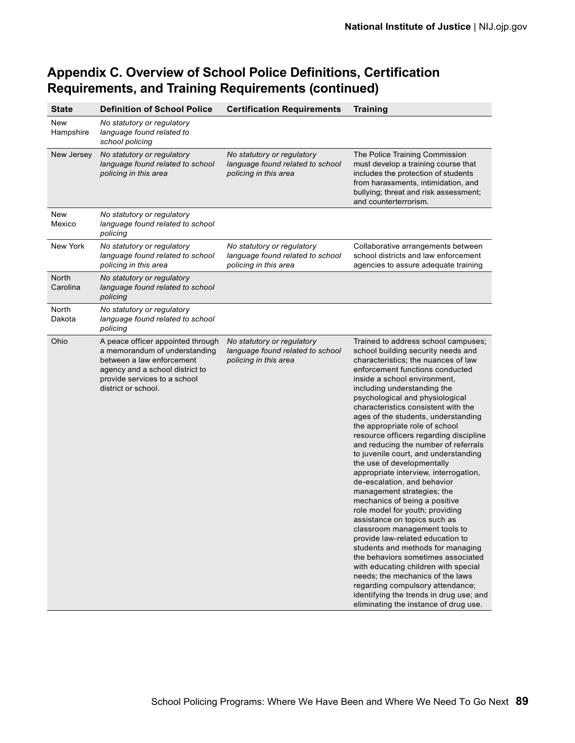| <b>State</b>             | <b>Definition of School Police</b>                                                                                                                                                        | <b>Certification Requirements</b>                                                       | <b>Training</b>                                                                                                                                                                                                                                                                                                                                                                                                                                                                                                                                                                                                                                                                                                                                                                                                                                                                                                                                                                                                                                                                             |
|--------------------------|-------------------------------------------------------------------------------------------------------------------------------------------------------------------------------------------|-----------------------------------------------------------------------------------------|---------------------------------------------------------------------------------------------------------------------------------------------------------------------------------------------------------------------------------------------------------------------------------------------------------------------------------------------------------------------------------------------------------------------------------------------------------------------------------------------------------------------------------------------------------------------------------------------------------------------------------------------------------------------------------------------------------------------------------------------------------------------------------------------------------------------------------------------------------------------------------------------------------------------------------------------------------------------------------------------------------------------------------------------------------------------------------------------|
| <b>New</b><br>Hampshire  | No statutory or regulatory<br>language found related to<br>school policing                                                                                                                |                                                                                         |                                                                                                                                                                                                                                                                                                                                                                                                                                                                                                                                                                                                                                                                                                                                                                                                                                                                                                                                                                                                                                                                                             |
| New Jersey               | No statutory or regulatory<br>language found related to school<br>policing in this area                                                                                                   | No statutory or regulatory<br>language found related to school<br>policing in this area | The Police Training Commission<br>must develop a training course that<br>includes the protection of students<br>from harassments, intimidation, and<br>bullying; threat and risk assessment;<br>and counterterrorism.                                                                                                                                                                                                                                                                                                                                                                                                                                                                                                                                                                                                                                                                                                                                                                                                                                                                       |
| New<br>Mexico            | No statutory or regulatory<br>language found related to school<br>policing                                                                                                                |                                                                                         |                                                                                                                                                                                                                                                                                                                                                                                                                                                                                                                                                                                                                                                                                                                                                                                                                                                                                                                                                                                                                                                                                             |
| New York                 | No statutory or regulatory<br>language found related to school<br>policing in this area                                                                                                   | No statutory or regulatory<br>language found related to school<br>policing in this area | Collaborative arrangements between<br>school districts and law enforcement<br>agencies to assure adequate training                                                                                                                                                                                                                                                                                                                                                                                                                                                                                                                                                                                                                                                                                                                                                                                                                                                                                                                                                                          |
| <b>North</b><br>Carolina | No statutory or regulatory<br>language found related to school<br>policing                                                                                                                |                                                                                         |                                                                                                                                                                                                                                                                                                                                                                                                                                                                                                                                                                                                                                                                                                                                                                                                                                                                                                                                                                                                                                                                                             |
| North<br>Dakota          | No statutory or regulatory<br>language found related to school<br>policing                                                                                                                |                                                                                         |                                                                                                                                                                                                                                                                                                                                                                                                                                                                                                                                                                                                                                                                                                                                                                                                                                                                                                                                                                                                                                                                                             |
| Ohio                     | A peace officer appointed through<br>a memorandum of understanding<br>between a law enforcement<br>agency and a school district to<br>provide services to a school<br>district or school. | No statutory or regulatory<br>language found related to school<br>policing in this area | Trained to address school campuses;<br>school building security needs and<br>characteristics; the nuances of law<br>enforcement functions conducted<br>inside a school environment,<br>including understanding the<br>psychological and physiological<br>characteristics consistent with the<br>ages of the students, understanding<br>the appropriate role of school<br>resource officers regarding discipline<br>and reducing the number of referrals<br>to juvenile court, and understanding<br>the use of developmentally<br>appropriate interview, interrogation,<br>de-escalation, and behavior<br>management strategies; the<br>mechanics of being a positive<br>role model for youth; providing<br>assistance on topics such as<br>classroom management tools to<br>provide law-related education to<br>students and methods for managing<br>the behaviors sometimes associated<br>with educating children with special<br>needs; the mechanics of the laws<br>regarding compulsory attendance;<br>identifying the trends in drug use; and<br>eliminating the instance of drug use. |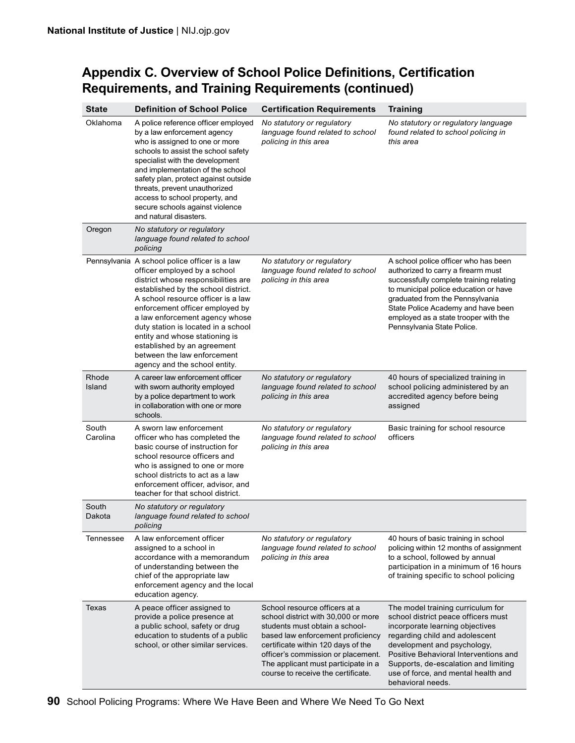| <b>State</b>      | <b>Definition of School Police</b>                                                                                                                                                                                                                                                                                                                                                                                                             | <b>Certification Requirements</b>                                                                                                                                                                                                                                                                    | <b>Training</b>                                                                                                                                                                                                                                                                                                           |
|-------------------|------------------------------------------------------------------------------------------------------------------------------------------------------------------------------------------------------------------------------------------------------------------------------------------------------------------------------------------------------------------------------------------------------------------------------------------------|------------------------------------------------------------------------------------------------------------------------------------------------------------------------------------------------------------------------------------------------------------------------------------------------------|---------------------------------------------------------------------------------------------------------------------------------------------------------------------------------------------------------------------------------------------------------------------------------------------------------------------------|
| Oklahoma          | A police reference officer employed<br>by a law enforcement agency<br>who is assigned to one or more<br>schools to assist the school safety<br>specialist with the development<br>and implementation of the school<br>safety plan, protect against outside<br>threats, prevent unauthorized<br>access to school property, and<br>secure schools against violence<br>and natural disasters.                                                     | No statutory or regulatory<br>language found related to school<br>policing in this area                                                                                                                                                                                                              | No statutory or regulatory language<br>found related to school policing in<br>this area                                                                                                                                                                                                                                   |
| Oregon            | No statutory or regulatory<br>language found related to school<br>policing                                                                                                                                                                                                                                                                                                                                                                     |                                                                                                                                                                                                                                                                                                      |                                                                                                                                                                                                                                                                                                                           |
|                   | Pennsylvania A school police officer is a law<br>officer employed by a school<br>district whose responsibilities are<br>established by the school district.<br>A school resource officer is a law<br>enforcement officer employed by<br>a law enforcement agency whose<br>duty station is located in a school<br>entity and whose stationing is<br>established by an agreement<br>between the law enforcement<br>agency and the school entity. | No statutory or regulatory<br>language found related to school<br>policing in this area                                                                                                                                                                                                              | A school police officer who has been<br>authorized to carry a firearm must<br>successfully complete training relating<br>to municipal police education or have<br>graduated from the Pennsylvania<br>State Police Academy and have been<br>employed as a state trooper with the<br>Pennsylvania State Police.             |
| Rhode<br>Island   | A career law enforcement officer<br>with sworn authority employed<br>by a police department to work<br>in collaboration with one or more<br>schools.                                                                                                                                                                                                                                                                                           | No statutory or regulatory<br>language found related to school<br>policing in this area                                                                                                                                                                                                              | 40 hours of specialized training in<br>school policing administered by an<br>accredited agency before being<br>assigned                                                                                                                                                                                                   |
| South<br>Carolina | A sworn law enforcement<br>officer who has completed the<br>basic course of instruction for<br>school resource officers and<br>who is assigned to one or more<br>school districts to act as a law<br>enforcement officer, advisor, and<br>teacher for that school district.                                                                                                                                                                    | No statutory or regulatory<br>language found related to school<br>policing in this area                                                                                                                                                                                                              | Basic training for school resource<br>officers                                                                                                                                                                                                                                                                            |
| South<br>Dakota   | No statutory or regulatory<br>language found related to school<br>policing                                                                                                                                                                                                                                                                                                                                                                     |                                                                                                                                                                                                                                                                                                      |                                                                                                                                                                                                                                                                                                                           |
| Tennessee         | A law enforcement officer<br>assigned to a school in<br>accordance with a memorandum<br>of understanding between the<br>chief of the appropriate law<br>enforcement agency and the local<br>education agency.                                                                                                                                                                                                                                  | No statutory or regulatory<br>language found related to school<br>policing in this area                                                                                                                                                                                                              | 40 hours of basic training in school<br>policing within 12 months of assignment<br>to a school, followed by annual<br>participation in a minimum of 16 hours<br>of training specific to school policing                                                                                                                   |
| Texas             | A peace officer assigned to<br>provide a police presence at<br>a public school, safety or drug<br>education to students of a public<br>school, or other similar services.                                                                                                                                                                                                                                                                      | School resource officers at a<br>school district with 30,000 or more<br>students must obtain a school-<br>based law enforcement proficiency<br>certificate within 120 days of the<br>officer's commission or placement.<br>The applicant must participate in a<br>course to receive the certificate. | The model training curriculum for<br>school district peace officers must<br>incorporate learning objectives<br>regarding child and adolescent<br>development and psychology,<br>Positive Behavioral Interventions and<br>Supports, de-escalation and limiting<br>use of force, and mental health and<br>behavioral needs. |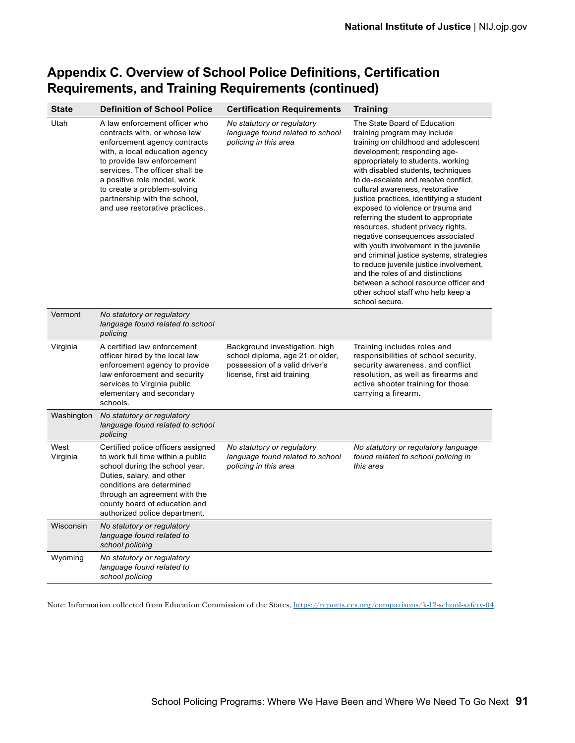| <b>State</b>     | <b>Definition of School Police</b>                                                                                                                                                                                                                                                                                              | <b>Certification Requirements</b>                                                                                                   | <b>Training</b>                                                                                                                                                                                                                                                                                                                                                                                                                                                                                                                                                                                                                                                                                                                                                       |
|------------------|---------------------------------------------------------------------------------------------------------------------------------------------------------------------------------------------------------------------------------------------------------------------------------------------------------------------------------|-------------------------------------------------------------------------------------------------------------------------------------|-----------------------------------------------------------------------------------------------------------------------------------------------------------------------------------------------------------------------------------------------------------------------------------------------------------------------------------------------------------------------------------------------------------------------------------------------------------------------------------------------------------------------------------------------------------------------------------------------------------------------------------------------------------------------------------------------------------------------------------------------------------------------|
| Utah             | A law enforcement officer who<br>contracts with, or whose law<br>enforcement agency contracts<br>with, a local education agency<br>to provide law enforcement<br>services. The officer shall be<br>a positive role model, work<br>to create a problem-solving<br>partnership with the school,<br>and use restorative practices. | No statutory or regulatory<br>language found related to school<br>policing in this area                                             | The State Board of Education<br>training program may include<br>training on childhood and adolescent<br>development; responding age-<br>appropriately to students, working<br>with disabled students, techniques<br>to de-escalate and resolve conflict,<br>cultural awareness, restorative<br>justice practices, identifying a student<br>exposed to violence or trauma and<br>referring the student to appropriate<br>resources, student privacy rights,<br>negative consequences associated<br>with youth involvement in the juvenile<br>and criminal justice systems, strategies<br>to reduce juvenile justice involvement,<br>and the roles of and distinctions<br>between a school resource officer and<br>other school staff who help keep a<br>school secure. |
| Vermont          | No statutory or regulatory<br>language found related to school<br>policing                                                                                                                                                                                                                                                      |                                                                                                                                     |                                                                                                                                                                                                                                                                                                                                                                                                                                                                                                                                                                                                                                                                                                                                                                       |
| Virginia         | A certified law enforcement<br>officer hired by the local law<br>enforcement agency to provide<br>law enforcement and security<br>services to Virginia public<br>elementary and secondary<br>schools.                                                                                                                           | Background investigation, high<br>school diploma, age 21 or older,<br>possession of a valid driver's<br>license, first aid training | Training includes roles and<br>responsibilities of school security,<br>security awareness, and conflict<br>resolution, as well as firearms and<br>active shooter training for those<br>carrying a firearm.                                                                                                                                                                                                                                                                                                                                                                                                                                                                                                                                                            |
| Washington       | No statutory or regulatory<br>language found related to school<br>policing                                                                                                                                                                                                                                                      |                                                                                                                                     |                                                                                                                                                                                                                                                                                                                                                                                                                                                                                                                                                                                                                                                                                                                                                                       |
| West<br>Virginia | Certified police officers assigned<br>to work full time within a public<br>school during the school year.<br>Duties, salary, and other<br>conditions are determined<br>through an agreement with the<br>county board of education and<br>authorized police department.                                                          | No statutory or regulatory<br>language found related to school<br>policing in this area                                             | No statutory or regulatory language<br>found related to school policing in<br>this area                                                                                                                                                                                                                                                                                                                                                                                                                                                                                                                                                                                                                                                                               |
| Wisconsin        | No statutory or regulatory<br>language found related to<br>school policing                                                                                                                                                                                                                                                      |                                                                                                                                     |                                                                                                                                                                                                                                                                                                                                                                                                                                                                                                                                                                                                                                                                                                                                                                       |
| Wyoming          | No statutory or regulatory<br>language found related to<br>school policing                                                                                                                                                                                                                                                      |                                                                                                                                     |                                                                                                                                                                                                                                                                                                                                                                                                                                                                                                                                                                                                                                                                                                                                                                       |

Note: Information collected from Education Commission of the States,<https://reports.ecs.org/comparisons/k-12-school-safety-04>.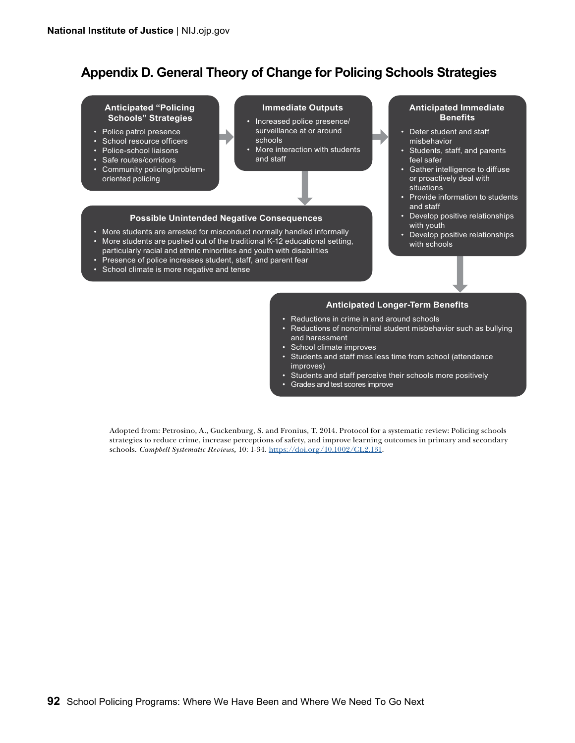### **Appendix D. General Theory of Change for Policing Schools Strategies**

#### **Anticipated "Policing Schools" Strategies**

- Police patrol presence
- School resource officers
- Police-school liaisons
- Safe routes/corridors
- Community policing/problemoriented policing

#### **Immediate Outputs**

- Increased police presence/ surveillance at or around
- schools More interaction with students and staff

#### **Possible Unintended Negative Consequences**

- More students are arrested for misconduct normally handled informally
- More students are pushed out of the traditional K-12 educational setting,
- particularly racial and ethnic minorities and youth with disabilities
- Presence of police increases student, staff, and parent fear
- School climate is more negative and tense

#### **Anticipated Immediate Benefits**

- Deter student and staff misbehavior
- Students, staff, and parents feel safer
- Gather intelligence to diffuse or proactively deal with situations
- Provide information to students and staff
- Develop positive relationships with youth
- Develop positive relationships with schools

#### **Anticipated Longer-Term Benefits**

- Reductions in crime in and around schools
- Reductions of noncriminal student misbehavior such as bullying and harassment
- School climate improves
- Students and staff miss less time from school (attendance improves)
- Students and staff perceive their schools more positively
- Grades and test scores improve

Adopted from: Petrosino, A., Guckenburg, S. and Fronius, T. 2014. Protocol for a systematic review: Policing schools strategies to reduce crime, increase perceptions of safety, and improve learning outcomes in primary and secondary schools. *Campbell Systematic Reviews,* 10: 1-34. [https://doi.org/10.1002/CL2.131.](https://doi.org/10.1002/CL2.131)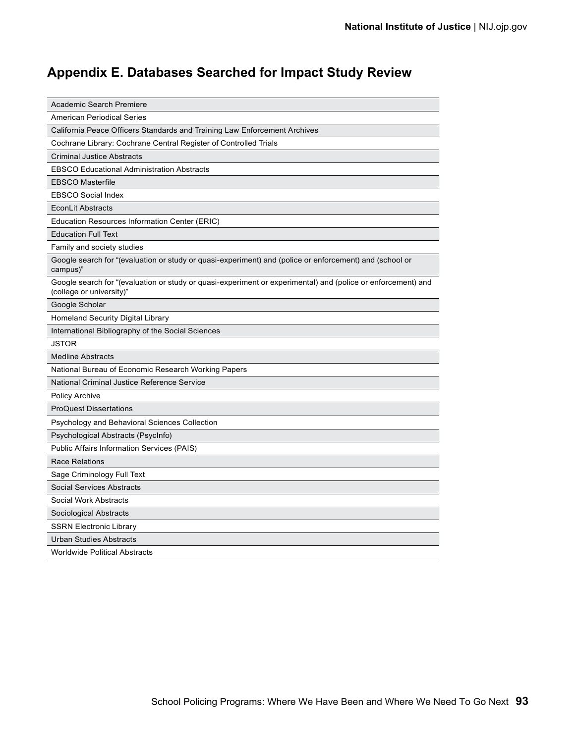# **Appendix E. Databases Searched for Impact Study Review**

| Academic Search Premiere                                                                                                                 |
|------------------------------------------------------------------------------------------------------------------------------------------|
| <b>American Periodical Series</b>                                                                                                        |
| California Peace Officers Standards and Training Law Enforcement Archives                                                                |
| Cochrane Library: Cochrane Central Register of Controlled Trials                                                                         |
| <b>Criminal Justice Abstracts</b>                                                                                                        |
| <b>EBSCO Educational Administration Abstracts</b>                                                                                        |
| <b>EBSCO Masterfile</b>                                                                                                                  |
| <b>EBSCO Social Index</b>                                                                                                                |
| <b>EconLit Abstracts</b>                                                                                                                 |
| Education Resources Information Center (ERIC)                                                                                            |
| <b>Education Full Text</b>                                                                                                               |
| Family and society studies                                                                                                               |
| Google search for "(evaluation or study or quasi-experiment) and (police or enforcement) and (school or<br>campus)"                      |
| Google search for "(evaluation or study or quasi-experiment or experimental) and (police or enforcement) and<br>(college or university)" |
| Google Scholar                                                                                                                           |
| <b>Homeland Security Digital Library</b>                                                                                                 |
| International Bibliography of the Social Sciences                                                                                        |
| JSTOR                                                                                                                                    |
| <b>Medline Abstracts</b>                                                                                                                 |
| National Bureau of Economic Research Working Papers                                                                                      |
| National Criminal Justice Reference Service                                                                                              |
| <b>Policy Archive</b>                                                                                                                    |
| <b>ProQuest Dissertations</b>                                                                                                            |
| Psychology and Behavioral Sciences Collection                                                                                            |
| Psychological Abstracts (PsycInfo)                                                                                                       |
| Public Affairs Information Services (PAIS)                                                                                               |
| Race Relations                                                                                                                           |
| Sage Criminology Full Text                                                                                                               |
| <b>Social Services Abstracts</b>                                                                                                         |
| Social Work Abstracts                                                                                                                    |
| Sociological Abstracts                                                                                                                   |
| <b>SSRN Electronic Library</b>                                                                                                           |
| Urban Studies Abstracts                                                                                                                  |
| <b>Worldwide Political Abstracts</b>                                                                                                     |